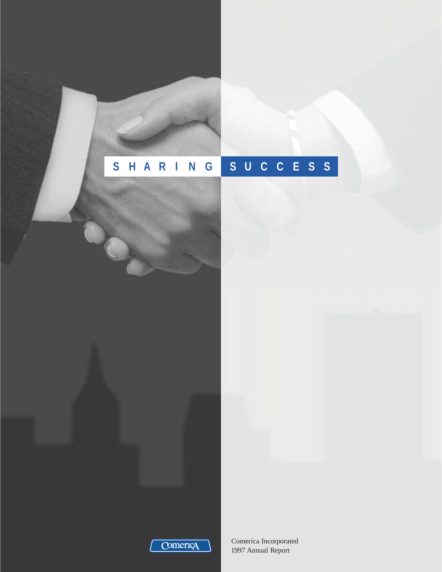# **S HAR I N G SUCCESS**



Comerica Incorporated 1997 Annual Report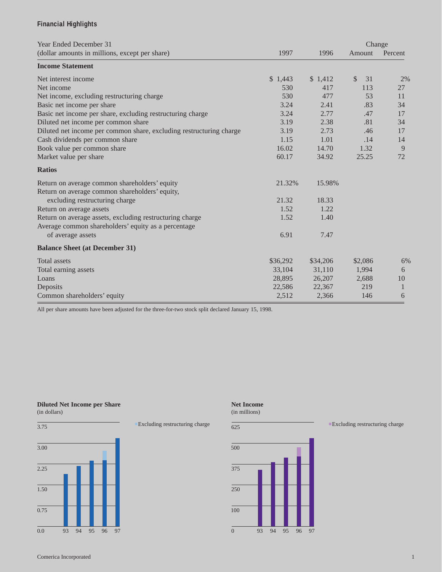# **Financial Highlights**

| Year Ended December 31                                              |          |          | Change             |         |
|---------------------------------------------------------------------|----------|----------|--------------------|---------|
| (dollar amounts in millions, except per share)                      | 1997     | 1996     | Amount             | Percent |
| <b>Income Statement</b>                                             |          |          |                    |         |
| Net interest income                                                 | \$1,443  | \$1,412  | $\mathbb{S}$<br>31 | 2%      |
| Net income                                                          | 530      | 417      | 113                | 27      |
| Net income, excluding restructuring charge                          | 530      | 477      | 53                 | 11      |
| Basic net income per share                                          | 3.24     | 2.41     | .83                | 34      |
| Basic net income per share, excluding restructuring charge          | 3.24     | 2.77     | .47                | 17      |
| Diluted net income per common share                                 | 3.19     | 2.38     | .81                | 34      |
| Diluted net income per common share, excluding restructuring charge | 3.19     | 2.73     | .46                | 17      |
| Cash dividends per common share                                     | 1.15     | 1.01     | .14                | 14      |
| Book value per common share                                         | 16.02    | 14.70    | 1.32               | 9       |
| Market value per share                                              | 60.17    | 34.92    | 25.25              | 72      |
| <b>Ratios</b>                                                       |          |          |                    |         |
| Return on average common shareholders' equity                       | 21.32%   | 15.98%   |                    |         |
| Return on average common shareholders' equity,                      |          |          |                    |         |
| excluding restructuring charge                                      | 21.32    | 18.33    |                    |         |
| Return on average assets                                            | 1.52     | 1.22     |                    |         |
| Return on average assets, excluding restructuring charge            | 1.52     | 1.40     |                    |         |
| Average common shareholders' equity as a percentage                 |          |          |                    |         |
| of average assets                                                   | 6.91     | 7.47     |                    |         |
| <b>Balance Sheet (at December 31)</b>                               |          |          |                    |         |
| <b>Total assets</b>                                                 | \$36,292 | \$34,206 | \$2,086            | 6%      |
| Total earning assets                                                | 33,104   | 31,110   | 1,994              | 6       |
| Loans                                                               | 28,895   | 26,207   | 2,688              | 10      |
| Deposits                                                            | 22,586   | 22,367   | 219                | 1       |
| Common shareholders' equity                                         | 2,512    | 2,366    | 146                | 6       |

All per share amounts have been adjusted for the three-for-two stock split declared January 15, 1998.

#### **Diluted Net Income per Share** (in dollars)



**.**Excluding restructuring charge





#### **.**Excluding restructuring charge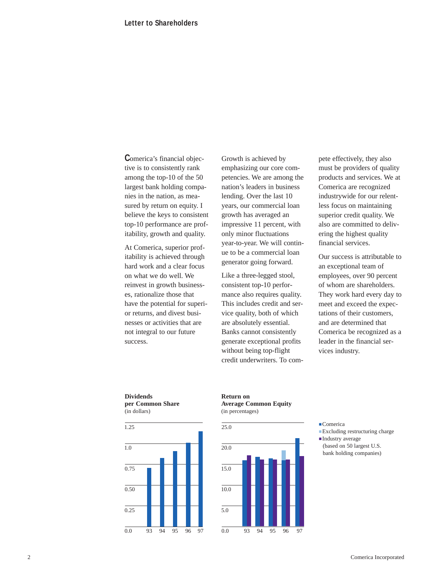**C**omerica's financial objective is to consistently rank among the top-10 of the 50 largest bank holding companies in the nation, as measured by return on equity. I believe the keys to consistent top-10 performance are profitability, growth and quality.

At Comerica, superior profitability is achieved through hard work and a clear focus on what we do well. We reinvest in growth businesses, rationalize those that have the potential for superior returns, and divest businesses or activities that are not integral to our future success.

Growth is achieved by emphasizing our core competencies. We are among the nation's leaders in business lending. Over the last 10 years, our commercial loan growth has averaged an impressive 11 percent, with only minor fluctuations year-to-year. We will continue to be a commercial loan generator going forward.

Like a three-legged stool, consistent top-10 performance also requires quality. This includes credit and service quality, both of which are absolutely essential. Banks cannot consistently generate exceptional profits without being top-flight credit underwriters. To compete effectively, they also must be providers of quality products and services. We at Comerica are recognized industrywide for our relentless focus on maintaining superior credit quality. We also are committed to delivering the highest quality financial services.

Our success is attributable to an exceptional team of employees, over 90 percent of whom are shareholders. They work hard every day to meet and exceed the expectations of their customers, and are determined that Comerica be recognized as a leader in the financial services industry.

**Dividends per Common Share** (in dollars)



**Return on Average Common Equity** (in percentages)



- **.**Comerica
- **.**Excluding restructuring charge
- **.**Industry average (based on 50 largest U.S. bank holding companies)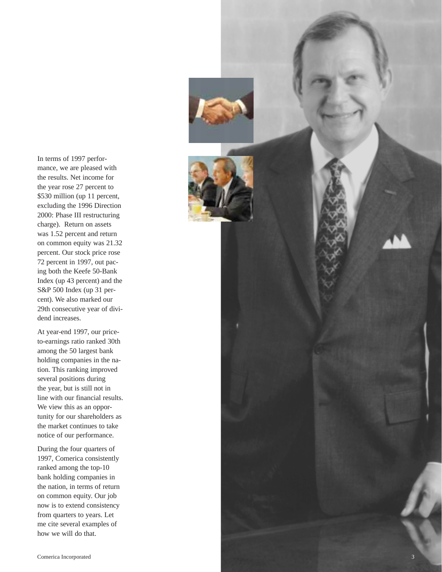In terms of 1997 performance, we are pleased with the results. Net income for the year rose 27 percent to \$530 million (up 11 percent, excluding the 1996 Direction 2000: Phase III restructuring charge). Return on assets was 1.52 percent and return on common equity was 21.32 percent. Our stock price rose 72 percent in 1997, out pacing both the Keefe 50-Bank Index (up 43 percent) and the S&P 500 Index (up 31 percent). We also marked our 29th consecutive year of dividend increases.

At year-end 1997, our priceto-earnings ratio ranked 30th among the 50 largest bank holding companies in the nation. This ranking improved several positions during the year, but is still not in line with our financial results. We view this as an opportunity for our shareholders as the market continues to take notice of our performance.

During the four quarters of 1997, Comerica consistently ranked among the top-10 bank holding companies in the nation, in terms of return on common equity. Our job now is to extend consistency from quarters to years. Let me cite several examples of how we will do that.

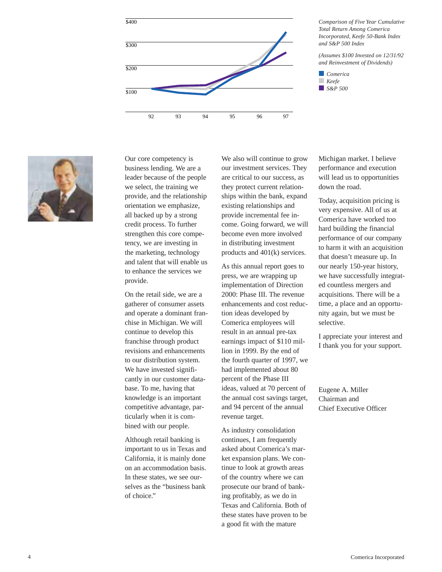



Our core competency is business lending. We are a leader because of the people we select, the training we provide, and the relationship orientation we emphasize, all backed up by a strong credit process. To further strengthen this core competency, we are investing in the marketing, technology and talent that will enable us to enhance the services we provide.

On the retail side, we are a gatherer of consumer assets and operate a dominant franchise in Michigan. We will continue to develop this franchise through product revisions and enhancements to our distribution system. We have invested significantly in our customer database. To me, having that knowledge is an important competitive advantage, particularly when it is combined with our people.

Although retail banking is important to us in Texas and California, it is mainly done on an accommodation basis. In these states, we see ourselves as the "business bank of choice."

We also will continue to grow our investment services. They are critical to our success, as they protect current relationships within the bank, expand existing relationships and provide incremental fee income. Going forward, we will become even more involved in distributing investment products and 401(k) services.

As this annual report goes to press, we are wrapping up implementation of Direction 2000: Phase III. The revenue enhancements and cost reduction ideas developed by Comerica employees will result in an annual pre-tax earnings impact of \$110 million in 1999. By the end of the fourth quarter of 1997, we had implemented about 80 percent of the Phase III ideas, valued at 70 percent of the annual cost savings target, and 94 percent of the annual revenue target.

As industry consolidation continues, I am frequently asked about Comerica's market expansion plans. We continue to look at growth areas of the country where we can prosecute our brand of banking profitably, as we do in Texas and California. Both of these states have proven to be a good fit with the mature

Michigan market. I believe performance and execution will lead us to opportunities down the road.

Today, acquisition pricing is very expensive. All of us at Comerica have worked too hard building the financial performance of our company to harm it with an acquisition that doesn't measure up. In our nearly 150-year history, we have successfully integrated countless mergers and acquisitions. There will be a time, a place and an opportunity again, but we must be selective.

I appreciate your interest and I thank you for your support.

Eugene A. Miller Chairman and Chief Executive Officer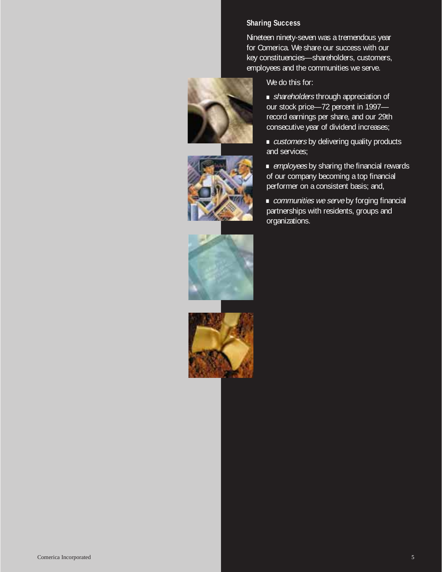# **Sharing Success**

Nineteen ninety-seven was a tremendous year for Comerica. We share our success with our key constituencies—shareholders, customers, employees and the communities we serve.







We do this for:

**.**shareholders through appreciation of our stock price—72 percent in 1997 record earnings per share, and our 29th consecutive year of dividend increases;

**.** *customers* by delivering quality products and services;

**.**employees by sharing the financial rewards of our company becoming a top financial performer on a consistent basis; and,

**.**communities we serve by forging financial partnerships with residents, groups and organizations.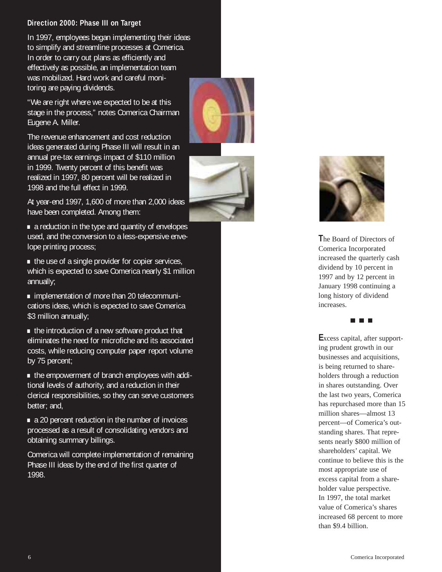# **Direction 2000: Phase III on Target**

In 1997, employees began implementing their ideas to simplify and streamline processes at Comerica. In order to carry out plans as efficiently and effectively as possible, an implementation team was mobilized. Hard work and careful monitoring are paying dividends.

"We are right where we expected to be at this stage in the process," notes Comerica Chairman Eugene A. Miller.

The revenue enhancement and cost reduction ideas generated during Phase III will result in an annual pre-tax earnings impact of \$110 million in 1999. Twenty percent of this benefit was realized in 1997, 80 percent will be realized in 1998 and the full effect in 1999.

At year-end 1997, 1,600 of more than 2,000 ideas have been completed. Among them: **.**a reduction in the type and quantity of envelopes

used, and the conversion to a less-expensive enve-

lope printing process;<br>● the use of a single provider for copier services, which is expected to save Comerica nearly \$1 million annually; **.**implementation of more than 20 telecommuni-

cations ideas, which is expected to save Comerica \$3 million annually;<br>• the introduction of a new software product that

eliminates the need for microfiche and its associated costs, while reducing computer paper report volume by 75 percent;<br>• the empowerment of branch employees with addi-

tional levels of authority, and a reduction in their clerical responsibilities, so they can serve customers better; and,<br> **.** a 20 percent reduction in the number of invoices

processed as a result of consolidating vendors and obtaining summary billings.

Comerica will complete implementation of remaining Phase III ideas by the end of the first quarter of 1998.





**T**he Board of Directors of Comerica Incorporated increased the quarterly cash dividend by 10 percent in 1997 and by 12 percent in January 1998 continuing a long history of dividend increases.

# 7 F F

Eliminates the need for microfiche and its associated<br>
Excess capital, after support-<br>
by 75 percent:<br>
by 75 percent:<br>
by 75 percent:<br>
by 75 percent:<br>
Electrical component of branch employees with addi-<br>
bolders through a ing prudent growth in our businesses and acquisitions, is being returned to shareholders through a reduction in shares outstanding. Over the last two years, Comerica has repurchased more than 15 million shares—almost 13 percent—of Comerica's outstanding shares. That represents nearly \$800 million of shareholders' capital. We continue to believe this is the most appropriate use of excess capital from a shareholder value perspective. In 1997, the total market value of Comerica's shares increased 68 percent to more than \$9.4 billion.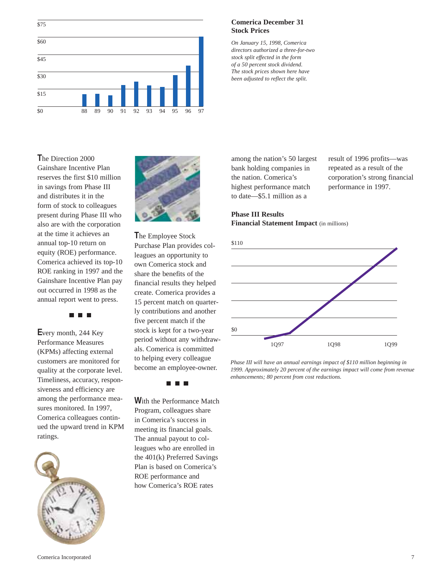

# **Comerica December 31 Stock Prices**

*On January 15, 1998, Comerica directors authorized a three-for-two stock split effected in the form of a 50 percent stock dividend. The stock prices shown here have been adjusted to reflect the split.* 

**T**he Direction 2000 Gainshare Incentive Plan reserves the first \$10 million in savings from Phase III and distributes it in the form of stock to colleagues present during Phase III who also are with the corporation at the time it achieves an annual top-10 return on equity (ROE) performance. Comerica achieved its top-10 ROE ranking in 1997 and the Gainshare Incentive Plan pay out occurred in 1998 as the annual report went to press.

**EN EN E** 

**E**very month, 244 Key Performance Measures (KPMs) affecting external customers are monitored for quality at the corporate level. Timeliness, accuracy, responsiveness and efficiency are among the performance measures monitored. In 1997, Comerica colleagues continued the upward trend in KPM ratings.





**T**he Employee Stock Purchase Plan provides colleagues an opportunity to own Comerica stock and share the benefits of the financial results they helped create. Comerica provides a 15 percent match on quarterly contributions and another five percent match if the stock is kept for a two-year period without any withdrawals. Comerica is committed to helping every colleague become an employee-owner.

#### ٦  $\blacksquare$

**W**ith the Performance Match Program, colleagues share in Comerica's success in meeting its financial goals. The annual payout to colleagues who are enrolled in the 401(k) Preferred Savings Plan is based on Comerica's ROE performance and how Comerica's ROE rates

among the nation's 50 largest bank holding companies in the nation. Comerica's highest performance match to date—\$5.1 million as a

result of 1996 profits—was repeated as a result of the corporation's strong financial performance in 1997.

#### **Phase III Results Financial Statement Impact** (in millions)



*Phase III will have an annual earnings impact of \$110 million beginning in 1999. Approximately 20 percent of the earnings impact will come from revenue enhancements; 80 percent from cost reductions.*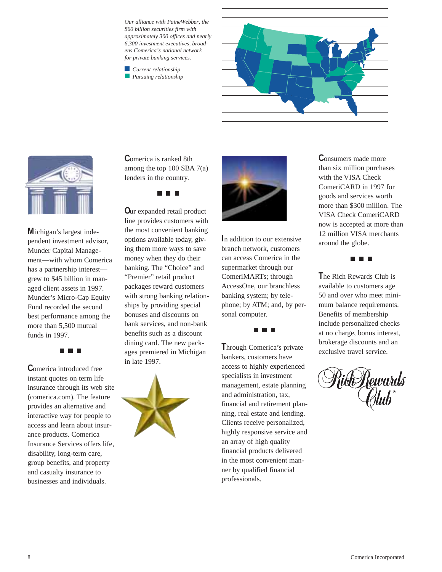*Our alliance with PaineWebber, the \$60 billion securities firm with approximately 300 offices and nearly 6,300 investment executives, broadens Comerica's national network for private banking services.*

*Current relationship Pursuing relationship*





**M**ichigan's largest independent investment advisor, Munder Capital Management—with whom Comerica has a partnership interest grew to \$45 billion in managed client assets in 1997. Munder's Micro-Cap Equity Fund recorded the second best performance among the more than 5,500 mutual funds in 1997.

n n r

**C**omerica introduced free instant quotes on term life insurance through its web site (comerica.com). The feature provides an alternative and interactive way for people to access and learn about insurance products. Comerica Insurance Services offers life, disability, long-term care, group benefits, and property and casualty insurance to businesses and individuals.

**C**omerica is ranked 8th among the top 100 SBA 7(a) lenders in the country.

n n n

**O**ur expanded retail product line provides customers with the most convenient banking options available today, giving them more ways to save money when they do their banking. The "Choice" and "Premier" retail product packages reward customers with strong banking relationships by providing special bonuses and discounts on bank services, and non-bank benefits such as a discount dining card. The new packages premiered in Michigan in late 1997.





**I**n addition to our extensive branch network, customers can access Comerica in the supermarket through our ComeriMARTs; through AccessOne, our branchless banking system; by telephone; by ATM; and, by personal computer.

**T**hrough Comerica's private bankers, customers have access to highly experienced specialists in investment management, estate planning and administration, tax, financial and retirement planning, real estate and lending. Clients receive personalized, highly responsive service and an array of high quality financial products delivered in the most convenient manner by qualified financial professionals.

**C**onsumers made more than six million purchases with the VISA Check ComeriCARD in 1997 for goods and services worth more than \$300 million. The VISA Check ComeriCARD now is accepted at more than 12 million VISA merchants around the globe.

n n n

**T**he Rich Rewards Club is available to customers age 50 and over who meet minimum balance requirements. Benefits of membership include personalized checks at no charge, bonus interest, brokerage discounts and an exclusive travel service.

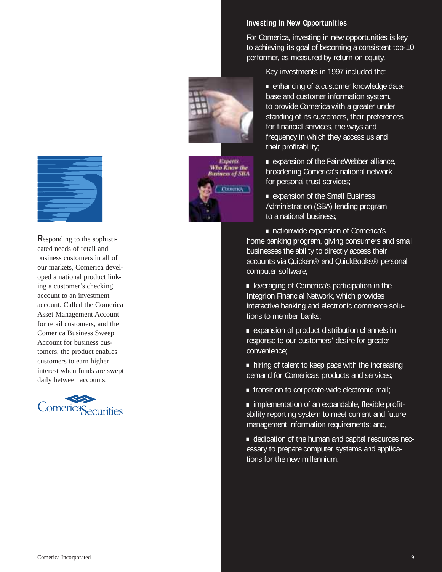

**R**esponding to the sophisticated needs of retail and business customers in all of our markets, Comerica developed a national product linking a customer's checking account to an investment account. Called the Comerica Asset Management Account for retail customers, and the Comerica Business Sweep Account for business customers, the product enables customers to earn higher interest when funds are swept daily between accounts.



### **Investing in New Opportunities**

**Experts Who Know the**<br>Business of SBA

THULTRA

For Comerica, investing in new opportunities is key to achieving its goal of becoming a consistent top-10 performer, as measured by return on equity.

Key investments in 1997 included the:

**.**enhancing of a customer knowledge database and customer information system, to provide Comerica with a greater under standing of its customers, their preferences for financial services, the ways and frequency in which they access us and their profitability;

**.**expansion of the PaineWebber alliance, broadening Comerica's national network for personal trust services;

**.**expansion of the Small Business Administration (SBA) lending program to a national business;

**.**nationwide expansion of Comerica's home banking program, giving consumers and small businesses the ability to directly access their accounts via Quicken® and QuickBooks® personal computer software;

**.**leveraging of Comerica's participation in the Integrion Financial Network, which provides interactive banking and electronic commerce solutions to member banks;

**.**expansion of product distribution channels in response to our customers' desire for greater convenience;

- **.**hiring of talent to keep pace with the increasing demand for Comerica's products and services;
- **.**transition to corporate-wide electronic mail;

**.**implementation of an expandable, flexible profitability reporting system to meet current and future management information requirements; and,

**.**dedication of the human and capital resources necessary to prepare computer systems and applications for the new millennium.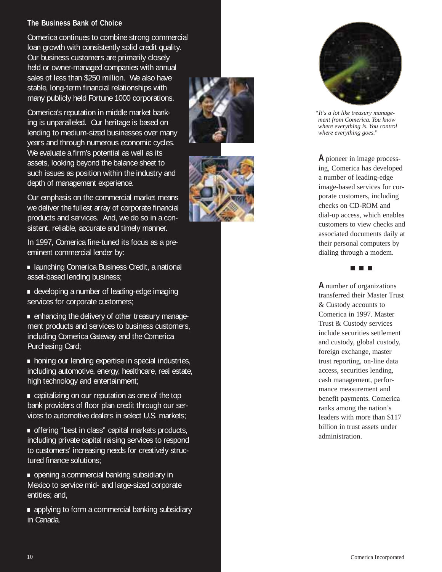# **The Business Bank of Choice**

Comerica continues to combine strong commercial loan growth with consistently solid credit quality. Our business customers are primarily closely held or owner-managed companies with annual sales of less than \$250 million. We also have stable, long-term financial relationships with many publicly held Fortune 1000 corporations.

Comerica's reputation in middle market banking is unparalleled. Our heritage is based on lending to medium-sized businesses over many years and through numerous economic cycles. We evaluate a firm's potential as well as its assets, looking beyond the balance sheet to such issues as position within the industry and depth of management experience.

Our emphasis on the commercial market means we deliver the fullest array of corporate financial products and services. And, we do so in a consistent, reliable, accurate and timely manner.

In 1997, Comerica fine-tuned its focus as a pre-

eminent commercial lender by:<br> **.** launching Comerica Business Credit, a national<br>
asset-based lending business;

• developing a number of leading-edge imaging<br>services for corporate customers;

**•** enhancing the delivery of other treasury management products and services to business customers, including Comerica Gateway and the Comerica

Purchasing Card;<br>**•** honing our lending expertise in special industries, including automotive, energy, healthcare, real estate, high technology and entertainment;<br>**•** capitalizing on our reputation as one of the top

bank providers of floor plan credit through our services to automotive dealers in select U.S. markets;<br>• offering "best in class" capital markets products,

including private capital raising services to respond to customers' increasing needs for creatively structured finance solutions;<br>**•** opening a commercial banking subsidiary in

Mexico to service mid- and large-sized corporate

entities; and,<br> **•** applying to form a commercial banking subsidiary in Canada.







*"It's a lot like treasury management from Comerica. You know where everything is. You control where everything goes."*

ing, Comerica has developed a number of leading-edge image-based services for corporate customers, including checks on CD-ROM and dial-up access, which enables customers to view checks and associated documents daily at their personal computers by dialing through a modem.



**A** number of organizations transferred their Master Trust & Custody accounts to Comerica in 1997. Master Trust & Custody services include securities settlement and custody, global custody, foreign exchange, master trust reporting, on-line data access, securities lending, cash management, performance measurement and benefit payments. Comerica ranks among the nation's leaders with more than \$117 billion in trust assets under administration. A pione is a pione in the company of the pione is a pione in image process-<br>
A pione is a pione in the company of the based of the company of the company of the company of the company of the company of the company of the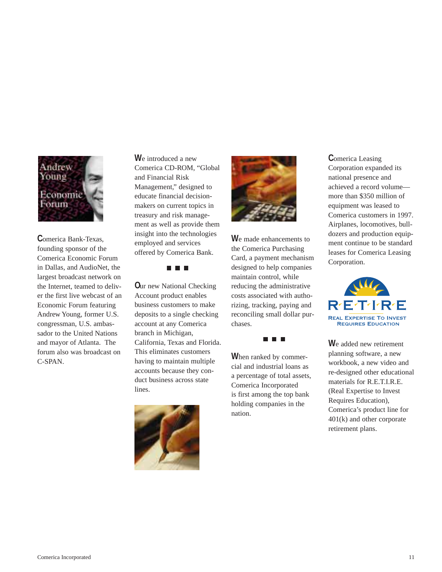

**C**omerica Bank-Texas, founding sponsor of the Comerica Economic Forum in Dallas, and AudioNet, the largest broadcast network on the Internet, teamed to deliver the first live webcast of an Economic Forum featuring Andrew Young, former U.S. congressman, U.S. ambassador to the United Nations and mayor of Atlanta. The forum also was broadcast on C-SPAN.

**W**e introduced a new Comerica CD-ROM, "Global and Financial Risk Management," designed to educate financial decisionmakers on current topics in treasury and risk management as well as provide them insight into the technologies employed and services offered by Comerica Bank.

**. . .** 

**O**ur new National Checking Account product enables business customers to make deposits to a single checking account at any Comerica branch in Michigan, California, Texas and Florida. This eliminates customers having to maintain multiple accounts because they conduct business across state lines.





**W**e made enhancements to the Comerica Purchasing Card, a payment mechanism designed to help companies maintain control, while reducing the administrative costs associated with authorizing, tracking, paying and reconciling small dollar purchases.

n n n

**W**hen ranked by commercial and industrial loans as a percentage of total assets, Comerica Incorporated is first among the top bank holding companies in the nation.

**C**omerica Leasing Corporation expanded its national presence and achieved a record volume more than \$350 million of equipment was leased to Comerica customers in 1997. Airplanes, locomotives, bulldozers and production equipment continue to be standard leases for Comerica Leasing Corporation.



**W**e added new retirement planning software, a new workbook, a new video and re-designed other educational materials for R.E.T.I.R.E. (Real Expertise to Invest Requires Education), Comerica's product line for 401(k) and other corporate retirement plans.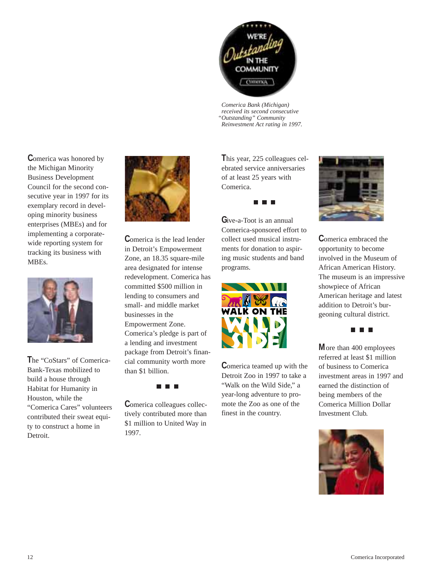COMMUNITY сопетка

*Comerica Bank (Michigan) received its second consecutive "Outstanding" Community Reinvestment Act rating in 1997.*

**C**omerica was honored by the Michigan Minority Business Development Council for the second consecutive year in 1997 for its exemplary record in developing minority business enterprises (MBEs) and for implementing a corporatewide reporting system for tracking its business with MBEs.



**T**he "CoStars" of Comerica-Bank-Texas mobilized to build a house through Habitat for Humanity in Houston, while the "Comerica Cares" volunteers contributed their sweat equity to construct a home in Detroit.



**C**omerica is the lead lender in Detroit's Empowerment Zone, an 18.35 square-mile area designated for intense redevelopment. Comerica has committed \$500 million in lending to consumers and small- and middle market businesses in the Empowerment Zone. Comerica's pledge is part of a lending and investment package from Detroit's financial community worth more than \$1 billion.



**C**omerica colleagues collectively contributed more than \$1 million to United Way in 1997.

**T**his year, 225 colleagues celebrated service anniversaries of at least 25 years with Comerica.



**G**ive-a-Toot is an annual Comerica-sponsored effort to collect used musical instruments for donation to aspiring music students and band programs.



**C**omerica teamed up with the Detroit Zoo in 1997 to take a "Walk on the Wild Side," a year-long adventure to promote the Zoo as one of the finest in the country.



**C**omerica embraced the opportunity to become involved in the Museum of African American History. The museum is an impressive showpiece of African American heritage and latest addition to Detroit's burgeoning cultural district.



**M**ore than 400 employees referred at least \$1 million of business to Comerica investment areas in 1997 and earned the distinction of being members of the Comerica Million Dollar Investment Club.

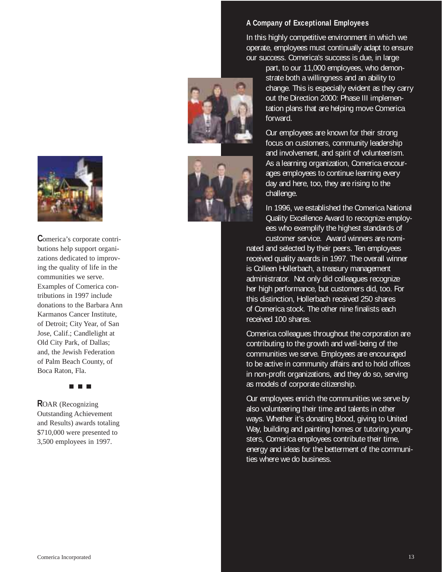

**Comerica's corporate contri-**<br>butions help support organizations dedicated to improv-<br>ing the quality of life in the<br>communities we serve.<br>Examples of Comerica con-<br>tributions in 1997 include<br>donations to the Barbara Anr<br> butions help support organizations dedicated to improving the quality of life in the communities we serve. Examples of Comerica contributions in 1997 include donations to the Barbara Ann Karmanos Cancer Institute, of Detroit; City Year, of San Jose, Calif.; Candlelight at Old City Park, of Dallas; and, the Jewish Federation of Palm Beach County, of Boca Raton, Fla.

**R**OAR (Recognizing Outstanding Achievement and Results) awards totaling \$710,000 were presented to

# **A Company of Exceptional Employees**

In this highly competitive environment in which we operate, employees must continually adapt to ensure our success. Comerica's success is due, in large

> part, to our 11,000 employees, who demonstrate both a willingness and an ability to change. This is especially evident as they carry out the Direction 2000: Phase III implementation plans that are helping move Comerica forward.

Our employees are known for their strong focus on customers, community leadership and involvement, and spirit of volunteerism. As a learning organization, Comerica encourages employees to continue learning every day and here, too, they are rising to the challenge.

In 1996, we established the Comerica National Quality Excellence Award to recognize employees who exemplify the highest standards of customer service. Award winners are nominated and selected by their peers. Ten employees received quality awards in 1997. The overall winner

is Colleen Hollerbach, a treasury management administrator. Not only did colleagues recognize her high performance, but customers did, too. For this distinction, Hollerbach received 250 shares of Comerica stock. The other nine finalists each received 100 shares.

Comerica colleagues throughout the corporation are contributing to the growth and well-being of the communities we serve. Employees are encouraged to be active in community affairs and to hold offices in non-profit organizations, and they do so, serving as models of corporate citizenship.

Our employees enrich the communities we serve by also volunteering their time and talents in other ways. Whether it's donating blood, giving to United Way, building and painting homes or tutoring youngsters, Comerica employees contribute their time, energy and ideas for the betterment of the communities where we do business.



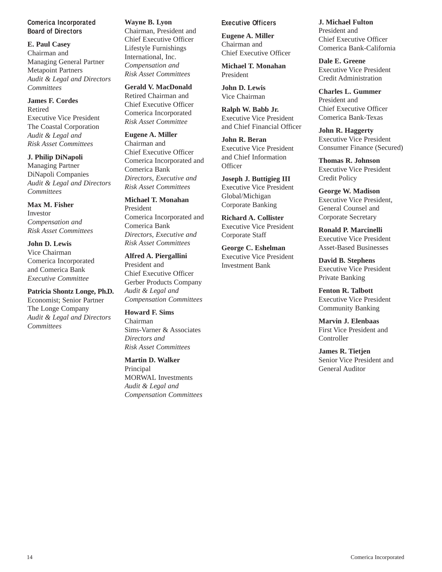# **Comerica Incorporated Board of Directors**

**E. Paul Casey** Chairman and Managing General Partner Metapoint Partners *Audit & Legal and Directors Committees*

# **James F. Cordes**

Retired Executive Vice President The Coastal Corporation *Audit & Legal and Risk Asset Committees*

**J. Philip DiNapoli** Managing Partner DiNapoli Companies *Audit & Legal and Directors Committees*

**Max M. Fisher** Investor *Compensation and Risk Asset Committees*

**John D. Lewis** Vice Chairman Comerica Incorporated and Comerica Bank *Executive Committee*

**Patricia Shontz Longe, Ph.D.** Economist; Senior Partner The Longe Company *Audit & Legal and Directors Committees*

# **Wayne B. Lyon**

Chairman, President and Chief Executive Officer Lifestyle Furnishings International, Inc. *Compensation and Risk Asset Committees*

**Gerald V. MacDonald** Retired Chairman and Chief Executive Officer Comerica Incorporated *Risk Asset Committee*

**Eugene A. Miller** Chairman and Chief Executive Officer Comerica Incorporated and Comerica Bank *Directors, Executive and Risk Asset Committees*

**Michael T. Monahan** President Comerica Incorporated and Comerica Bank *Directors, Executive and Risk Asset Committees*

**Alfred A. Piergallini** President and Chief Executive Officer Gerber Products Company *Audit & Legal and Compensation Committees*

**Howard F. Sims** Chairman Sims-Varner & Associates *Directors and Risk Asset Committees*

**Martin D. Walker** Principal MORWAL Investments *Audit & Legal and Compensation Committees*

# **Executive Officers**

**Eugene A. Miller** Chairman and Chief Executive Officer

**Michael T. Monahan** President

**John D. Lewis** Vice Chairman

**Ralph W. Babb Jr.** Executive Vice President and Chief Financial Officer

**John R. Beran** Executive Vice President and Chief Information **Officer** 

**Joseph J. Buttigieg III**  Executive Vice President Global/Michigan Corporate Banking

**Richard A. Collister**  Executive Vice President Corporate Staff

**George C. Eshelman**  Executive Vice President Investment Bank

**J. Michael Fulton** President and Chief Executive Officer Comerica Bank-California

**Dale E. Greene** Executive Vice President Credit Administration

**Charles L. Gummer**  President and Chief Executive Officer Comerica Bank-Texas

**John R. Haggerty** Executive Vice President Consumer Finance (Secured)

**Thomas R. Johnson** Executive Vice President Credit Policy

**George W. Madison** Executive Vice President, General Counsel and Corporate Secretary

**Ronald P. Marcinelli** Executive Vice President Asset-Based Businesses

**David B. Stephens** Executive Vice President Private Banking

**Fenton R. Talbott** Executive Vice President Community Banking

**Marvin J. Elenbaas** First Vice President and **Controller** 

**James R. Tietjen**  Senior Vice President and General Auditor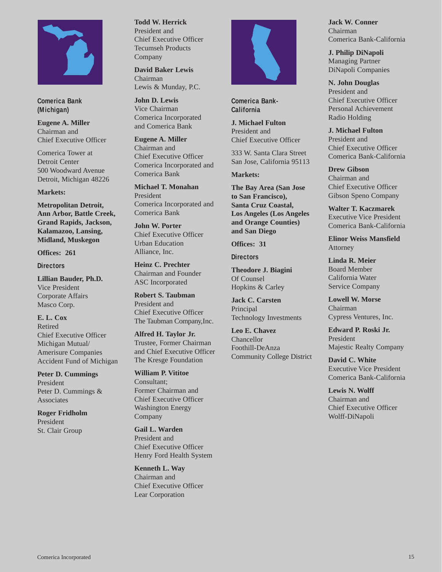

**Comerica Bank (Michigan)**

**Eugene A. Miller** Chairman and Chief Executive Officer

Comerica Tower at Detroit Center 500 Woodward Avenue Detroit, Michigan 48226

#### **Markets:**

**Metropolitan Detroit, Ann Arbor, Battle Creek, Grand Rapids, Jackson, Kalamazoo, Lansing, Midland, Muskegon**

**Offices: 261**

**Directors**

**Lillian Bauder, Ph.D.** Vice President Corporate Affairs Masco Corp.

**E. L. Cox** Retired Chief Executive Officer Michigan Mutual/ Amerisure Companies Accident Fund of Michigan

**Peter D. Cummings** President Peter D. Cummings & Associates

**Roger Fridholm** President St. Clair Group

#### **Todd W. Herrick**

President and Chief Executive Officer Tecumseh Products Company

**David Baker Lewis** Chairman Lewis & Munday, P.C.

**John D. Lewis** Vice Chairman Comerica Incorporated and Comerica Bank

**Eugene A. Miller** Chairman and Chief Executive Officer Comerica Incorporated and Comerica Bank

**Michael T. Monahan** President Comerica Incorporated and Comerica Bank

**John W. Porter** Chief Executive Officer Urban Education Alliance, Inc.

**Heinz C. Prechter** Chairman and Founder ASC Incorporated

**Robert S. Taubman** President and Chief Executive Officer The Taubman Company,Inc.

**Alfred H. Taylor Jr.** Trustee, Former Chairman and Chief Executive Officer The Kresge Foundation

**William P. Vititoe** Consultant; Former Chairman and Chief Executive Officer Washington Energy Company

**Gail L. Warden** President and Chief Executive Officer Henry Ford Health System

**Kenneth L. Way** Chairman and Chief Executive Officer Lear Corporation



**Comerica Bank-California**

**J. Michael Fulton** President and Chief Executive Officer

333 W. Santa Clara Street San Jose, California 95113

**Markets:**

**The Bay Area (San Jose to San Francisco), Santa Cruz Coastal, Los Angeles (Los Angeles and Orange Counties) and San Diego**

**Offices: 31**

**Directors**

**Theodore J. Biagini** Of Counsel Hopkins & Carley

**Jack C. Carsten** Principal Technology Investments

**Leo E. Chavez** Chancellor Foothill-DeAnza Community College District **Jack W. Conner** Chairman Comerica Bank-California

**J. Philip DiNapoli** Managing Partner DiNapoli Companies

**N. John Douglas** President and Chief Executive Officer Personal Achievement Radio Holding

**J. Michael Fulton** President and Chief Executive Officer Comerica Bank-California

**Drew Gibson** Chairman and Chief Executive Officer Gibson Speno Company

**Walter T. Kaczmarek** Executive Vice President Comerica Bank-California

**Elinor Weiss Mansfield** Attorney

**Linda R. Meier** Board Member California Water Service Company

**Lowell W. Morse** Chairman Cypress Ventures, Inc.

**Edward P. Roski Jr.** President Majestic Realty Company

**David C. White** Executive Vice President Comerica Bank-California

**Lewis N. Wolff** Chairman and Chief Executive Officer Wolff-DiNapoli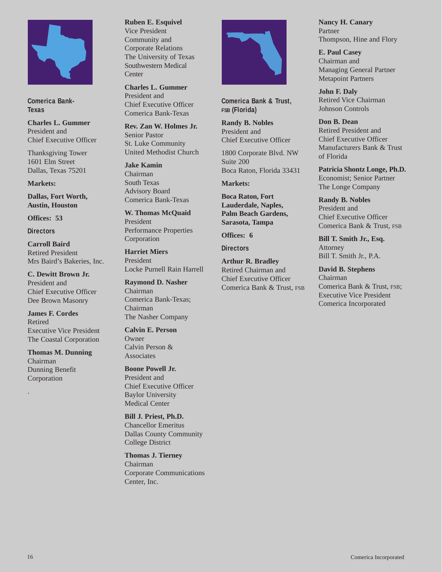

**Comerica Bank-Texas**

**Charles L. Gummer** President and Chief Executive Officer

Thanksgiving Tower 1601 Elm Street Dallas, Texas 75201

**Markets:**

**Dallas, Fort Worth, Austin, Houston**

**Offices: 53**

**Directors**

**Carroll Baird** Retired President Mrs Baird's Bakeries, Inc.

**C. Dewitt Brown Jr.** President and Chief Executive Officer Dee Brown Masonry

**James F. Cordes** Retired Executive Vice President The Coastal Corporation

**Thomas M. Dunning** Chairman Dunning Benefit Corporation

.

# **Ruben E. Esquivel**

Vice President Community and Corporate Relations The University of Texas Southwestern Medical **Center** 

**Charles L. Gummer** President and Chief Executive Officer Comerica Bank-Texas

**Rev. Zan W. Holmes Jr.** Senior Pastor St. Luke Community United Methodist Church

**Jake Kamin** Chairman South Texas Advisory Board Comerica Bank-Texas

**W. Thomas McQuaid** President Performance Properties Corporation

**Harriet Miers** President Locke Purnell Rain Harrell

**Raymond D. Nasher** Chairman Comerica Bank-Texas; Chairman The Nasher Company

**Calvin E. Person Owner** Calvin Person & Associates

**Boone Powell Jr.** President and Chief Executive Officer Baylor University Medical Center

**Bill J. Priest, Ph.D.** Chancellor Emeritus Dallas County Community College District

**Thomas J. Tierney** Chairman Corporate Communications Center, Inc.



**Comerica Bank & Trust, FSB (Florida)**

**Randy B. Nobles** President and Chief Executive Officer

1800 Corporate Blvd. NW Suite 200 Boca Raton, Florida 33431

**Markets:**

**Boca Raton, Fort Lauderdale, Naples, Palm Beach Gardens, Sarasota, Tampa**

**Offices: 6**

**Directors**

**Arthur R. Bradley** Retired Chairman and Chief Executive Officer Comerica Bank & Trust, FSB **Nancy H. Canary** Partner Thompson, Hine and Flory

**E. Paul Casey** Chairman and Managing General Partner Metapoint Partners

**John F. Daly** Retired Vice Chairman Johnson Controls

**Don B. Dean** Retired President and Chief Executive Officer Manufacturers Bank & Trust of Florida

**Patricia Shontz Longe, Ph.D.** Economist; Senior Partner The Longe Company

**Randy B. Nobles** President and Chief Executive Officer Comerica Bank & Trust, FSB

**Bill T. Smith Jr., Esq.** Attorney Bill T. Smith Jr., P.A.

**David B. Stephens** Chairman Comerica Bank & Trust, FSB; Executive Vice President Comerica Incorporated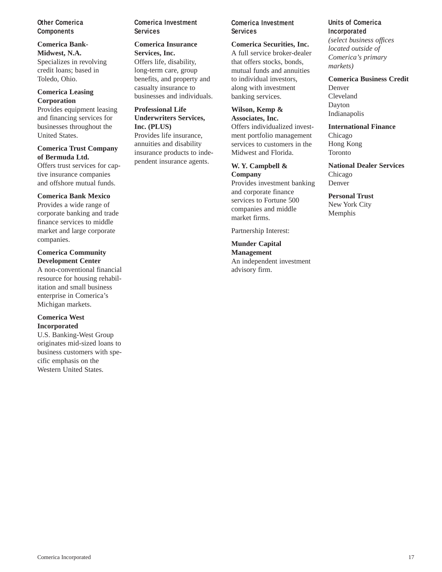### **Other Comerica Components**

**Comerica Bank-Midwest, N.A.** Specializes in revolving credit loans; based in Toledo, Ohio.

#### **Comerica Leasing Corporation**

Provides equipment leasing and financing services for businesses throughout the United States.

#### **Comerica Trust Company of Bermuda Ltd.**

Offers trust services for captive insurance companies and offshore mutual funds.

### **Comerica Bank Mexico**

Provides a wide range of corporate banking and trade finance services to middle market and large corporate companies.

### **Comerica Community Development Center**

A non-conventional financial resource for housing rehabilitation and small business enterprise in Comerica's Michigan markets.

# **Comerica West Incorporated**

U.S. Banking-West Group originates mid-sized loans to business customers with specific emphasis on the Western United States.

**Comerica Investment Services**

# **Comerica Insurance**

**Services, Inc.**  Offers life, disability, long-term care, group benefits, and property and casualty insurance to businesses and individuals.

# **Professional Life**

**Underwriters Services, Inc. (PLUS)**  Provides life insurance, annuities and disability insurance products to independent insurance agents.

# **Comerica Investment Services**

**Comerica Securities, Inc.** A full service broker-dealer that offers stocks, bonds, mutual funds and annuities to individual investors, along with investment banking services.

# **Wilson, Kemp &**

**Associates, Inc.** Offers individualized investment portfolio management services to customers in the Midwest and Florida.

#### **W. Y. Campbell & Company**

Provides investment banking and corporate finance services to Fortune 500 companies and middle market firms.

Partnership Interest:

**Munder Capital Management** An independent investment advisory firm.

**Units of Comerica Incorporated** *(select business offices located outside of Comerica's primary markets)*

#### **Comerica Business Credit** Denver

Cleveland Dayton Indianapolis

**International Finance**

Chicago Hong Kong Toronto

**National Dealer Services** Chicago Denver

**Personal Trust** New York City Memphis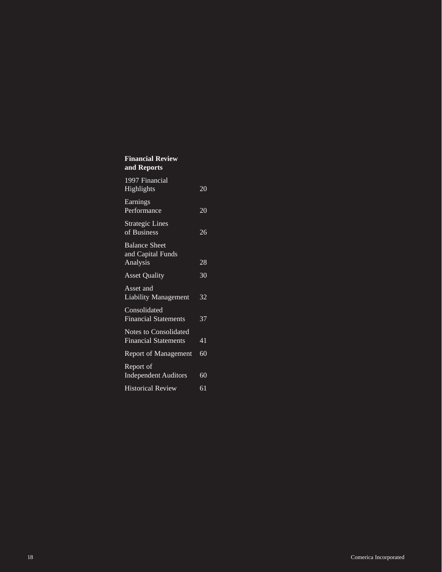# **Financial Review and Reports**

| 1997 Financial<br>Highlights                          | 20 |
|-------------------------------------------------------|----|
| Earnings<br>Performance                               | 20 |
| <b>Strategic Lines</b><br>of Business                 | 26 |
| <b>Balance Sheet</b><br>and Capital Funds<br>Analysis | 28 |
| <b>Asset Quality</b>                                  | 30 |
| Asset and<br><b>Liability Management</b>              | 32 |
| Consolidated<br><b>Financial Statements</b>           | 37 |
| Notes to Consolidated<br><b>Financial Statements</b>  | 41 |
| <b>Report of Management</b>                           | 60 |
| Report of<br><b>Independent Auditors</b>              | 60 |
| <b>Historical Review</b>                              | 61 |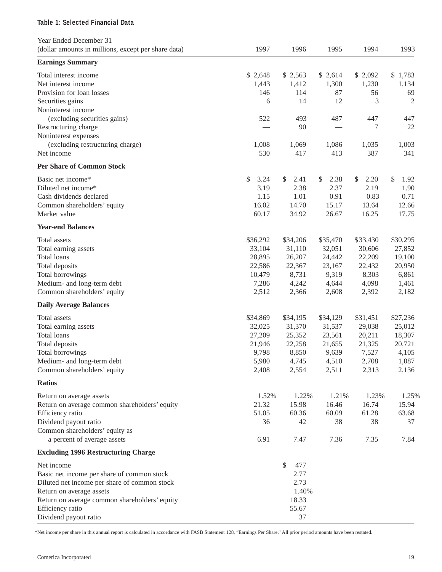# **Table 1: Selected Financial Data**

| Year Ended December 31                              |            |            |            |            |            |
|-----------------------------------------------------|------------|------------|------------|------------|------------|
| (dollar amounts in millions, except per share data) | 1997       | 1996       | 1995       | 1994       | 1993       |
| <b>Earnings Summary</b>                             |            |            |            |            |            |
| Total interest income                               | \$2,648    | \$2,563    | \$2,614    | \$2,092    | \$1,783    |
| Net interest income                                 | 1,443      | 1,412      | 1,300      | 1,230      | 1,134      |
| Provision for loan losses                           | 146        | 114        | 87         | 56         | 69         |
| Securities gains                                    | 6          | 14         | 12         | 3          | 2          |
| Noninterest income                                  |            |            |            |            |            |
| (excluding securities gains)                        | 522        | 493        | 487        | 447        | 447        |
| Restructuring charge                                |            | 90         |            | 7          | 22         |
| Noninterest expenses                                |            |            |            |            |            |
| (excluding restructuring charge)                    | 1,008      | 1,069      | 1,086      | 1,035      | 1,003      |
| Net income                                          | 530        | 417        | 413        | 387        | 341        |
| <b>Per Share of Common Stock</b>                    |            |            |            |            |            |
| Basic net income*                                   | \$<br>3.24 | \$<br>2.41 | \$<br>2.38 | \$<br>2.20 | \$<br>1.92 |
| Diluted net income*                                 | 3.19       | 2.38       | 2.37       | 2.19       | 1.90       |
| Cash dividends declared                             | 1.15       | 1.01       | 0.91       | 0.83       | 0.71       |
| Common shareholders' equity                         | 16.02      | 14.70      | 15.17      | 13.64      | 12.66      |
| Market value                                        | 60.17      | 34.92      | 26.67      | 16.25      | 17.75      |
| <b>Year-end Balances</b>                            |            |            |            |            |            |
|                                                     |            |            |            |            |            |
| Total assets                                        | \$36,292   | \$34,206   | \$35,470   | \$33,430   | \$30,295   |
| Total earning assets                                | 33,104     | 31,110     | 32,051     | 30,606     | 27,852     |
| Total loans                                         | 28,895     | 26,207     | 24,442     | 22,209     | 19,100     |
| Total deposits                                      | 22,586     | 22,367     | 23,167     | 22,432     | 20,950     |
| Total borrowings                                    | 10,479     | 8,731      | 9,319      | 8,303      | 6,861      |
| Medium- and long-term debt                          | 7,286      | 4,242      | 4,644      | 4,098      | 1,461      |
| Common shareholders' equity                         | 2,512      | 2,366      | 2,608      | 2,392      | 2,182      |
| <b>Daily Average Balances</b>                       |            |            |            |            |            |
| Total assets                                        | \$34,869   | \$34,195   | \$34,129   | \$31,451   | \$27,236   |
| Total earning assets                                | 32,025     | 31,370     | 31,537     | 29,038     | 25,012     |
| Total loans                                         | 27,209     | 25,352     | 23,561     | 20,211     | 18,307     |
| Total deposits                                      | 21,946     | 22,258     | 21,655     | 21,325     | 20,721     |
| Total borrowings                                    | 9,798      | 8,850      | 9,639      | 7,527      | 4,105      |
| Medium- and long-term debt                          | 5,980      | 4,745      | 4,510      | 2,708      | 1,087      |
| Common shareholders' equity                         | 2,408      | 2,554      | 2,511      | 2,313      | 2,136      |
| <b>Ratios</b>                                       |            |            |            |            |            |
| Return on average assets                            | 1.52%      | 1.22%      | 1.21%      | 1.23%      | 1.25%      |
| Return on average common shareholders' equity       | 21.32      | 15.98      | 16.46      | 16.74      | 15.94      |
| Efficiency ratio                                    | 51.05      | 60.36      | 60.09      | 61.28      | 63.68      |
| Dividend payout ratio                               | 36         | 42         | 38         | 38         | 37         |
| Common shareholders' equity as                      |            |            |            |            |            |
| a percent of average assets                         | 6.91       | 7.47       | 7.36       | 7.35       | 7.84       |
| <b>Excluding 1996 Restructuring Charge</b>          |            |            |            |            |            |
| Net income                                          |            | \$<br>477  |            |            |            |
| Basic net income per share of common stock          |            | 2.77       |            |            |            |
| Diluted net income per share of common stock        |            | 2.73       |            |            |            |
| Return on average assets                            |            | 1.40%      |            |            |            |
| Return on average common shareholders' equity       |            | 18.33      |            |            |            |
| Efficiency ratio                                    |            | 55.67      |            |            |            |
| Dividend payout ratio                               |            | 37         |            |            |            |

\*Net income per share in this annual report is calculated in accordance with FASB Statement 128, "Earnings Per Share." All prior period amounts have been restated.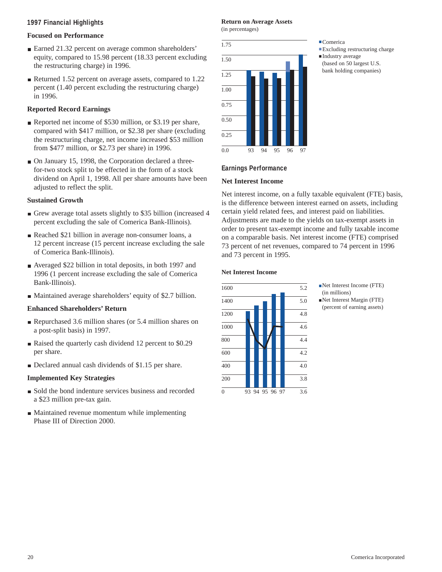#### **1997 Financial Highlights**

# **Focused on Performance**

- Earned 21.32 percent on average common shareholders' equity, compared to 15.98 percent (18.33 percent excluding the restructuring charge) in 1996.
- Returned 1.52 percent on average assets, compared to 1.22 percent (1.40 percent excluding the restructuring charge) in 1996.

# **Reported Record Earnings**

- Reported net income of \$530 million, or \$3.19 per share, compared with \$417 million, or \$2.38 per share (excluding the restructuring charge, net income increased \$53 million from \$477 million, or \$2.73 per share) in 1996.
- On January 15, 1998, the Corporation declared a threefor-two stock split to be effected in the form of a stock dividend on April 1, 1998. All per share amounts have been adjusted to reflect the split.

# **Sustained Growth**

- Grew average total assets slightly to \$35 billion (increased 4 percent excluding the sale of Comerica Bank-Illinois).
- Reached \$21 billion in average non-consumer loans, a 12 percent increase (15 percent increase excluding the sale of Comerica Bank-Illinois).
- Averaged \$22 billion in total deposits, in both 1997 and 1996 (1 percent increase excluding the sale of Comerica Bank-Illinois).
- Maintained average shareholders' equity of \$2.7 billion.

# **Enhanced Shareholders' Return**

- Repurchased 3.6 million shares (or 5.4 million shares on a post-split basis) in 1997.
- Raised the quarterly cash dividend 12 percent to \$0.29 per share.
- Declared annual cash dividends of \$1.15 per share.

# **Implemented Key Strategies**

- Sold the bond indenture services business and recorded a \$23 million pre-tax gain.
- Maintained revenue momentum while implementing Phase III of Direction 2000.

# **Return on Average Assets**

(in percentages)



- **.**Comerica
- **.**Excluding restructuring charge
- **.**Industry average (based on 50 largest U.S. bank holding companies)

**Earnings Performance**

#### **Net Interest Income**

Net interest income, on a fully taxable equivalent (FTE) basis, is the difference between interest earned on assets, including certain yield related fees, and interest paid on liabilities. Adjustments are made to the yields on tax-exempt assets in order to present tax-exempt income and fully taxable income on a comparable basis. Net interest income (FTE) comprised 73 percent of net revenues, compared to 74 percent in 1996 and 73 percent in 1995.

#### **Net Interest Income**



- **.**Net Interest Income (FTE) (in millions)
- **.**Net Interest Margin (FTE) (percent of earning assets)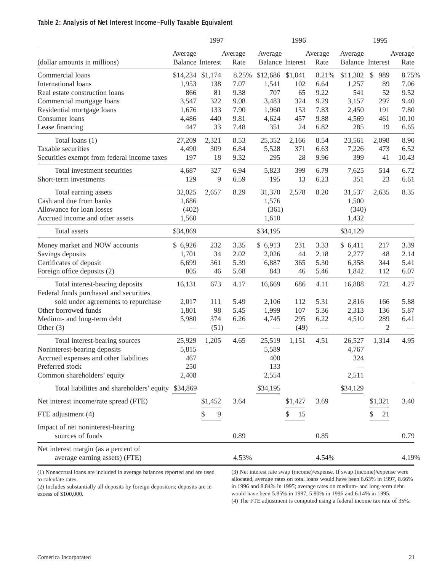### **Table 2: Analysis of Net Interest Income–Fully Taxable Equivalent**

|                                             |                         | 1997    |         |                         | 1996    |                   |                  | 1995                 |                          |
|---------------------------------------------|-------------------------|---------|---------|-------------------------|---------|-------------------|------------------|----------------------|--------------------------|
|                                             | Average                 |         | Average | Average                 |         | Average           | Average          |                      | Average                  |
| (dollar amounts in millions)                | <b>Balance Interest</b> |         | Rate    | <b>Balance Interest</b> |         | Rate              | Balance Interest |                      | Rate                     |
| Commercial loans                            | \$14,234 \$1,174        |         | 8.25%   | \$12,686 \$1,041        |         | 8.21%             | \$11,302         | $\mathcal{S}$<br>989 | 8.75%                    |
| International loans                         | 1,953                   | 138     | 7.07    | 1,541                   | 102     | 6.64              | 1,257            | 89                   | 7.06                     |
| Real estate construction loans              | 866                     | 81      | 9.38    | 707                     | 65      | 9.22              | 541              | 52                   | 9.52                     |
| Commercial mortgage loans                   | 3,547                   | 322     | 9.08    | 3,483                   | 324     | 9.29              | 3,157            | 297                  | 9.40                     |
| Residential mortgage loans                  | 1,676                   | 133     | 7.90    | 1,960                   | 153     | 7.83              | 2,450            | 191                  | 7.80                     |
| Consumer loans                              | 4,486                   | 440     | 9.81    | 4,624                   | 457     | 9.88              | 4,569            | 461                  | 10.10                    |
| Lease financing                             | 447                     | 33      | 7.48    | 351                     | 24      | 6.82              | 285              | 19                   | 6.65                     |
| Total loans (1)                             | 27,209                  | 2,321   | 8.53    | 25,352                  | 2,166   | 8.54              | 23,561           | 2,098                | 8.90                     |
| Taxable securities                          | 4,490                   | 309     | 6.84    | 5,528                   | 371     | 6.63              | 7,226            | 473                  | 6.52                     |
| Securities exempt from federal income taxes | 197                     | 18      | 9.32    | 295                     | 28      | 9.96              | 399              | 41                   | 10.43                    |
| Total investment securities                 | 4,687                   | 327     | 6.94    | 5,823                   | 399     | 6.79              | 7,625            | 514                  | 6.72                     |
| Short-term investments                      | 129                     | 9       | 6.59    | 195                     | 13      | 6.23              | 351              | 23                   | 6.61                     |
| Total earning assets                        | 32,025                  | 2,657   | 8.29    | 31,370                  | 2,578   | 8.20              | 31,537           | 2,635                | 8.35                     |
| Cash and due from banks                     | 1,686                   |         |         | 1,576                   |         |                   | 1,500            |                      |                          |
| Allowance for loan losses                   | (402)                   |         |         | (361)                   |         |                   | (340)            |                      |                          |
| Accrued income and other assets             | 1,560                   |         |         | 1,610                   |         |                   | 1,432            |                      |                          |
| Total assets                                | \$34,869                |         |         | \$34,195                |         |                   | \$34,129         |                      |                          |
| Money market and NOW accounts               | \$6,926                 | 232     | 3.35    | \$6,913                 | 231     | 3.33              | \$6,411          | 217                  | 3.39                     |
| Savings deposits                            | 1,701                   | 34      | 2.02    | 2,026                   | 44      | 2.18              | 2,277            | 48                   | 2.14                     |
| Certificates of deposit                     | 6,699                   | 361     | 5.39    | 6,887                   | 365     | 5.30              | 6,358            | 344                  | 5.41                     |
| Foreign office deposits (2)                 | 805                     | 46      | 5.68    | 843                     | 46      | 5.46              | 1,842            | 112                  | 6.07                     |
| Total interest-bearing deposits             | 16,131                  | 673     | 4.17    | 16,669                  | 686     | 4.11              | 16,888           | 721                  | 4.27                     |
| Federal funds purchased and securities      |                         |         |         |                         |         |                   |                  |                      |                          |
| sold under agreements to repurchase         | 2,017                   | 111     | 5.49    | 2,106                   | 112     | 5.31              | 2,816            | 166                  | 5.88                     |
| Other borrowed funds                        | 1,801                   | 98      | 5.45    | 1,999                   | 107     | 5.36              | 2,313            | 136                  | 5.87                     |
| Medium- and long-term debt                  | 5,980                   | 374     | 6.26    | 4,745                   | 295     | 6.22              | 4,510            | 289                  | 6.41                     |
| Other $(3)$                                 |                         | (51)    |         |                         | (49)    | $\hspace{0.05cm}$ |                  | $\overline{c}$       | $\overline{\phantom{a}}$ |
| Total interest-bearing sources              | 25,929                  | 1,205   | 4.65    | 25,519                  | 1,151   | 4.51              | 26,527           | 1,314                | 4.95                     |
| Noninterest-bearing deposits                | 5,815                   |         |         | 5,589                   |         |                   | 4,767            |                      |                          |
| Accrued expenses and other liabilities      | 467                     |         |         | 400                     |         |                   | 324              |                      |                          |
| Preferred stock                             | 250                     |         |         | 133                     |         |                   |                  |                      |                          |
| Common shareholders' equity                 | 2,408                   |         |         | 2,554                   |         |                   | 2,511            |                      |                          |
| Total liabilities and shareholders' equity  | \$34,869                |         |         | \$34,195                |         |                   | \$34,129         |                      |                          |
| Net interest income/rate spread (FTE)       |                         | \$1,452 | 3.64    |                         | \$1,427 | 3.69              |                  | \$1,321              | 3.40                     |
| FTE adjustment (4)                          |                         | \$<br>9 |         |                         | S<br>15 |                   |                  | 21                   |                          |
| Impact of net noninterest-bearing           |                         |         |         |                         |         |                   |                  |                      |                          |
| sources of funds                            |                         |         | 0.89    |                         |         | 0.85              |                  |                      | 0.79                     |
| Net interest margin (as a percent of        |                         |         |         |                         |         |                   |                  |                      |                          |
| average earning assets) (FTE)               |                         |         | 4.53%   |                         |         | 4.54%             |                  |                      | 4.19%                    |

(1) Nonaccrual loans are included in average balances reported and are used to calculate rates.

(2) Includes substantially all deposits by foreign depositors; deposits are in excess of \$100,000.

(3) Net interest rate swap (income)/expense. If swap (income)/expense were allocated, average rates on total loans would have been 8.63% in 1997, 8.66% in 1996 and 8.84% in 1995; average rates on medium- and long-term debt would have been 5.85% in 1997, 5.80% in 1996 and 6.14% in 1995. (4) The FTE adjustment is computed using a federal income tax rate of 35%.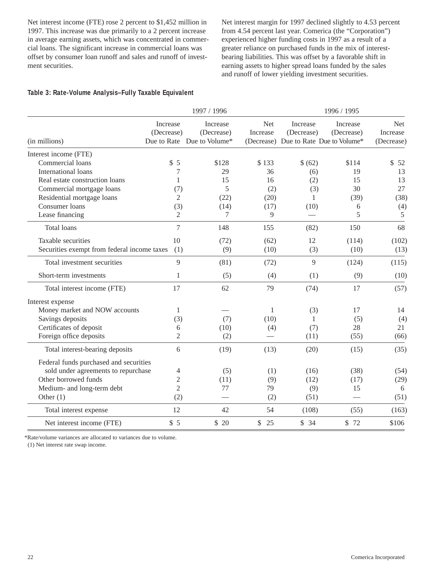Net interest income (FTE) rose 2 percent to \$1,452 million in 1997. This increase was due primarily to a 2 percent increase in average earning assets, which was concentrated in commercial loans. The significant increase in commercial loans was offset by consumer loan runoff and sales and runoff of investment securities.

Net interest margin for 1997 declined slightly to 4.53 percent from 4.54 percent last year. Comerica (the "Corporation") experienced higher funding costs in 1997 as a result of a greater reliance on purchased funds in the mix of interestbearing liabilities. This was offset by a favorable shift in earning assets to higher spread loans funded by the sales and runoff of lower yielding investment securities.

#### **Table 3: Rate-Volume Analysis–Fully Taxable Equivalent**

|                                             |                        | 1997 / 1996                                          |                          | 1996 / 1995            |                                                                 |                                      |  |  |
|---------------------------------------------|------------------------|------------------------------------------------------|--------------------------|------------------------|-----------------------------------------------------------------|--------------------------------------|--|--|
| (in millions)                               | Increase<br>(Decrease) | Increase<br>(Decrease)<br>Due to Rate Due to Volume* | <b>Net</b><br>Increase   | Increase<br>(Decrease) | Increase<br>(Decrease)<br>(Decrease) Due to Rate Due to Volume* | <b>Net</b><br>Increase<br>(Decrease) |  |  |
| Interest income (FTE)                       |                        |                                                      |                          |                        |                                                                 |                                      |  |  |
| Commercial loans                            | \$5                    | \$128                                                | \$133                    | \$ (62)                | \$114                                                           | \$<br>52                             |  |  |
| International loans                         |                        | 29                                                   | 36                       | (6)                    | 19                                                              | 13                                   |  |  |
| Real estate construction loans              | 1                      | 15                                                   | 16                       | (2)                    | 15                                                              | 13                                   |  |  |
| Commercial mortgage loans                   | (7)                    | 5                                                    | (2)                      | (3)                    | 30                                                              | 27                                   |  |  |
| Residential mortgage loans                  | 2                      | (22)                                                 | (20)                     | 1                      | (39)                                                            | (38)                                 |  |  |
| Consumer loans                              | (3)                    | (14)                                                 | (17)                     | (10)                   | 6                                                               | (4)                                  |  |  |
| Lease financing                             | 2                      | 7                                                    | 9                        |                        | 5                                                               | 5                                    |  |  |
| <b>Total loans</b>                          | 7                      | 148                                                  | 155                      | (82)                   | 150                                                             | 68                                   |  |  |
| Taxable securities                          | 10                     | (72)                                                 | (62)                     | 12                     | (114)                                                           | (102)                                |  |  |
| Securities exempt from federal income taxes | (1)                    | (9)                                                  | (10)                     | (3)                    | (10)                                                            | (13)                                 |  |  |
| Total investment securities                 | 9                      | (81)                                                 | (72)                     | 9                      | (124)                                                           | (115)                                |  |  |
| Short-term investments                      | 1                      | (5)                                                  | (4)                      | (1)                    | (9)                                                             | (10)                                 |  |  |
| Total interest income (FTE)                 | 17                     | 62                                                   | 79                       | (74)                   | 17                                                              | (57)                                 |  |  |
| Interest expense                            |                        |                                                      |                          |                        |                                                                 |                                      |  |  |
| Money market and NOW accounts               | 1                      |                                                      | 1                        | (3)                    | 17                                                              | 14                                   |  |  |
| Savings deposits                            | (3)                    | (7)                                                  | (10)                     | $\mathbf{1}$           | (5)                                                             | (4)                                  |  |  |
| Certificates of deposit                     | 6                      | (10)                                                 | (4)                      | (7)                    | 28                                                              | 21                                   |  |  |
| Foreign office deposits                     | 2                      | (2)                                                  | $\overline{\phantom{0}}$ | (11)                   | (55)                                                            | (66)                                 |  |  |
| Total interest-bearing deposits             | 6                      | (19)                                                 | (13)                     | (20)                   | (15)                                                            | (35)                                 |  |  |
| Federal funds purchased and securities      |                        |                                                      |                          |                        |                                                                 |                                      |  |  |
| sold under agreements to repurchase         | 4                      | (5)                                                  | (1)                      | (16)                   | (38)                                                            | (54)                                 |  |  |
| Other borrowed funds                        | $\mathfrak{2}$         | (11)                                                 | (9)                      | (12)                   | (17)                                                            | (29)                                 |  |  |
| Medium- and long-term debt                  | $\mathfrak{2}$         | 77                                                   | 79                       | (9)                    | 15                                                              | 6                                    |  |  |
| Other $(1)$                                 | (2)                    |                                                      | (2)                      | (51)                   |                                                                 | (51)                                 |  |  |
| Total interest expense                      | 12                     | 42                                                   | 54                       | (108)                  | (55)                                                            | (163)                                |  |  |
| Net interest income (FTE)                   | \$5                    | \$20                                                 | $\mathbb{S}$<br>25       | \$34                   | \$72                                                            | \$106                                |  |  |

\*Rate/volume variances are allocated to variances due to volume.

(1) Net interest rate swap income.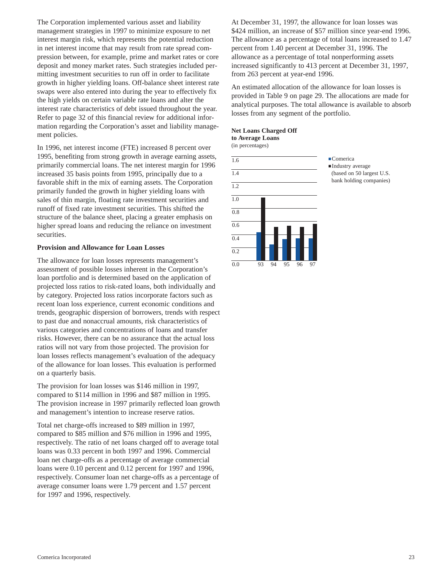The Corporation implemented various asset and liability management strategies in 1997 to minimize exposure to net interest margin risk, which represents the potential reduction in net interest income that may result from rate spread compression between, for example, prime and market rates or core deposit and money market rates. Such strategies included permitting investment securities to run off in order to facilitate growth in higher yielding loans. Off-balance sheet interest rate swaps were also entered into during the year to effectively fix the high yields on certain variable rate loans and alter the interest rate characteristics of debt issued throughout the year. Refer to page 32 of this financial review for additional information regarding the Corporation's asset and liability management policies.

In 1996, net interest income (FTE) increased 8 percent over 1995, benefiting from strong growth in average earning assets, primarily commercial loans. The net interest margin for 1996 increased 35 basis points from 1995, principally due to a favorable shift in the mix of earning assets. The Corporation primarily funded the growth in higher yielding loans with sales of thin margin, floating rate investment securities and runoff of fixed rate investment securities. This shifted the structure of the balance sheet, placing a greater emphasis on higher spread loans and reducing the reliance on investment securities.

#### **Provision and Allowance for Loan Losses**

The allowance for loan losses represents management's assessment of possible losses inherent in the Corporation's loan portfolio and is determined based on the application of projected loss ratios to risk-rated loans, both individually and by category. Projected loss ratios incorporate factors such as recent loan loss experience, current economic conditions and trends, geographic dispersion of borrowers, trends with respect to past due and nonaccrual amounts, risk characteristics of various categories and concentrations of loans and transfer risks. However, there can be no assurance that the actual loss ratios will not vary from those projected. The provision for loan losses reflects management's evaluation of the adequacy of the allowance for loan losses. This evaluation is performed on a quarterly basis.

The provision for loan losses was \$146 million in 1997, compared to \$114 million in 1996 and \$87 million in 1995. The provision increase in 1997 primarily reflected loan growth and management's intention to increase reserve ratios.

Total net charge-offs increased to \$89 million in 1997, compared to \$85 million and \$76 million in 1996 and 1995, respectively. The ratio of net loans charged off to average total loans was 0.33 percent in both 1997 and 1996. Commercial loan net charge-offs as a percentage of average commercial loans were 0.10 percent and 0.12 percent for 1997 and 1996, respectively. Consumer loan net charge-offs as a percentage of average consumer loans were 1.79 percent and 1.57 percent for 1997 and 1996, respectively.

At December 31, 1997, the allowance for loan losses was \$424 million, an increase of \$57 million since year-end 1996. The allowance as a percentage of total loans increased to 1.47 percent from 1.40 percent at December 31, 1996. The allowance as a percentage of total nonperforming assets increased significantly to 413 percent at December 31, 1997, from 263 percent at year-end 1996.

An estimated allocation of the allowance for loan losses is provided in Table 9 on page 29. The allocations are made for analytical purposes. The total allowance is available to absorb losses from any segment of the portfolio.

# **Net Loans Charged Off to Average Loans**

(in percentages)



**.**Comerica **.**Industry average (based on 50 largest U.S. bank holding companies)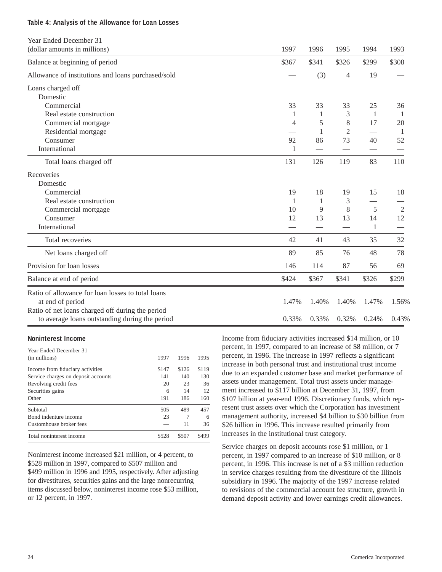#### **Table 4: Analysis of the Allowance for Loan Losses**

| Year Ended December 31                             |       |                          |                |                               |       |
|----------------------------------------------------|-------|--------------------------|----------------|-------------------------------|-------|
| (dollar amounts in millions)                       | 1997  | 1996                     | 1995           | 1994                          | 1993  |
| Balance at beginning of period                     | \$367 | \$341                    | \$326          | \$299                         | \$308 |
| Allowance of institutions and loans purchased/sold |       | (3)                      | $\overline{4}$ | 19                            |       |
| Loans charged off                                  |       |                          |                |                               |       |
| Domestic                                           |       |                          |                |                               |       |
| Commercial                                         | 33    | 33                       | 33             | 25                            | 36    |
| Real estate construction                           | 1     | 1                        | 3              | 1                             | 1     |
| Commercial mortgage                                | 4     | 5                        | 8              | 17                            | 20    |
| Residential mortgage                               |       | 1                        | $\overline{2}$ |                               | 1     |
| Consumer                                           | 92    | 86                       | 73             | 40                            | 52    |
| International                                      | 1     | $\overline{\phantom{0}}$ |                | $\overbrace{\phantom{13333}}$ |       |
| Total loans charged off                            | 131   | 126                      | 119            | 83                            | 110   |
| Recoveries                                         |       |                          |                |                               |       |
| Domestic                                           |       |                          |                |                               |       |
| Commercial                                         | 19    | 18                       | 19             | 15                            | 18    |
| Real estate construction                           | 1     | 1                        | 3              |                               |       |
| Commercial mortgage                                | 10    | 9                        | 8              | 5                             | 2     |
| Consumer                                           | 12    | 13                       | 13             | 14                            | 12    |
| International                                      |       |                          |                | 1                             |       |
| Total recoveries                                   | 42    | 41                       | 43             | 35                            | 32    |
| Net loans charged off                              | 89    | 85                       | 76             | 48                            | 78    |
| Provision for loan losses                          | 146   | 114                      | 87             | 56                            | 69    |
| Balance at end of period                           | \$424 | \$367                    | \$341          | \$326                         | \$299 |
| Ratio of allowance for loan losses to total loans  |       |                          |                |                               |       |
| at end of period                                   | 1.47% | 1.40%                    | 1.40%          | 1.47%                         | 1.56% |
| Ratio of net loans charged off during the period   |       |                          |                |                               |       |
| to average loans outstanding during the period     | 0.33% | 0.33%                    | 0.32%          | 0.24%                         | 0.43% |

#### **Noninterest Income**

| Year Ended December 31              |       |       |       |
|-------------------------------------|-------|-------|-------|
| (in millions)                       | 1997  | 1996  | 1995  |
| Income from fiduciary activities    | \$147 | \$126 | \$119 |
| Service charges on deposit accounts | 141   | 140   | 130   |
| Revolving credit fees               | 20    | 23    | 36    |
| Securities gains                    | 6     | 14    | 12    |
| Other                               | 191   | 186   | 160   |
| Subtotal                            | 505   | 489   | 457   |
| Bond indenture income               | 23    |       | 6     |
| Customhouse broker fees             |       | 11    | 36    |
| Total noninterest income            | \$528 | \$507 | \$499 |

Noninterest income increased \$21 million, or 4 percent, to \$528 million in 1997, compared to \$507 million and \$499 million in 1996 and 1995, respectively. After adjusting for divestitures, securities gains and the large nonrecurring items discussed below, noninterest income rose \$53 million, or 12 percent, in 1997.

Income from fiduciary activities increased \$14 million, or 10 percent, in 1997, compared to an increase of \$8 million, or 7 percent, in 1996. The increase in 1997 reflects a significant increase in both personal trust and institutional trust income due to an expanded customer base and market performance of assets under management. Total trust assets under management increased to \$117 billion at December 31, 1997, from \$107 billion at year-end 1996. Discretionary funds, which represent trust assets over which the Corporation has investment management authority, increased \$4 billion to \$30 billion from \$26 billion in 1996. This increase resulted primarily from increases in the institutional trust category.

Service charges on deposit accounts rose \$1 million, or 1 percent, in 1997 compared to an increase of \$10 million, or 8 percent, in 1996. This increase is net of a \$3 million reduction in service charges resulting from the divestiture of the Illinois subsidiary in 1996. The majority of the 1997 increase related to revisions of the commercial account fee structure, growth in demand deposit activity and lower earnings credit allowances.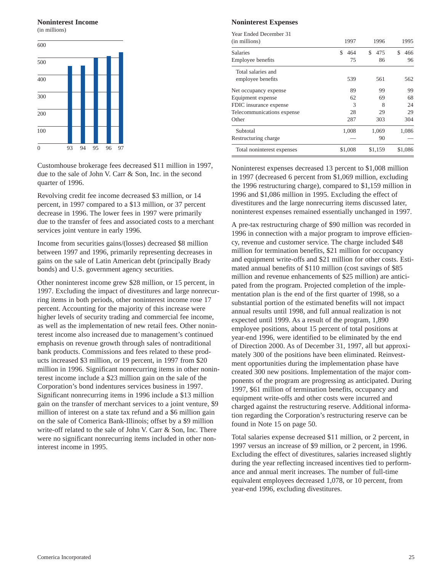#### **Noninterest Income**

(in millions)



Customhouse brokerage fees decreased \$11 million in 1997, due to the sale of John V. Carr & Son, Inc. in the second quarter of 1996.

Revolving credit fee income decreased \$3 million, or 14 percent, in 1997 compared to a \$13 million, or 37 percent decrease in 1996. The lower fees in 1997 were primarily due to the transfer of fees and associated costs to a merchant services joint venture in early 1996.

Income from securities gains/(losses) decreased \$8 million between 1997 and 1996, primarily representing decreases in gains on the sale of Latin American debt (principally Brady bonds) and U.S. government agency securities.

Other noninterest income grew \$28 million, or 15 percent, in 1997. Excluding the impact of divestitures and large nonrecurring items in both periods, other noninterest income rose 17 percent. Accounting for the majority of this increase were higher levels of security trading and commercial fee income, as well as the implementation of new retail fees. Other noninterest income also increased due to management's continued emphasis on revenue growth through sales of nontraditional bank products. Commissions and fees related to these products increased \$3 million, or 19 percent, in 1997 from \$20 million in 1996. Significant nonrecurring items in other noninterest income include a \$23 million gain on the sale of the Corporation's bond indentures services business in 1997. Significant nonrecurring items in 1996 include a \$13 million gain on the transfer of merchant services to a joint venture, \$9 million of interest on a state tax refund and a \$6 million gain on the sale of Comerica Bank-Illinois; offset by a \$9 million write-off related to the sale of John V. Carr & Son, Inc. There were no significant nonrecurring items included in other noninterest income in 1995.

#### **Noninterest Expenses**

| Year Ended December 31     |           |           |          |
|----------------------------|-----------|-----------|----------|
| (in millions)              | 1997      | 1996      | 1995     |
| <b>Salaries</b>            | \$<br>464 | £.<br>475 | S<br>466 |
| Employee benefits          | 75        | 86        | 96       |
| Total salaries and         |           |           |          |
| employee benefits          | 539       | 561       | 562      |
| Net occupancy expense      | 89        | 99        | 99       |
| Equipment expense          | 62        | 69        | 68       |
| FDIC insurance expense     | 3         | 8         | 24       |
| Telecommunications expense | 28        | 29        | 29       |
| Other                      | 287       | 303       | 304      |
| Subtotal                   | 1,008     | 1,069     | 1,086    |
| Restructuring charge       |           | 90        |          |
| Total noninterest expenses | \$1,008   | \$1,159   | \$1,086  |

Noninterest expenses decreased 13 percent to \$1,008 million in 1997 (decreased 6 percent from \$1,069 million, excluding the 1996 restructuring charge), compared to \$1,159 million in 1996 and \$1,086 million in 1995. Excluding the effect of divestitures and the large nonrecurring items discussed later, noninterest expenses remained essentially unchanged in 1997.

A pre-tax restructuring charge of \$90 million was recorded in 1996 in connection with a major program to improve efficiency, revenue and customer service. The charge included \$48 million for termination benefits, \$21 million for occupancy and equipment write-offs and \$21 million for other costs. Estimated annual benefits of \$110 million (cost savings of \$85 million and revenue enhancements of \$25 million) are anticipated from the program. Projected completion of the implementation plan is the end of the first quarter of 1998, so a substantial portion of the estimated benefits will not impact annual results until 1998, and full annual realization is not expected until 1999. As a result of the program, 1,890 employee positions, about 15 percent of total positions at year-end 1996, were identified to be eliminated by the end of Direction 2000. As of December 31, 1997, all but approximately 300 of the positions have been eliminated. Reinvestment opportunities during the implementation phase have created 300 new positions. Implementation of the major components of the program are progressing as anticipated. During 1997, \$61 million of termination benefits, occupancy and equipment write-offs and other costs were incurred and charged against the restructuring reserve. Additional information regarding the Corporation's restructuring reserve can be found in Note 15 on page 50.

Total salaries expense decreased \$11 million, or 2 percent, in 1997 versus an increase of \$9 million, or 2 percent, in 1996. Excluding the effect of divestitures, salaries increased slightly during the year reflecting increased incentives tied to performance and annual merit increases. The number of full-time equivalent employees decreased 1,078, or 10 percent, from year-end 1996, excluding divestitures.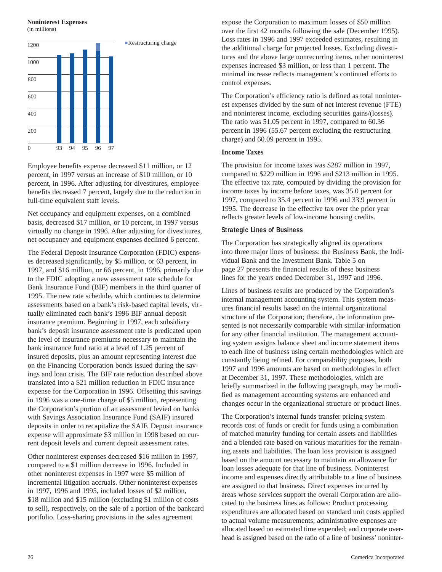#### **Noninterest Expenses**

(in millions)



Employee benefits expense decreased \$11 million, or 12 percent, in 1997 versus an increase of \$10 million, or 10 percent, in 1996. After adjusting for divestitures, employee benefits decreased 7 percent, largely due to the reduction in full-time equivalent staff levels.

Net occupancy and equipment expenses, on a combined basis, decreased \$17 million, or 10 percent, in 1997 versus virtually no change in 1996. After adjusting for divestitures, net occupancy and equipment expenses declined 6 percent.

The Federal Deposit Insurance Corporation (FDIC) expenses decreased significantly, by \$5 million, or 63 percent, in 1997, and \$16 million, or 66 percent, in 1996, primarily due to the FDIC adopting a new assessment rate schedule for Bank Insurance Fund (BIF) members in the third quarter of 1995. The new rate schedule, which continues to determine assessments based on a bank's risk-based capital levels, virtually eliminated each bank's 1996 BIF annual deposit insurance premium. Beginning in 1997, each subsidiary bank's deposit insurance assessment rate is predicated upon the level of insurance premiums necessary to maintain the bank insurance fund ratio at a level of 1.25 percent of insured deposits, plus an amount representing interest due on the Financing Corporation bonds issued during the savings and loan crisis. The BIF rate reduction described above translated into a \$21 million reduction in FDIC insurance expense for the Corporation in 1996. Offsetting this savings in 1996 was a one-time charge of \$5 million, representing the Corporation's portion of an assessment levied on banks with Savings Association Insurance Fund (SAIF) insured deposits in order to recapitalize the SAIF. Deposit insurance expense will approximate \$3 million in 1998 based on current deposit levels and current deposit assessment rates.

Other noninterest expenses decreased \$16 million in 1997, compared to a \$1 million decrease in 1996. Included in other noninterest expenses in 1997 were \$5 million of incremental litigation accruals. Other noninterest expenses in 1997, 1996 and 1995, included losses of \$2 million, \$18 million and \$15 million (excluding \$1 million of costs to sell), respectively, on the sale of a portion of the bankcard portfolio. Loss-sharing provisions in the sales agreement

expose the Corporation to maximum losses of \$50 million over the first 42 months following the sale (December 1995). Loss rates in 1996 and 1997 exceeded estimates, resulting in the additional charge for projected losses. Excluding divestitures and the above large nonrecurring items, other noninterest expenses increased \$3 million, or less than 1 percent. The minimal increase reflects management's continued efforts to control expenses.

The Corporation's efficiency ratio is defined as total noninterest expenses divided by the sum of net interest revenue (FTE) and noninterest income, excluding securities gains/(losses). The ratio was 51.05 percent in 1997, compared to 60.36 percent in 1996 (55.67 percent excluding the restructuring charge) and 60.09 percent in 1995.

#### **Income Taxes**

The provision for income taxes was \$287 million in 1997, compared to \$229 million in 1996 and \$213 million in 1995. The effective tax rate, computed by dividing the provision for income taxes by income before taxes, was 35.0 percent for 1997, compared to 35.4 percent in 1996 and 33.9 percent in 1995. The decrease in the effective tax over the prior year reflects greater levels of low-income housing credits.

#### **Strategic Lines of Business**

The Corporation has strategically aligned its operations into three major lines of business: the Business Bank, the Individual Bank and the Investment Bank. Table 5 on page 27 presents the financial results of these business lines for the years ended December 31, 1997 and 1996.

Lines of business results are produced by the Corporation's internal management accounting system. This system measures financial results based on the internal organizational structure of the Corporation; therefore, the information presented is not necessarily comparable with similar information for any other financial institution. The management accounting system assigns balance sheet and income statement items to each line of business using certain methodologies which are constantly being refined. For comparability purposes, both 1997 and 1996 amounts are based on methodologies in effect at December 31, 1997. These methodologies, which are briefly summarized in the following paragraph, may be modified as management accounting systems are enhanced and changes occur in the organizational structure or product lines.

The Corporation's internal funds transfer pricing system records cost of funds or credit for funds using a combination of matched maturity funding for certain assets and liabilities and a blended rate based on various maturities for the remaining assets and liabilities. The loan loss provision is assigned based on the amount necessary to maintain an allowance for loan losses adequate for that line of business. Noninterest income and expenses directly attributable to a line of business are assigned to that business. Direct expenses incurred by areas whose services support the overall Corporation are allocated to the business lines as follows: Product processing expenditures are allocated based on standard unit costs applied to actual volume measurements; administrative expenses are allocated based on estimated time expended; and corporate overhead is assigned based on the ratio of a line of business' noninter-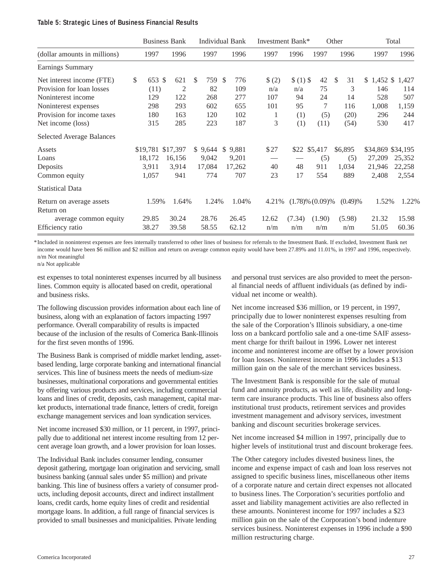#### **Table 5: Strategic Lines of Business Financial Results**

|                                       |        |        | <b>Business Bank</b> |           |              | <b>Individual Bank</b> | Investment Bank* |           |                       | Other    |                   | Total          |
|---------------------------------------|--------|--------|----------------------|-----------|--------------|------------------------|------------------|-----------|-----------------------|----------|-------------------|----------------|
| (dollar amounts in millions)          | 1997   |        | 1996                 | 1997      |              | 1996                   | 1997             | 1996      | 1997                  | 1996     | 1997              | 1996           |
| Earnings Summary                      |        |        |                      |           |              |                        |                  |           |                       |          |                   |                |
| Net interest income (FTE)             | \$     | 653 \$ | 621                  | \$<br>759 | -S           | 776                    | \$(2)            | $$(1)$ \$ | 42                    | \$<br>31 | $\mathbb{S}^-$    | 1,452 \$ 1,427 |
| Provision for loan losses             |        | (11)   | $\overline{2}$       | 82        |              | 109                    | n/a              | n/a       | 75                    | 3        | 146               | 114            |
| Noninterest income                    | 129    |        | 122                  | 268       |              | 277                    | 107              | 94        | 24                    | 14       | 528               | 507            |
| Noninterest expenses                  | 298    |        | 293                  | 602       |              | 655                    | 101              | 95        | 7                     | 116      | 1,008             | 1,159          |
| Provision for income taxes            | 180    |        | 163                  | 120       |              | 102                    | 1                | (1)       | (5)                   | (20)     | 296               | 244            |
| Net income (loss)                     | 315    |        | 285                  | 223       |              | 187                    | 3                | (1)       | (11)                  | (54)     | 530               | 417            |
| <b>Selected Average Balances</b>      |        |        |                      |           |              |                        |                  |           |                       |          |                   |                |
| Assets                                |        |        | \$19,781 \$17,397    | \$9,644   | $\mathbb{S}$ | 9,881                  | \$27             |           | \$22 \$5,417          | \$6,895  | \$34,869 \$34,195 |                |
| Loans                                 | 18,172 |        | 16,156               | 9,042     |              | 9,201                  |                  |           | (5)                   | (5)      | 27,209            | 25,352         |
| Deposits                              | 3,911  |        | 3,914                | 17,084    |              | 17,262                 | 40               | 48        | 911                   | 1,034    | 21,946            | 22,258         |
| Common equity                         | 1,057  |        | 941                  | 774       |              | 707                    | 23               | 17        | 554                   | 889      | 2,408             | 2,554          |
| <b>Statistical Data</b>               |        |        |                      |           |              |                        |                  |           |                       |          |                   |                |
| Return on average assets<br>Return on |        | 1.59%  | 1.64%                | 1.24%     |              | 1.04%                  | 4.21%            |           | $(1.78)\%$ $(0.09)\%$ | (0.49)%  | 1.52%             | 1.22%          |
| average common equity                 | 29.85  |        | 30.24                | 28.76     |              | 26.45                  | 12.62            | (7.34)    | (1.90)                | (5.98)   | 21.32             | 15.98          |
| Efficiency ratio                      | 38.27  |        | 39.58                | 58.55     |              | 62.12                  | n/m              | n/m       | n/m                   | n/m      | 51.05             | 60.36          |

\*Included in noninterest expenses are fees internally transferred to other lines of business for referrals to the Investment Bank. If excluded, Investment Bank net income would have been \$6 million and \$2 million and return on average common equity would have been 27.89% and 11.01%, in 1997 and 1996, respectively. n/m Not meaningful

n/a Not applicable

est expenses to total noninterest expenses incurred by all business lines. Common equity is allocated based on credit, operational and business risks.

The following discussion provides information about each line of business, along with an explanation of factors impacting 1997 performance. Overall comparability of results is impacted because of the inclusion of the results of Comerica Bank-Illinois for the first seven months of 1996.

The Business Bank is comprised of middle market lending, assetbased lending, large corporate banking and international financial services. This line of business meets the needs of medium-size businesses, multinational corporations and governmental entities by offering various products and services, including commercial loans and lines of credit, deposits, cash management, capital market products, international trade finance, letters of credit, foreign exchange management services and loan syndication services.

Net income increased \$30 million, or 11 percent, in 1997, principally due to additional net interest income resulting from 12 percent average loan growth, and a lower provision for loan losses.

The Individual Bank includes consumer lending, consumer deposit gathering, mortgage loan origination and servicing, small business banking (annual sales under \$5 million) and private banking. This line of business offers a variety of consumer products, including deposit accounts, direct and indirect installment loans, credit cards, home equity lines of credit and residential mortgage loans. In addition, a full range of financial services is provided to small businesses and municipalities. Private lending

and personal trust services are also provided to meet the personal financial needs of affluent individuals (as defined by individual net income or wealth).

Net income increased \$36 million, or 19 percent, in 1997, principally due to lower noninterest expenses resulting from the sale of the Corporation's Illinois subsidiary, a one-time loss on a bankcard portfolio sale and a one-time SAIF assessment charge for thrift bailout in 1996. Lower net interest income and noninterest income are offset by a lower provision for loan losses. Noninterest income in 1996 includes a \$13 million gain on the sale of the merchant services business.

The Investment Bank is responsible for the sale of mutual fund and annuity products, as well as life, disability and longterm care insurance products. This line of business also offers institutional trust products, retirement services and provides investment management and advisory services, investment banking and discount securities brokerage services.

Net income increased \$4 million in 1997, principally due to higher levels of institutional trust and discount brokerage fees.

The Other category includes divested business lines, the income and expense impact of cash and loan loss reserves not assigned to specific business lines, miscellaneous other items of a corporate nature and certain direct expenses not allocated to business lines. The Corporation's securities portfolio and asset and liability management activities are also reflected in these amounts. Noninterest income for 1997 includes a \$23 million gain on the sale of the Corporation's bond indenture services business. Noninterest expenses in 1996 include a \$90 million restructuring charge.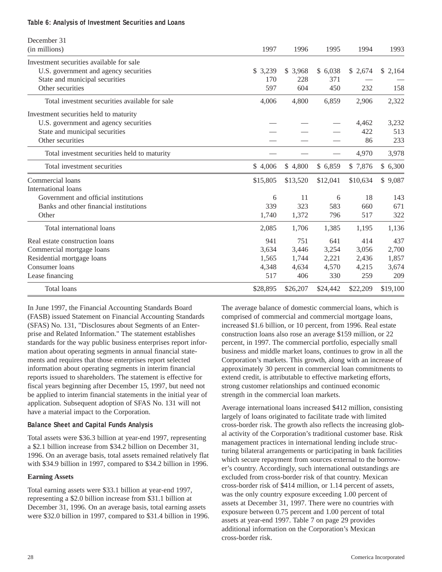#### **Table 6: Analysis of Investment Securities and Loans**

| December 31<br>(in millions)                   | 1997     | 1996     | 1995     | 1994     | 1993     |
|------------------------------------------------|----------|----------|----------|----------|----------|
| Investment securities available for sale       |          |          |          |          |          |
| U.S. government and agency securities          | \$ 3,239 | \$3,968  | \$6,038  | \$2,674  | \$2,164  |
| State and municipal securities                 | 170      | 228      | 371      |          |          |
| Other securities                               | 597      | 604      | 450      | 232      | 158      |
| Total investment securities available for sale | 4,006    | 4,800    | 6,859    | 2,906    | 2,322    |
| Investment securities held to maturity         |          |          |          |          |          |
| U.S. government and agency securities          |          |          |          | 4,462    | 3,232    |
| State and municipal securities                 |          |          |          | 422      | 513      |
| Other securities                               |          |          |          | 86       | 233      |
| Total investment securities held to maturity   |          |          |          | 4,970    | 3,978    |
| Total investment securities                    | \$4,006  | \$4,800  | \$6,859  | \$ 7,876 | \$6,300  |
| Commercial loans                               | \$15,805 | \$13,520 | \$12,041 | \$10,634 | \$9,087  |
| <b>International loans</b>                     |          |          |          |          |          |
| Government and official institutions           | 6        | 11       | 6        | 18       | 143      |
| Banks and other financial institutions         | 339      | 323      | 583      | 660      | 671      |
| Other                                          | 1.740    | 1,372    | 796      | 517      | 322      |
| Total international loans                      | 2,085    | 1,706    | 1,385    | 1,195    | 1,136    |
| Real estate construction loans                 | 941      | 751      | 641      | 414      | 437      |
| Commercial mortgage loans                      | 3,634    | 3,446    | 3,254    | 3,056    | 2,700    |
| Residential mortgage loans                     | 1,565    | 1,744    | 2,221    | 2,436    | 1,857    |
| Consumer loans                                 | 4,348    | 4,634    | 4,570    | 4,215    | 3,674    |
| Lease financing                                | 517      | 406      | 330      | 259      | 209      |
| <b>Total loans</b>                             | \$28,895 | \$26,207 | \$24,442 | \$22,209 | \$19,100 |

In June 1997, the Financial Accounting Standards Board (FASB) issued Statement on Financial Accounting Standards (SFAS) No. 131, "Disclosures about Segments of an Enterprise and Related Information." The statement establishes standards for the way public business enterprises report information about operating segments in annual financial statements and requires that those enterprises report selected information about operating segments in interim financial reports issued to shareholders. The statement is effective for fiscal years beginning after December 15, 1997, but need not be applied to interim financial statements in the initial year of application. Subsequent adoption of SFAS No. 131 will not have a material impact to the Corporation.

#### **Balance Sheet and Capital Funds Analysis**

Total assets were \$36.3 billion at year-end 1997, representing a \$2.1 billion increase from \$34.2 billion on December 31, 1996. On an average basis, total assets remained relatively flat with \$34.9 billion in 1997, compared to \$34.2 billion in 1996.

#### **Earning Assets**

Total earning assets were \$33.1 billion at year-end 1997, representing a \$2.0 billion increase from \$31.1 billion at December 31, 1996. On an average basis, total earning assets were \$32.0 billion in 1997, compared to \$31.4 billion in 1996. The average balance of domestic commercial loans, which is comprised of commercial and commercial mortgage loans, increased \$1.6 billion, or 10 percent, from 1996. Real estate construction loans also rose an average \$159 million, or 22 percent, in 1997. The commercial portfolio, especially small business and middle market loans, continues to grow in all the Corporation's markets. This growth, along with an increase of approximately 30 percent in commercial loan commitments to extend credit, is attributable to effective marketing efforts, strong customer relationships and continued economic strength in the commercial loan markets.

Average international loans increased \$412 million, consisting largely of loans originated to facilitate trade with limited cross-border risk. The growth also reflects the increasing global activity of the Corporation's traditional customer base. Risk management practices in international lending include structuring bilateral arrangements or participating in bank facilities which secure repayment from sources external to the borrower's country. Accordingly, such international outstandings are excluded from cross-border risk of that country. Mexican cross-border risk of \$414 million, or 1.14 percent of assets, was the only country exposure exceeding 1.00 percent of assets at December 31, 1997. There were no countries with exposure between 0.75 percent and 1.00 percent of total assets at year-end 1997. Table 7 on page 29 provides additional information on the Corporation's Mexican cross-border risk.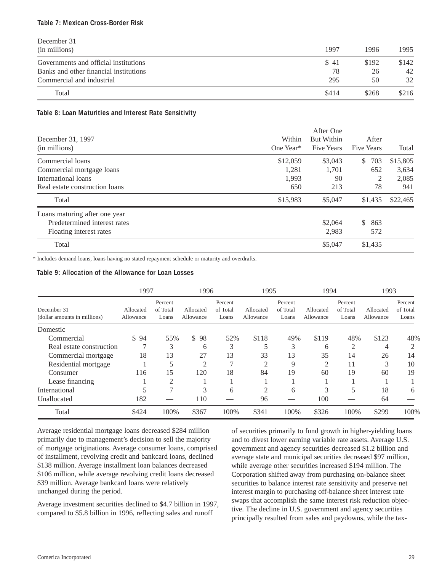#### **Table 7: Mexican Cross-Border Risk**

| December 31                            |       |       |       |
|----------------------------------------|-------|-------|-------|
| (in millions)                          | 1997  | 1996  | 1995  |
| Governments and official institutions  | \$41  | \$192 | \$142 |
| Banks and other financial institutions | 78    | 26    | 42    |
| Commercial and industrial              | 295   | 50    | 32    |
| Total                                  | \$414 | \$268 | \$216 |

#### **Table 8: Loan Maturities and Interest Rate Sensitivity**

|                                |           | After One         |                     |          |
|--------------------------------|-----------|-------------------|---------------------|----------|
| December 31, 1997              | Within    | <b>But Within</b> | After               |          |
| (in millions)                  | One Year* | <b>Five Years</b> | <b>Five Years</b>   | Total    |
| Commercial loans               | \$12,059  | \$3,043           | 703<br>$\mathbb{S}$ | \$15,805 |
| Commercial mortgage loans      | 1,281     | 1,701             | 652                 | 3,634    |
| International loans            | 1,993     | 90                | 2                   | 2,085    |
| Real estate construction loans | 650       | 213               | 78                  | 941      |
| Total                          | \$15,983  | \$5,047           | \$1,435             | \$22,465 |
| Loans maturing after one year  |           |                   |                     |          |
| Predetermined interest rates   |           | \$2,064           | 863<br>$\mathbb{S}$ |          |
| Floating interest rates        |           | 2,983             | 572                 |          |
| Total                          |           | \$5,047           | \$1,435             |          |

\* Includes demand loans, loans having no stated repayment schedule or maturity and overdrafts.

#### **Table 9: Allocation of the Allowance for Loan Losses**

|                                             | 1997                   |                              | 1996                   |                              | 1995                   |                              | 1994                   |                              | 1993                   |                              |
|---------------------------------------------|------------------------|------------------------------|------------------------|------------------------------|------------------------|------------------------------|------------------------|------------------------------|------------------------|------------------------------|
| December 31<br>(dollar amounts in millions) | Allocated<br>Allowance | Percent<br>of Total<br>Loans | Allocated<br>Allowance | Percent<br>of Total<br>Loans | Allocated<br>Allowance | Percent<br>of Total<br>Loans | Allocated<br>Allowance | Percent<br>of Total<br>Loans | Allocated<br>Allowance | Percent<br>of Total<br>Loans |
| Domestic                                    |                        |                              |                        |                              |                        |                              |                        |                              |                        |                              |
| Commercial                                  | \$94                   | 55%                          | \$98                   | 52%                          | \$118                  | 49%                          | \$119                  | 48%                          | \$123                  | 48%                          |
| Real estate construction                    |                        | 3                            | 6                      | 3                            |                        | 3                            | 6                      | 2                            | 4                      | $\overline{c}$               |
| Commercial mortgage                         | 18                     | 13                           | 27                     | 13                           | 33                     | 13                           | 35                     | 14                           | 26                     | 14                           |
| Residential mortgage                        |                        |                              | $\overline{2}$         |                              | 2                      | 9                            | $\overline{c}$         | 11                           | 3                      | 10                           |
| Consumer                                    | 116                    | 15                           | 120                    | 18                           | 84                     | 19                           | 60                     | 19                           | 60                     | 19                           |
| Lease financing                             |                        | $\overline{2}$               |                        |                              |                        |                              |                        |                              |                        |                              |
| International                               |                        | 7                            | 3                      | 6                            | $\mathfrak{D}$         | 6                            | 3                      | 5                            | 18                     | 6                            |
| Unallocated                                 | 182                    |                              | 110                    |                              | 96                     |                              | 100                    |                              | 64                     |                              |
| Total                                       | \$424                  | 100%                         | \$367                  | 100%                         | \$341                  | 100%                         | \$326                  | 100%                         | \$299                  | 100%                         |

Average residential mortgage loans decreased \$284 million primarily due to management's decision to sell the majority of mortgage originations. Average consumer loans, comprised of installment, revolving credit and bankcard loans, declined \$138 million. Average installment loan balances decreased \$106 million, while average revolving credit loans decreased \$39 million. Average bankcard loans were relatively unchanged during the period.

Average investment securities declined to \$4.7 billion in 1997, compared to \$5.8 billion in 1996, reflecting sales and runoff

of securities primarily to fund growth in higher-yielding loans and to divest lower earning variable rate assets. Average U.S. government and agency securities decreased \$1.2 billion and average state and municipal securities decreased \$97 million, while average other securities increased \$194 million. The Corporation shifted away from purchasing on-balance sheet securities to balance interest rate sensitivity and preserve net interest margin to purchasing off-balance sheet interest rate swaps that accomplish the same interest risk reduction objective. The decline in U.S. government and agency securities principally resulted from sales and paydowns, while the tax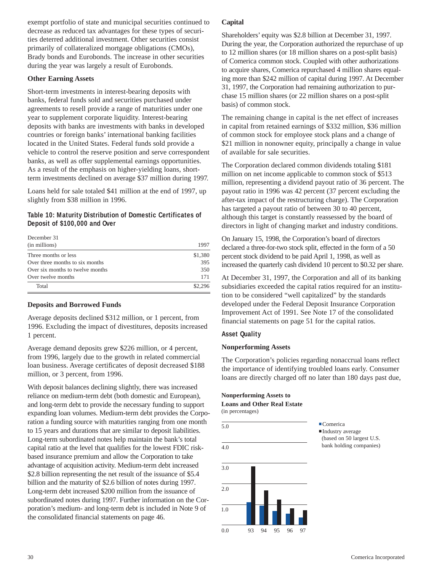exempt portfolio of state and municipal securities continued to decrease as reduced tax advantages for these types of securities deterred additional investment. Other securities consist primarily of collateralized mortgage obligations (CMOs), Brady bonds and Eurobonds. The increase in other securities during the year was largely a result of Eurobonds.

### **Other Earning Assets**

Short-term investments in interest-bearing deposits with banks, federal funds sold and securities purchased under agreements to resell provide a range of maturities under one year to supplement corporate liquidity. Interest-bearing deposits with banks are investments with banks in developed countries or foreign banks' international banking facilities located in the United States. Federal funds sold provide a vehicle to control the reserve position and serve correspondent banks, as well as offer supplemental earnings opportunities. As a result of the emphasis on higher-yielding loans, shortterm investments declined on average \$37 million during 1997.

Loans held for sale totaled \$41 million at the end of 1997, up slightly from \$38 million in 1996.

### **Table 10: Maturity Distribution of Domestic Certificates of Deposit of \$100,000 and Over**

| (in millions)<br>Three months or less<br>Over three months to six months<br>Over six months to twelve months | 1997    |
|--------------------------------------------------------------------------------------------------------------|---------|
|                                                                                                              |         |
|                                                                                                              | \$1,380 |
|                                                                                                              | 395     |
|                                                                                                              | 350     |
| Over twelve months                                                                                           | 171     |
| Total                                                                                                        | \$2,296 |

#### **Deposits and Borrowed Funds**

Average deposits declined \$312 million, or 1 percent, from 1996. Excluding the impact of divestitures, deposits increased 1 percent.

Average demand deposits grew \$226 million, or 4 percent, from 1996, largely due to the growth in related commercial loan business. Average certificates of deposit decreased \$188 million, or 3 percent, from 1996.

With deposit balances declining slightly, there was increased reliance on medium-term debt (both domestic and European), and long-term debt to provide the necessary funding to support expanding loan volumes. Medium-term debt provides the Corporation a funding source with maturities ranging from one month to 15 years and durations that are similar to deposit liabilities. Long-term subordinated notes help maintain the bank's total capital ratio at the level that qualifies for the lowest FDIC riskbased insurance premium and allow the Corporation to take advantage of acquisition activity. Medium-term debt increased \$2.8 billion representing the net result of the issuance of \$5.4 billion and the maturity of \$2.6 billion of notes during 1997. Long-term debt increased \$200 million from the issuance of subordinated notes during 1997. Further information on the Corporation's medium- and long-term debt is included in Note 9 of the consolidated financial statements on page 46.

# **Capital**

Shareholders' equity was \$2.8 billion at December 31, 1997. During the year, the Corporation authorized the repurchase of up to 12 million shares (or 18 million shares on a post-split basis) of Comerica common stock. Coupled with other authorizations to acquire shares, Comerica repurchased 4 million shares equaling more than \$242 million of capital during 1997. At December 31, 1997, the Corporation had remaining authorization to purchase 15 million shares (or 22 million shares on a post-split basis) of common stock.

The remaining change in capital is the net effect of increases in capital from retained earnings of \$332 million, \$36 million of common stock for employee stock plans and a change of \$21 million in nonowner equity, principally a change in value of available for sale securities.

The Corporation declared common dividends totaling \$181 million on net income applicable to common stock of \$513 million, representing a dividend payout ratio of 36 percent. The payout ratio in 1996 was 42 percent (37 percent excluding the after-tax impact of the restructuring charge). The Corporation has targeted a payout ratio of between 30 to 40 percent, although this target is constantly reassessed by the board of directors in light of changing market and industry conditions.

On January 15, 1998, the Corporation's board of directors declared a three-for-two stock split, effected in the form of a 50 percent stock dividend to be paid April 1, 1998, as well as increased the quarterly cash dividend 10 percent to \$0.32 per share.

At December 31, 1997, the Corporation and all of its banking subsidiaries exceeded the capital ratios required for an institution to be considered "well capitalized" by the standards developed under the Federal Deposit Insurance Corporation Improvement Act of 1991. See Note 17 of the consolidated financial statements on page 51 for the capital ratios.

#### **Asset Quality**

#### **Nonperforming Assets**

The Corporation's policies regarding nonaccrual loans reflect the importance of identifying troubled loans early. Consumer loans are directly charged off no later than 180 days past due,

#### **Nonperforming Assets to Loans and Other Real Estate** (in percentages)



**.**Comerica **.**Industry average

(based on 50 largest U.S. bank holding companies)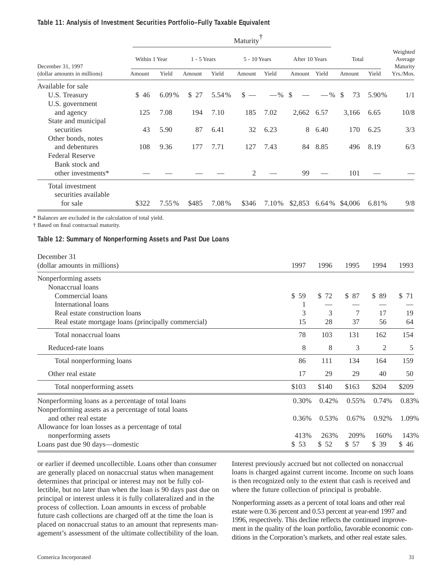#### **Table 11: Analysis of Investment Securities Portfolio–Fully Taxable Equivalent**

|                                                   | Maturity      |          |               |       |                |          |                |          |         |       |                                 |
|---------------------------------------------------|---------------|----------|---------------|-------|----------------|----------|----------------|----------|---------|-------|---------------------------------|
| December 31, 1997<br>(dollar amounts in millions) | Within 1 Year |          | $1 - 5$ Years |       | 5 - 10 Years   |          | After 10 Years |          | Total   |       | Weighted<br>Average<br>Maturity |
|                                                   | Amount        | Yield    | Amount        | Yield | Amount         | Yield    | Amount         | Yield    | Amount  | Yield | Yrs./Mos.                       |
| Available for sale                                |               |          |               |       |                |          |                |          |         |       |                                 |
| U.S. Treasury                                     | \$46          | $6.09\%$ | \$27          | 5.54% | $\mathbf{s} =$ | $-$ % \$ |                | $-$ % \$ | 73      | 5.90% | 1/1                             |
| U.S. government                                   |               |          |               |       |                |          |                |          |         |       |                                 |
| and agency                                        | 125           | 7.08     | 194           | 7.10  | 185            | 7.02     | 2,662          | 6.57     | 3,166   | 6.65  | 10/8                            |
| State and municipal                               |               |          |               |       |                |          |                |          |         |       |                                 |
| securities                                        | 43            | 5.90     | 87            | 6.41  | 32             | 6.23     | 8              | 6.40     | 170     | 6.25  | 3/3                             |
| Other bonds, notes                                |               |          |               |       |                |          |                |          |         |       |                                 |
| and debentures                                    | 108           | 9.36     | 177           | 7.71  | 127            | 7.43     | 84             | 8.85     | 496     | 8.19  | 6/3                             |
| <b>Federal Reserve</b>                            |               |          |               |       |                |          |                |          |         |       |                                 |
| Bank stock and                                    |               |          |               |       |                |          |                |          |         |       |                                 |
| other investments*                                |               |          |               |       | 2              |          | 99             |          | 101     |       |                                 |
| Total investment<br>securities available          |               |          |               |       |                |          |                |          |         |       |                                 |
| for sale                                          | \$322         | 7.55%    | \$485         | 7.08% | \$346          | 7.10%    | \$2,853        | 6.64%    | \$4,006 | 6.81% | 9/8                             |

\* Balances are excluded in the calculation of total yield.

† Based on final contractual maturity.

#### **Table 12: Summary of Nonperforming Assets and Past Due Loans**

| December 31                                         |       |          |       |       |       |
|-----------------------------------------------------|-------|----------|-------|-------|-------|
| (dollar amounts in millions)                        | 1997  | 1996     | 1995  | 1994  | 1993  |
| Nonperforming assets                                |       |          |       |       |       |
| Nonaccrual loans                                    |       |          |       |       |       |
| Commercial loans                                    | \$59  | \$<br>72 | \$87  | \$89  | \$71  |
| International loans                                 | 1     |          |       |       |       |
| Real estate construction loans                      | 3     | 3        | 7     | 17    | 19    |
| Real estate mortgage loans (principally commercial) | 15    | 28       | 37    | 56    | 64    |
| Total nonaccrual loans                              | 78    | 103      | 131   | 162   | 154   |
| Reduced-rate loans                                  | 8     | 8        | 3     | 2     | 5     |
| Total nonperforming loans                           | 86    | 111      | 134   | 164   | 159   |
| Other real estate                                   | 17    | 29       | 29    | 40    | 50    |
| Total nonperforming assets                          | \$103 | \$140    | \$163 | \$204 | \$209 |
| Nonperforming loans as a percentage of total loans  | 0.30% | 0.42%    | 0.55% | 0.74% | 0.83% |
| Nonperforming assets as a percentage of total loans |       |          |       |       |       |
| and other real estate                               | 0.36% | 0.53%    | 0.67% | 0.92% | 1.09% |
| Allowance for loan losses as a percentage of total  |       |          |       |       |       |
| nonperforming assets                                | 413%  | 263%     | 209%  | 160%  | 143%  |
| Loans past due 90 days—domestic                     | \$53  | \$52     | \$57  | \$39  | \$46  |

or earlier if deemed uncollectible. Loans other than consumer are generally placed on nonaccrual status when management determines that principal or interest may not be fully collectible, but no later than when the loan is 90 days past due on principal or interest unless it is fully collateralized and in the process of collection. Loan amounts in excess of probable future cash collections are charged off at the time the loan is placed on nonaccrual status to an amount that represents management's assessment of the ultimate collectibility of the loan. Interest previously accrued but not collected on nonaccrual loans is charged against current income. Income on such loans is then recognized only to the extent that cash is received and where the future collection of principal is probable.

Nonperforming assets as a percent of total loans and other real estate were 0.36 percent and 0.53 percent at year-end 1997 and 1996, respectively. This decline reflects the continued improvement in the quality of the loan portfolio, favorable economic conditions in the Corporation's markets, and other real estate sales.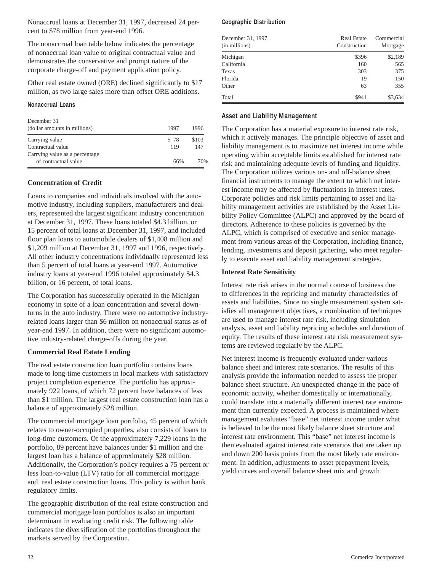Nonaccrual loans at December 31, 1997, decreased 24 percent to \$78 million from year-end 1996.

The nonaccrual loan table below indicates the percentage of nonaccrual loan value to original contractual value and demonstrates the conservative and prompt nature of the corporate charge-off and payment application policy.

Other real estate owned (ORE) declined significantly to \$17 million, as two large sales more than offset ORE additions.

#### **Nonaccrual Loans**

| December 31                    |      |       |
|--------------------------------|------|-------|
| (dollar amounts in millions)   | 1997 | 1996  |
| Carrying value                 | \$78 | \$103 |
| Contractual value              | 119  | 147   |
| Carrying value as a percentage |      |       |
| of contractual value           | 66%  | 70%   |

#### **Concentration of Credit**

Loans to companies and individuals involved with the automotive industry, including suppliers, manufacturers and dealers, represented the largest significant industry concentration at December 31, 1997. These loans totaled \$4.3 billion, or 15 percent of total loans at December 31, 1997, and included floor plan loans to automobile dealers of \$1,408 million and \$1,209 million at December 31, 1997 and 1996, respectively. All other industry concentrations individually represented less than 5 percent of total loans at year-end 1997. Automotive industry loans at year-end 1996 totaled approximately \$4.3 billion, or 16 percent, of total loans.

The Corporation has successfully operated in the Michigan economy in spite of a loan concentration and several downturns in the auto industry. There were no automotive industryrelated loans larger than \$6 million on nonaccrual status as of year-end 1997. In addition, there were no significant automotive industry-related charge-offs during the year.

#### **Commercial Real Estate Lending**

The real estate construction loan portfolio contains loans made to long-time customers in local markets with satisfactory project completion experience. The portfolio has approximately 922 loans, of which 72 percent have balances of less than \$1 million. The largest real estate construction loan has a balance of approximately \$28 million.

The commercial mortgage loan portfolio, 45 percent of which relates to owner-occupied properties, also consists of loans to long-time customers. Of the approximately 7,229 loans in the portfolio, 89 percent have balances under \$1 million and the largest loan has a balance of approximately \$28 million. Additionally, the Corporation's policy requires a 75 percent or less loan-to-value (LTV) ratio for all commercial mortgage and real estate construction loans. This policy is within bank regulatory limits.

The geographic distribution of the real estate construction and commercial mortgage loan portfolios is also an important determinant in evaluating credit risk. The following table indicates the diversification of the portfolios throughout the markets served by the Corporation.

#### **Geographic Distribution**

| December 31, 1997<br>(in millions) | Real Estate<br>Construction | Commercial<br>Mortgage |
|------------------------------------|-----------------------------|------------------------|
| Michigan                           | \$396                       | \$2,189                |
| California                         | 160                         | 565                    |
| Texas                              | 303                         | 375                    |
| Florida                            | 19                          | 150                    |
| Other                              | 63                          | 355                    |
| Total                              | \$941                       | \$3,634                |

#### **Asset and Liability Management**

The Corporation has a material exposure to interest rate risk, which it actively manages. The principle objective of asset and liability management is to maximize net interest income while operating within acceptable limits established for interest rate risk and maintaining adequate levels of funding and liquidity. The Corporation utilizes various on- and off-balance sheet financial instruments to manage the extent to which net interest income may be affected by fluctuations in interest rates. Corporate policies and risk limits pertaining to asset and liability management activities are established by the Asset Liability Policy Committee (ALPC) and approved by the board of directors. Adherence to these policies is governed by the ALPC, which is comprised of executive and senior management from various areas of the Corporation, including finance, lending, investments and deposit gathering, who meet regularly to execute asset and liability management strategies.

#### **Interest Rate Sensitivity**

Interest rate risk arises in the normal course of business due to differences in the repricing and maturity characteristics of assets and liabilities. Since no single measurement system satisfies all management objectives, a combination of techniques are used to manage interest rate risk, including simulation analysis, asset and liability repricing schedules and duration of equity. The results of these interest rate risk measurement systems are reviewed regularly by the ALPC.

Net interest income is frequently evaluated under various balance sheet and interest rate scenarios. The results of this analysis provide the information needed to assess the proper balance sheet structure. An unexpected change in the pace of economic activity, whether domestically or internationally, could translate into a materially different interest rate environment than currently expected. A process is maintained where management evaluates "base" net interest income under what is believed to be the most likely balance sheet structure and interest rate environment. This "base" net interest income is then evaluated against interest rate scenarios that are taken up and down 200 basis points from the most likely rate environment. In addition, adjustments to asset prepayment levels, yield curves and overall balance sheet mix and growth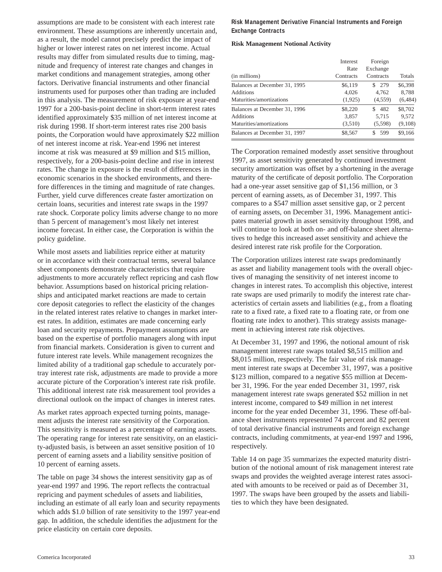assumptions are made to be consistent with each interest rate environment. These assumptions are inherently uncertain and, as a result, the model cannot precisely predict the impact of higher or lower interest rates on net interest income. Actual results may differ from simulated results due to timing, magnitude and frequency of interest rate changes and changes in market conditions and management strategies, among other factors. Derivative financial instruments and other financial instruments used for purposes other than trading are included in this analysis. The measurement of risk exposure at year-end 1997 for a 200-basis-point decline in short-term interest rates identified approximately \$35 million of net interest income at risk during 1998. If short-term interest rates rise 200 basis points, the Corporation would have approximately \$22 million of net interest income at risk. Year-end 1996 net interest income at risk was measured at \$9 million and \$15 million, respectively, for a 200-basis-point decline and rise in interest rates. The change in exposure is the result of differences in the economic scenarios in the shocked environments, and therefore differences in the timing and magnitude of rate changes. Further, yield curve differences create faster amortization on certain loans, securities and interest rate swaps in the 1997 rate shock. Corporate policy limits adverse change to no more than 5 percent of management's most likely net interest income forecast. In either case, the Corporation is within the policy guideline.

While most assets and liabilities reprice either at maturity or in accordance with their contractual terms, several balance sheet components demonstrate characteristics that require adjustments to more accurately reflect repricing and cash flow behavior. Assumptions based on historical pricing relationships and anticipated market reactions are made to certain core deposit categories to reflect the elasticity of the changes in the related interest rates relative to changes in market interest rates. In addition, estimates are made concerning early loan and security repayments. Prepayment assumptions are based on the expertise of portfolio managers along with input from financial markets. Consideration is given to current and future interest rate levels. While management recognizes the limited ability of a traditional gap schedule to accurately portray interest rate risk, adjustments are made to provide a more accurate picture of the Corporation's interest rate risk profile. This additional interest rate risk measurement tool provides a directional outlook on the impact of changes in interest rates.

As market rates approach expected turning points, management adjusts the interest rate sensitivity of the Corporation. This sensitivity is measured as a percentage of earning assets. The operating range for interest rate sensitivity, on an elasticity-adjusted basis, is between an asset sensitive position of 10 percent of earning assets and a liability sensitive position of 10 percent of earning assets.

The table on page 34 shows the interest sensitivity gap as of year-end 1997 and 1996. The report reflects the contractual repricing and payment schedules of assets and liabilities, including an estimate of all early loan and security repayments which adds \$1.0 billion of rate sensitivity to the 1997 year-end gap. In addition, the schedule identifies the adjustment for the price elasticity on certain core deposits.

#### **Risk Management Derivative Financial Instruments and Foreign Exchange Contracts**

#### **Risk Management Notional Activity**

| (in millions)                 | Interest<br>Rate<br>Contracts | Foreign<br>Exchange<br>Contracts | <b>Totals</b> |
|-------------------------------|-------------------------------|----------------------------------|---------------|
| Balances at December 31, 1995 | \$6,119                       | \$279                            | \$6,398       |
| Additions                     | 4,026                         | 4,762                            | 8,788         |
| Maturities/amortizations      | (1,925)                       | (4,559)                          | (6, 484)      |
| Balances at December 31, 1996 | \$8,220                       | 482<br>S.                        | \$8,702       |
| Additions                     | 3.857                         | 5,715                            | 9.572         |
| Maturities/amortizations      | (3,510)                       | (5,598)                          | (9,108)       |
| Balances at December 31, 1997 | \$8,567                       | 599                              | \$9,166       |

The Corporation remained modestly asset sensitive throughout 1997, as asset sensitivity generated by continued investment security amortization was offset by a shortening in the average maturity of the certificate of deposit portfolio. The Corporation had a one-year asset sensitive gap of \$1,156 million, or 3 percent of earning assets, as of December 31, 1997. This compares to a \$547 million asset sensitive gap, or 2 percent of earning assets, on December 31, 1996. Management anticipates material growth in asset sensitivity throughout 1998, and will continue to look at both on- and off-balance sheet alternatives to hedge this increased asset sensitivity and achieve the desired interest rate risk profile for the Corporation.

The Corporation utilizes interest rate swaps predominantly as asset and liability management tools with the overall objectives of managing the sensitivity of net interest income to changes in interest rates. To accomplish this objective, interest rate swaps are used primarily to modify the interest rate characteristics of certain assets and liabilities (e.g., from a floating rate to a fixed rate, a fixed rate to a floating rate, or from one floating rate index to another). This strategy assists management in achieving interest rate risk objectives.

At December 31, 1997 and 1996, the notional amount of risk management interest rate swaps totaled \$8,515 million and \$8,015 million, respectively. The fair value of risk management interest rate swaps at December 31, 1997, was a positive \$123 million, compared to a negative \$55 million at December 31, 1996. For the year ended December 31, 1997, risk management interest rate swaps generated \$52 million in net interest income, compared to \$49 million in net interest income for the year ended December 31, 1996. These off-balance sheet instruments represented 74 percent and 82 percent of total derivative financial instruments and foreign exchange contracts, including commitments, at year-end 1997 and 1996, respectively.

Table 14 on page 35 summarizes the expected maturity distribution of the notional amount of risk management interest rate swaps and provides the weighted average interest rates associated with amounts to be received or paid as of December 31, 1997. The swaps have been grouped by the assets and liabilities to which they have been designated.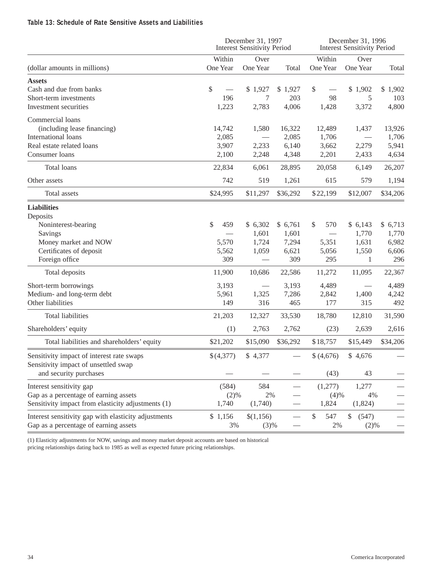### **Table 13: Schedule of Rate Sensitive Assets and Liabilities**

|                                                      |              | December 31, 1997<br><b>Interest Sensitivity Period</b> |              | December 31, 1996<br><b>Interest Sensitivity Period</b> |                        |              |
|------------------------------------------------------|--------------|---------------------------------------------------------|--------------|---------------------------------------------------------|------------------------|--------------|
|                                                      | Within       | Over                                                    |              | Within                                                  | Over                   |              |
| (dollar amounts in millions)                         | One Year     | One Year                                                | Total        | One Year                                                | One Year               | Total        |
| <b>Assets</b>                                        |              |                                                         |              |                                                         |                        |              |
| Cash and due from banks                              | \$           | \$1,927                                                 | \$1,927      | \$                                                      | \$1,902                | \$1,902      |
| Short-term investments                               | 196          | 7                                                       | 203          | 98                                                      | 5                      | 103          |
| Investment securities                                | 1,223        | 2,783                                                   | 4,006        | 1,428                                                   | 3,372                  | 4,800        |
| Commercial loans                                     |              |                                                         |              |                                                         |                        |              |
| (including lease financing)                          | 14,742       | 1,580                                                   | 16,322       | 12,489                                                  | 1,437                  | 13,926       |
| International loans                                  | 2,085        |                                                         | 2,085        | 1,706                                                   |                        | 1,706        |
| Real estate related loans                            | 3,907        | 2,233                                                   | 6,140        | 3,662                                                   | 2,279                  | 5,941        |
| Consumer loans                                       | 2,100        | 2,248                                                   | 4,348        | 2,201                                                   | 2,433                  | 4,634        |
| Total loans                                          | 22,834       | 6,061                                                   | 28,895       | 20,058                                                  | 6,149                  | 26,207       |
| Other assets                                         | 742          | 519                                                     | 1,261        | 615                                                     | 579                    | 1,194        |
| Total assets                                         | \$24,995     | \$11,297                                                | \$36,292     | \$22,199                                                | \$12,007               | \$34,206     |
| <b>Liabilities</b>                                   |              |                                                         |              |                                                         |                        |              |
| Deposits                                             |              |                                                         |              |                                                         |                        |              |
| Noninterest-bearing                                  | \$<br>459    | \$6,302                                                 | \$6,761      | \$<br>570                                               | \$6,143                | \$6,713      |
| Savings                                              |              | 1,601                                                   | 1,601        |                                                         | 1,770                  | 1,770        |
| Money market and NOW                                 | 5,570        | 1,724                                                   | 7,294        | 5,351                                                   | 1,631                  | 6,982        |
| Certificates of deposit                              | 5,562<br>309 | 1,059                                                   | 6,621<br>309 | 5,056<br>295                                            | 1,550                  | 6,606<br>296 |
| Foreign office                                       |              |                                                         |              |                                                         | 1                      |              |
| Total deposits                                       | 11,900       | 10,686                                                  | 22,586       | 11,272                                                  | 11,095                 | 22,367       |
| Short-term borrowings                                | 3,193        |                                                         | 3,193        | 4,489                                                   |                        | 4,489        |
| Medium- and long-term debt                           | 5,961        | 1,325                                                   | 7,286        | 2,842                                                   | 1,400                  | 4,242        |
| Other liabilities                                    | 149          | 316                                                     | 465          | 177                                                     | 315                    | 492          |
| <b>Total liabilities</b>                             | 21,203       | 12,327                                                  | 33,530       | 18,780                                                  | 12,810                 | 31,590       |
| Shareholders' equity                                 | (1)          | 2,763                                                   | 2,762        | (23)                                                    | 2,639                  | 2,616        |
| Total liabilities and shareholders' equity           | \$21,202     | \$15,090                                                | \$36,292     | \$18,757                                                | \$15,449               | \$34,206     |
| Sensitivity impact of interest rate swaps            | \$(4,377)    | \$4,377                                                 |              | \$ (4,676)                                              | \$4,676                |              |
| Sensitivity impact of unsettled swap                 |              |                                                         |              |                                                         |                        |              |
| and security purchases                               |              |                                                         |              | (43)                                                    | 43                     |              |
| Interest sensitivity gap                             | (584)        | 584                                                     |              | (1,277)                                                 | 1,277                  |              |
| Gap as a percentage of earning assets                | (2)%         | 2%                                                      |              | (4)%                                                    | 4%                     |              |
| Sensitivity impact from elasticity adjustments (1)   | 1,740        | (1,740)                                                 |              | 1,824                                                   | (1,824)                |              |
| Interest sensitivity gap with elasticity adjustments | \$1,156      | \$(1,156)                                               |              | \$<br>547                                               | $\mathcal{S}$<br>(547) |              |
| Gap as a percentage of earning assets                | 3%           | (3)%                                                    |              | 2%                                                      | (2)%                   |              |

(1) Elasticity adjustments for NOW, savings and money market deposit accounts are based on historical pricing relationships dating back to 1985 as well as expected future pricing relationships.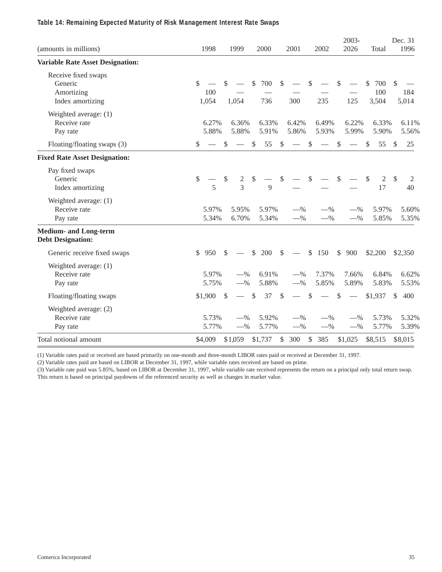### **Table 14: Remaining Expected Maturity of Risk Management Interest Rate Swaps**

| (amounts in millions)                                            | 1998                | 1999                           | 2000                | 2001                                     | 2002                           | 2003-<br>2026        | Total                      | Dec. 31<br>1996     |
|------------------------------------------------------------------|---------------------|--------------------------------|---------------------|------------------------------------------|--------------------------------|----------------------|----------------------------|---------------------|
| <b>Variable Rate Asset Designation:</b>                          |                     |                                |                     |                                          |                                |                      |                            |                     |
| Receive fixed swaps<br>Generic<br>Amortizing<br>Index amortizing | \$<br>100<br>1,054  | \$<br>1,054                    | \$<br>700<br>736    | $\mathcal{S}$<br>300                     | \$<br>235                      | \$<br>125            | \$<br>700<br>100<br>3,504  | \$<br>184<br>5,014  |
| Weighted average: (1)<br>Receive rate<br>Pay rate                | 6.27%<br>5.88%      | 6.36%<br>5.88%                 | 6.33%<br>5.91%      | 6.42%<br>5.86%                           | 6.49%<br>5.93%                 | 6.22%<br>5.99%       | 6.33%<br>5.90%             | 6.11%<br>5.56%      |
| Floating/floating swaps (3)                                      | \$                  | \$<br>$\overline{\phantom{m}}$ | $\mathcal{S}$<br>55 | $\mathbb{S}$<br>$\overline{\phantom{0}}$ | \$<br>$\overline{\phantom{m}}$ | \$                   | $\mathbb{S}$<br>55         | $\mathcal{S}$<br>25 |
| <b>Fixed Rate Asset Designation:</b>                             |                     |                                |                     |                                          |                                |                      |                            |                     |
| Pay fixed swaps<br>Generic<br>Index amortizing                   | \$<br>5             | \$<br>2<br>$\overline{3}$      | \$<br>9             | $\$\,$                                   | \$                             | \$                   | \$<br>$\overline{2}$<br>17 | \$<br>2<br>40       |
| Weighted average: (1)<br>Receive rate<br>Pay rate                | 5.97%<br>5.34%      | 5.95%<br>6.70%                 | 5.97%<br>5.34%      | $-$ %<br>$-$ %                           | $-$ %<br>$-$ %                 | $-$ %<br>$-$ %       | 5.97%<br>5.85%             | 5.60%<br>5.35%      |
| <b>Medium- and Long-term</b><br><b>Debt Designation:</b>         |                     |                                |                     |                                          |                                |                      |                            |                     |
| Generic receive fixed swaps                                      | $\mathbb{S}$<br>950 | $\mathbb{S}$                   | \$<br>200           | $\mathcal{S}$                            | \$<br>150                      | $\mathcal{S}$<br>900 | \$2,200                    | \$2,350             |
| Weighted average: (1)<br>Receive rate<br>Pay rate                | 5.97%<br>5.75%      | $-$ %<br>$-$ %                 | 6.91%<br>5.88%      | $-$ %<br>$-$ %                           | 7.37%<br>5.85%                 | 7.66%<br>5.89%       | 6.84%<br>5.83%             | 6.62%<br>5.53%      |
| Floating/floating swaps                                          | \$1,900             | $\mathcal{S}$                  | $\mathcal{S}$<br>37 | $\mathcal{S}$                            | \$                             | $\mathcal{S}$        | \$1,937                    | \$<br>400           |
| Weighted average: (2)<br>Receive rate<br>Pay rate                | 5.73%<br>5.77%      | $-$ %<br>$-$ %                 | 5.92%<br>5.77%      | $-$ %<br>$-$ %                           | $-$ %<br>$-$ %                 | $-$ %<br>$-$ %       | 5.73%<br>5.77%             | 5.32%<br>5.39%      |
| Total notional amount                                            | \$4,009             | \$1,059                        | \$1,737             | $\mathcal{S}$<br>300                     | \$<br>385                      | \$1,025              | \$8,515                    | \$8,015             |

(1) Variable rates paid or received are based primarily on one-month and three-month LIBOR rates paid or received at December 31, 1997.

(2) Variable rates paid are based on LIBOR at December 31, 1997, while variable rates received are based on prime.

(3) Variable rate paid was 5.85%, based on LIBOR at December 31, 1997, while variable rate received represents the return on a principal only total return swap. This return is based on principal paydowns of the referenced security as well as changes in market value.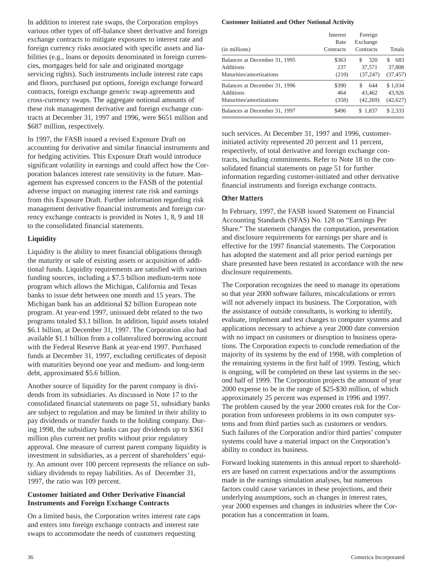In addition to interest rate swaps, the Corporation employs various other types of off-balance sheet derivative and foreign exchange contracts to mitigate exposures to interest rate and foreign currency risks associated with specific assets and liabilities (e.g., loans or deposits denominated in foreign currencies, mortgages held for sale and originated mortgage servicing rights). Such instruments include interest rate caps and floors, purchased put options, foreign exchange forward contracts, foreign exchange generic swap agreements and cross-currency swaps. The aggregate notional amounts of these risk management derivative and foreign exchange contracts at December 31, 1997 and 1996, were \$651 million and \$687 million, respectively.

In 1997, the FASB issued a revised Exposure Draft on accounting for derivative and similar financial instruments and for hedging activities. This Exposure Draft would introduce significant volatility in earnings and could affect how the Corporation balances interest rate sensitivity in the future. Management has expressed concern to the FASB of the potential adverse impact on managing interest rate risk and earnings from this Exposure Draft. Further information regarding risk management derivative financial instruments and foreign currency exchange contracts is provided in Notes 1, 8, 9 and 18 to the consolidated financial statements.

#### **Liquidity**

Liquidity is the ability to meet financial obligations through the maturity or sale of existing assets or acquisition of additional funds. Liquidity requirements are satisfied with various funding sources, including a \$7.5 billion medium-term note program which allows the Michigan, California and Texas banks to issue debt between one month and 15 years. The Michigan bank has an additional \$2 billion European note program. At year-end 1997, unissued debt related to the two programs totaled \$3.1 billion. In addition, liquid assets totaled \$6.1 billion, at December 31, 1997. The Corporation also had available \$1.1 billion from a collateralized borrowing account with the Federal Reserve Bank at year-end 1997. Purchased funds at December 31, 1997, excluding certificates of deposit with maturities beyond one year and medium- and long-term debt, approximated \$5.6 billion.

Another source of liquidity for the parent company is dividends from its subsidiaries. As discussed in Note 17 to the consolidated financial statements on page 51, subsidiary banks are subject to regulation and may be limited in their ability to pay dividends or transfer funds to the holding company. During 1998, the subsidiary banks can pay dividends up to \$361 million plus current net profits without prior regulatory approval. One measure of current parent company liquidity is investment in subsidiaries, as a percent of shareholders' equity. An amount over 100 percent represents the reliance on subsidiary dividends to repay liabilities. As of December 31, 1997, the ratio was 109 percent.

### **Customer Initiated and Other Derivative Financial Instruments and Foreign Exchange Contracts**

On a limited basis, the Corporation writes interest rate caps and enters into foreign exchange contracts and interest rate swaps to accommodate the needs of customers requesting

#### **Customer Initiated and Other Notional Activity**

| (in millions)                                                          | Interest<br>Rate<br>Contracts | Foreign<br>Exchange<br>Contracts  | Totals                          |
|------------------------------------------------------------------------|-------------------------------|-----------------------------------|---------------------------------|
| Balances at December 31, 1995<br>Additions<br>Maturities/amortizations | \$363<br>237<br>(210)         | 320<br>S<br>37,571<br>(37, 247)   | 683<br>S<br>37,808<br>(37, 457) |
| Balances at December 31, 1996<br>Additions<br>Maturities/amortizations | \$390<br>464<br>(358)         | \$.<br>644<br>43,462<br>(42, 269) | \$1,034<br>43,926<br>(42, 627)  |
| Balances at December 31, 1997                                          | \$496                         | \$1,837                           | \$2,333                         |

such services. At December 31, 1997 and 1996, customerinitiated activity represented 20 percent and 11 percent, respectively, of total derivative and foreign exchange contracts, including commitments. Refer to Note 18 to the consolidated financial statements on page 51 for further information regarding customer-initiated and other derivative financial instruments and foreign exchange contracts.

# **Other Matters**

In February, 1997, the FASB issued Statement on Financial Accounting Standards (SFAS) No. 128 on "Earnings Per Share." The statement changes the computation, presentation and disclosure requirements for earnings per share and is effective for the 1997 financial statements. The Corporation has adopted the statement and all prior period earnings per share presented have been restated in accordance with the new disclosure requirements.

The Corporation recognizes the need to manage its operations so that year 2000 software failures, miscalculations or errors will not adversely impact its business. The Corporation, with the assistance of outside consultants, is working to identify, evaluate, implement and test changes to computer systems and applications necessary to achieve a year 2000 date conversion with no impact on customers or disruption to business operations. The Corporation expects to conclude remediation of the majority of its systems by the end of 1998, with completion of the remaining systems in the first half of 1999. Testing, which is ongoing, will be completed on these last systems in the second half of 1999. The Corporation projects the amount of year 2000 expense to be in the range of \$25-\$30 million, of which approximately 25 percent was expensed in 1996 and 1997. The problem caused by the year 2000 creates risk for the Corporation from unforeseen problems in its own computer systems and from third parties such as customers or vendors. Such failures of the Corporation and/or third parties' computer systems could have a material impact on the Corporation's ability to conduct its business.

Forward looking statements in this annual report to shareholders are based on current expectations and/or the assumptions made in the earnings simulation analyses, but numerous factors could cause variances in these projections, and their underlying assumptions, such as changes in interest rates, year 2000 expenses and changes in industries where the Corporation has a concentration in loans.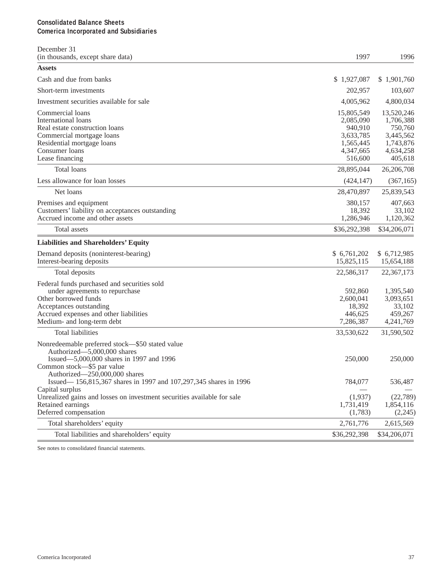# **Consolidated Balance Sheets Comerica Incorporated and Subsidiaries**

| December 31<br>(in thousands, except share data)                                                                                                                                                         | 1997                                                                                 | 1996                                                                                 |
|----------------------------------------------------------------------------------------------------------------------------------------------------------------------------------------------------------|--------------------------------------------------------------------------------------|--------------------------------------------------------------------------------------|
| <b>Assets</b>                                                                                                                                                                                            |                                                                                      |                                                                                      |
| Cash and due from banks                                                                                                                                                                                  | \$1,927,087                                                                          | \$1,901,760                                                                          |
| Short-term investments                                                                                                                                                                                   | 202,957                                                                              | 103,607                                                                              |
| Investment securities available for sale                                                                                                                                                                 | 4,005,962                                                                            | 4,800,034                                                                            |
| Commercial loans<br>International loans<br>Real estate construction loans<br>Commercial mortgage loans<br>Residential mortgage loans<br>Consumer loans<br>Lease financing                                | 15,805,549<br>2,085,090<br>940,910<br>3,633,785<br>1,565,445<br>4,347,665<br>516,600 | 13,520,246<br>1,706,388<br>750,760<br>3,445,562<br>1,743,876<br>4,634,258<br>405,618 |
| <b>Total loans</b>                                                                                                                                                                                       | 28,895,044                                                                           | 26,206,708                                                                           |
| Less allowance for loan losses                                                                                                                                                                           | (424, 147)                                                                           | (367, 165)                                                                           |
| Net loans                                                                                                                                                                                                | 28,470,897                                                                           | 25,839,543                                                                           |
| Premises and equipment<br>Customers' liability on acceptances outstanding<br>Accrued income and other assets                                                                                             | 380,157<br>18,392<br>1,286,946                                                       | 407,663<br>33,102<br>1,120,362                                                       |
| Total assets                                                                                                                                                                                             | \$36,292,398                                                                         | \$34,206,071                                                                         |
| <b>Liabilities and Shareholders' Equity</b>                                                                                                                                                              |                                                                                      |                                                                                      |
| Demand deposits (noninterest-bearing)<br>Interest-bearing deposits                                                                                                                                       | \$6,761,202<br>15,825,115                                                            | \$6,712,985<br>15,654,188                                                            |
| Total deposits                                                                                                                                                                                           | 22,586,317                                                                           | 22,367,173                                                                           |
| Federal funds purchased and securities sold<br>under agreements to repurchase<br>Other borrowed funds<br>Acceptances outstanding<br>Accrued expenses and other liabilities<br>Medium- and long-term debt | 592,860<br>2,600,041<br>18,392<br>446,625<br>7,286,387                               | 1,395,540<br>3,093,651<br>33,102<br>459,267<br>4,241,769                             |
| <b>Total liabilities</b>                                                                                                                                                                                 | 33,530,622                                                                           | 31,590,502                                                                           |
| Nonredeemable preferred stock-\$50 stated value<br>Authorized-5,000,000 shares<br>Issued-5,000,000 shares in 1997 and 1996<br>Common stock—\$5 par value<br>Authorized-250,000,000 shares                | 250,000                                                                              | 250,000                                                                              |
| Issued-156,815,367 shares in 1997 and 107,297,345 shares in 1996<br>Capital surplus                                                                                                                      | 784,077                                                                              | 536,487                                                                              |
| Unrealized gains and losses on investment securities available for sale<br>Retained earnings<br>Deferred compensation                                                                                    | (1,937)<br>1,731,419<br>(1,783)                                                      | (22,789)<br>1,854,116<br>(2,245)                                                     |
| Total shareholders' equity                                                                                                                                                                               | 2,761,776                                                                            | 2,615,569                                                                            |
| Total liabilities and shareholders' equity                                                                                                                                                               | \$36,292,398                                                                         | \$34,206,071                                                                         |

See notes to consolidated financial statements.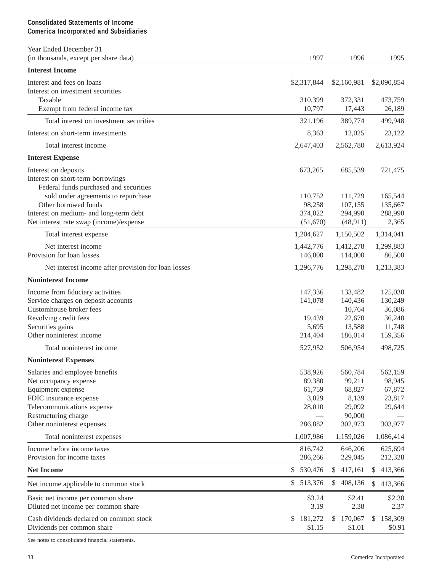# **Consolidated Statements of Income Comerica Incorporated and Subsidiaries**

| Year Ended December 31<br>(in thousands, except per share data) | 1997          | 1996          | 1995                    |
|-----------------------------------------------------------------|---------------|---------------|-------------------------|
| <b>Interest Income</b>                                          |               |               |                         |
| Interest and fees on loans                                      | \$2,317,844   | \$2,160,981   | \$2,090,854             |
| Interest on investment securities                               |               |               |                         |
| Taxable                                                         | 310,399       | 372,331       | 473,759                 |
| Exempt from federal income tax                                  | 10,797        | 17,443        | 26,189                  |
| Total interest on investment securities                         | 321,196       | 389,774       | 499,948                 |
| Interest on short-term investments                              | 8,363         | 12,025        | 23,122                  |
| Total interest income                                           | 2,647,403     | 2,562,780     | 2,613,924               |
| <b>Interest Expense</b>                                         |               |               |                         |
| Interest on deposits                                            | 673,265       | 685,539       | 721,475                 |
| Interest on short-term borrowings                               |               |               |                         |
| Federal funds purchased and securities                          |               |               |                         |
| sold under agreements to repurchase                             | 110,752       | 111,729       | 165,544                 |
| Other borrowed funds                                            | 98,258        | 107,155       | 135,667                 |
| Interest on medium- and long-term debt                          | 374,022       | 294,990       | 288,990                 |
| Net interest rate swap (income)/expense                         | (51,670)      | (48,911)      | 2,365                   |
| Total interest expense                                          | 1,204,627     | 1,150,502     | 1,314,041               |
| Net interest income                                             | 1,442,776     | 1,412,278     | 1,299,883               |
| Provision for loan losses                                       | 146,000       | 114,000       | 86,500                  |
| Net interest income after provision for loan losses             | 1,296,776     | 1,298,278     | 1,213,383               |
| <b>Noninterest Income</b>                                       |               |               |                         |
| Income from fiduciary activities                                | 147,336       | 133,482       | 125,038                 |
| Service charges on deposit accounts                             | 141,078       | 140,436       | 130,249                 |
| Customhouse broker fees                                         |               | 10,764        | 36,086                  |
| Revolving credit fees                                           | 19,439        | 22,670        | 36,248                  |
| Securities gains                                                | 5,695         | 13,588        | 11,748                  |
| Other noninterest income                                        | 214,404       | 186,014       | 159,356                 |
| Total noninterest income                                        | 527,952       | 506,954       | 498,725                 |
| <b>Noninterest Expenses</b>                                     |               |               |                         |
| Salaries and employee benefits                                  | 538,926       | 560,784       | 562,159                 |
| Net occupancy expense                                           | 89,380        | 99,211        | 98,945                  |
| Equipment expense                                               | 61,759        | 68,827        | 67,872                  |
| FDIC insurance expense                                          | 3,029         | 8,139         | 23,817                  |
| Telecommunications expense                                      | 28,010        | 29,092        | 29,644                  |
| Restructuring charge                                            |               | 90,000        |                         |
| Other noninterest expenses                                      | 286,882       | 302,973       | 303,977                 |
| Total noninterest expenses                                      | 1,007,986     | 1,159,026     | 1,086,414               |
| Income before income taxes                                      | 816,742       | 646,206       | 625,694                 |
| Provision for income taxes                                      | 286,266       | 229,045       | 212,328                 |
| <b>Net Income</b>                                               | 530,476<br>\$ | 417,161<br>\$ | 413,366<br>$\mathbb{S}$ |
| Net income applicable to common stock                           | \$513,376     | \$408,136     | \$413,366               |
| Basic net income per common share                               | \$3.24        | \$2.41        | \$2.38                  |
| Diluted net income per common share                             | 3.19          | 2.38          | 2.37                    |
| Cash dividends declared on common stock                         | 181,272<br>\$ | 170,067<br>\$ | 158,309<br>\$           |
| Dividends per common share                                      | \$1.15        | \$1.01        | \$0.91                  |

See notes to consolidated financial statements.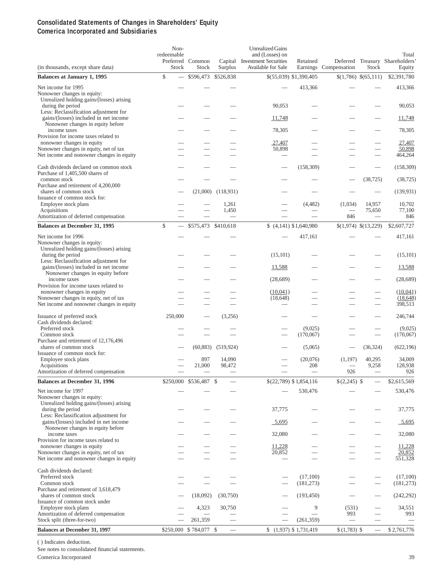#### **Consolidated Statements of Changes in Shareholders' Equity Comerica Incorporated and Subsidiaries**

| (in thousands, except share data)                                                                                              | Non-<br>redeemable<br>Stock    | Preferred Common<br>Stock | Surplus        | <b>Unrealized Gains</b><br>and (Losses) on<br>Capital Investment Securities<br>Available for Sale | Retained               | Earnings Compensation | Stock                    | Total<br>Deferred Treasury Shareholders'<br>Equity |
|--------------------------------------------------------------------------------------------------------------------------------|--------------------------------|---------------------------|----------------|---------------------------------------------------------------------------------------------------|------------------------|-----------------------|--------------------------|----------------------------------------------------|
| <b>Balances at January 1, 1995</b>                                                                                             | \$                             | \$596,473                 | \$526,838      |                                                                                                   | \$(55,039) \$1,390,405 |                       | $(1,786)$ $(65,111)$     | \$2,391,780                                        |
| Net income for 1995<br>Nonowner changes in equity:<br>Unrealized holding gains/(losses) arising                                |                                |                           |                |                                                                                                   | 413,366                |                       |                          | 413,366                                            |
| during the period<br>Less: Reclassification adjustment for<br>gains/(losses) included in net income                            |                                |                           |                | 90,053<br>11,748                                                                                  |                        |                       |                          | 90,053<br>11,748                                   |
| Nonowner changes in equity before<br>income taxes                                                                              |                                |                           |                | 78,305                                                                                            |                        |                       |                          | 78,305                                             |
| Provision for income taxes related to<br>nonowner changes in equity                                                            |                                |                           |                | 27,407                                                                                            |                        |                       |                          | 27,407                                             |
| Nonowner changes in equity, net of tax<br>Net income and nonowner changes in equity                                            |                                |                           |                | 50,898                                                                                            |                        |                       |                          | 50,898<br>464,264                                  |
| Cash dividends declared on common stock<br>Purchase of 1,405,500 shares of                                                     |                                |                           |                |                                                                                                   | (158, 309)             |                       |                          | (158, 309)                                         |
| common stock<br>Purchase and retirement of 4,200,000                                                                           |                                |                           |                |                                                                                                   |                        |                       | (38, 725)                | (38, 725)                                          |
| shares of common stock<br>Issuance of common stock for:                                                                        |                                | (21,000)                  | (118, 931)     |                                                                                                   |                        |                       |                          | (139, 931)                                         |
| Employee stock plans<br>Acquisitions                                                                                           |                                |                           | 1,261<br>1,450 |                                                                                                   | (4,482)                | (1,034)               | 14,957<br>75,650         | 10,702<br>77,100                                   |
| Amortization of deferred compensation                                                                                          |                                |                           | $\equiv$       | $\overline{\phantom{0}}$                                                                          |                        | 846                   | $\overline{\phantom{0}}$ | 846                                                |
| <b>Balances at December 31, 1995</b>                                                                                           | \$<br>$\overline{\phantom{0}}$ | \$575,473 \$410,618       |                |                                                                                                   | $(4,141)$ \$1,640,980  |                       | $(1,974)$ $(13,229)$     | \$2,607,727                                        |
| Net income for 1996<br>Nonowner changes in equity:<br>Unrealized holding gains/(losses) arising                                |                                |                           |                |                                                                                                   | 417,161                |                       |                          | 417,161                                            |
| during the period<br>Less: Reclassification adjustment for                                                                     |                                |                           |                | (15, 101)                                                                                         |                        |                       |                          | (15,101)                                           |
| gains/(losses) included in net income<br>Nonowner changes in equity before                                                     |                                |                           |                | 13,588                                                                                            |                        |                       |                          | 13,588                                             |
| income taxes<br>Provision for income taxes related to                                                                          |                                |                           |                | (28, 689)                                                                                         |                        |                       |                          | (28, 689)                                          |
| nonowner changes in equity<br>Nonowner changes in equity, net of tax                                                           |                                |                           |                | (10,041)<br>(18, 648)                                                                             |                        |                       |                          | (10,041)<br>(18, 648)                              |
| Net income and nonowner changes in equity                                                                                      |                                |                           |                |                                                                                                   |                        |                       | $\overline{\phantom{0}}$ | 398,513                                            |
| Issuance of preferred stock<br>Cash dividends declared:                                                                        | 250,000                        |                           | (3,256)        |                                                                                                   |                        |                       |                          | 246,744                                            |
| Preferred stock<br>Common stock                                                                                                |                                |                           |                |                                                                                                   | (9,025)<br>(170,067)   |                       |                          | (9,025)<br>(170,067)                               |
| Purchase and retirement of 12,176,496                                                                                          |                                |                           |                |                                                                                                   |                        |                       |                          |                                                    |
| shares of common stock<br>Issuance of common stock for:                                                                        |                                | (60, 883)                 | (519, 924)     |                                                                                                   | (5,065)                |                       | (36, 324)                | (622, 196)                                         |
| Employee stock plans                                                                                                           |                                | 897                       | 14,090         |                                                                                                   | (20,076)               | (1, 197)              | 40,295                   | 34,009                                             |
| Acquisitions<br>Amortization of deferred compensation                                                                          |                                | 21,000                    | 98,472         |                                                                                                   | 208                    | 926                   | 9,258                    | 128,938<br>926                                     |
| <b>Balances at December 31, 1996</b>                                                                                           |                                | \$250,000 \$536,487 \$    |                |                                                                                                   | \$(22,789) \$1,854,116 | $$(2,245)$ \          |                          | \$2,615,569                                        |
| Net income for 1997<br>Nonowner changes in equity:                                                                             |                                |                           |                |                                                                                                   | 530,476                |                       |                          | 530,476                                            |
| Unrealized holding gains/(losses) arising<br>during the period<br>Less: Reclassification adjustment for                        |                                |                           |                | 37,775                                                                                            |                        |                       |                          | 37,775                                             |
| gains/(losses) included in net income<br>Nonowner changes in equity before                                                     |                                |                           |                | 5,695                                                                                             |                        |                       |                          | $-5,695$                                           |
| income taxes<br>Provision for income taxes related to                                                                          |                                |                           |                | 32,080                                                                                            |                        |                       |                          | 32,080                                             |
| nonowner changes in equity                                                                                                     |                                |                           |                | 11,228                                                                                            |                        |                       |                          | 11,228                                             |
| Nonowner changes in equity, net of tax<br>Net income and nonowner changes in equity                                            |                                |                           |                | 20,852                                                                                            |                        |                       |                          | 20,852<br>551,328                                  |
| Cash dividends declared:<br>Preferred stock<br>Common stock                                                                    |                                |                           |                |                                                                                                   | (17,100)<br>(181, 273) |                       |                          | (17,100)<br>(181, 273)                             |
| Purchase and retirement of 3,618,479<br>shares of common stock                                                                 |                                | (18,092)                  | (30,750)       |                                                                                                   | (193, 450)             |                       |                          | (242, 292)                                         |
| Issuance of common stock under<br>Employee stock plans<br>Amortization of deferred compensation<br>Stock split (three-for-two) |                                | 4,323<br>261,359          | 30,750         |                                                                                                   | 9<br>(261, 359)        | (531)<br>993          |                          | 34,551<br>993                                      |
| <b>Balances at December 31, 1997</b>                                                                                           |                                | \$250,000 \$784,077 \$    |                |                                                                                                   | $(1,937)$ \$ 1,731,419 | $$(1,783)$ \$         | $\equiv$                 | \$2,761,776                                        |
|                                                                                                                                |                                |                           |                |                                                                                                   |                        |                       |                          |                                                    |

( ) Indicates deduction.

See notes to consolidated financial statements.

Comerica Incorporated 39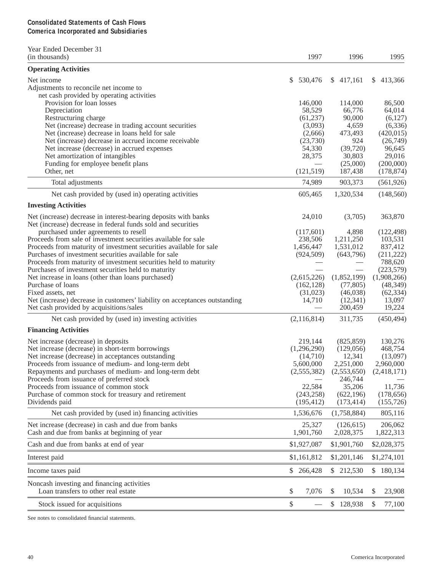# **Consolidated Statements of Cash Flows Comerica Incorporated and Subsidiaries**

| Year Ended December 31                                                                                                      |                      |                        |                       |
|-----------------------------------------------------------------------------------------------------------------------------|----------------------|------------------------|-----------------------|
| (in thousands)                                                                                                              | 1997                 | 1996                   | 1995                  |
| <b>Operating Activities</b>                                                                                                 |                      |                        |                       |
| Net income                                                                                                                  | 530,476<br>S.        | \$417,161              | \$413,366             |
| Adjustments to reconcile net income to                                                                                      |                      |                        |                       |
| net cash provided by operating activities                                                                                   |                      |                        |                       |
| Provision for loan losses                                                                                                   | 146,000              | 114,000                | 86,500                |
| Depreciation                                                                                                                | 58,529               | 66,776<br>90,000       | 64,014<br>(6,127)     |
| Restructuring charge<br>Net (increase) decrease in trading account securities                                               | (61, 237)<br>(3,093) | 4,659                  | (6, 336)              |
| Net (increase) decrease in loans held for sale                                                                              | (2,666)              | 473,493                | (420, 015)            |
| Net (increase) decrease in accrued income receivable                                                                        | (23,730)             | 924                    | (26,749)              |
| Net increase (decrease) in accrued expenses                                                                                 | 54,330               | (39,720)               | 96,645                |
| Net amortization of intangibles                                                                                             | 28,375               | 30,803                 | 29,016                |
| Funding for employee benefit plans                                                                                          |                      | (25,000)               | (200,000)             |
| Other, net                                                                                                                  | (121, 519)           | 187,438                | (178, 874)            |
| Total adjustments                                                                                                           | 74,989               | 903,373                | (561, 926)            |
| Net cash provided by (used in) operating activities                                                                         | 605,465              | 1,320,534              | (148, 560)            |
| <b>Investing Activities</b>                                                                                                 |                      |                        |                       |
|                                                                                                                             |                      |                        |                       |
| Net (increase) decrease in interest-bearing deposits with banks                                                             | 24,010               | (3,705)                | 363,870               |
| Net (increase) decrease in federal funds sold and securities                                                                |                      |                        |                       |
| purchased under agreements to resell                                                                                        | (117,601)            | 4,898                  | (122, 498)            |
| Proceeds from sale of investment securities available for sale                                                              | 238,506<br>1,456,447 | 1,211,250<br>1,531,012 | 103,531<br>837,412    |
| Proceeds from maturity of investment securities available for sale<br>Purchases of investment securities available for sale |                      |                        |                       |
|                                                                                                                             | (924, 509)           | (643,796)              | (211, 222)<br>788,620 |
| Proceeds from maturity of investment securities held to maturity<br>Purchases of investment securities held to maturity     |                      |                        | (223, 579)            |
| Net increase in loans (other than loans purchased)                                                                          | (2,615,226)          | (1,852,199)            | (1,908,266)           |
| Purchase of loans                                                                                                           | (162, 128)           | (77, 805)              | (48, 349)             |
| Fixed assets, net                                                                                                           | (31,023)             | (46,038)               | (62, 334)             |
| Net (increase) decrease in customers' liability on acceptances outstanding                                                  | 14,710               | (12, 341)              | 13,097                |
| Net cash provided by acquisitions/sales                                                                                     |                      | 200,459                | 19,224                |
| Net cash provided by (used in) investing activities                                                                         | (2,116,814)          | 311,735                | (450, 494)            |
| <b>Financing Activities</b>                                                                                                 |                      |                        |                       |
| Net increase (decrease) in deposits                                                                                         | 219,144              | (825, 859)             | 130,276               |
| Net increase (decrease) in short-term borrowings                                                                            | (1,296,290)          | (129, 056)             | 468,754               |
| Net increase (decrease) in acceptances outstanding                                                                          | (14,710)             | 12,341                 | (13,097)              |
| Proceeds from issuance of medium- and long-term debt                                                                        | 5,600,000            | 2,251,000              | 2,960,000             |
| Repayments and purchases of medium- and long-term debt                                                                      | (2,555,382)          | (2,553,650)            | (2,418,171)           |
| Proceeds from issuance of preferred stock                                                                                   |                      | 246,744                |                       |
| Proceeds from issuance of common stock                                                                                      | 22,584               | 35,206                 | 11,736                |
| Purchase of common stock for treasury and retirement                                                                        | (243, 258)           | (622, 196)             | (178, 656)            |
| Dividends paid                                                                                                              | (195, 412)           | (173, 414)             | (155, 726)            |
| Net cash provided by (used in) financing activities                                                                         | 1,536,676            | (1,758,884)            | 805,116               |
| Net increase (decrease) in cash and due from banks                                                                          | 25,327               | (126, 615)             | 206,062               |
| Cash and due from banks at beginning of year                                                                                | 1,901,760            | 2,028,375              | 1,822,313             |
| Cash and due from banks at end of year                                                                                      | \$1,927,087          | \$1,901,760            | \$2,028,375           |
| Interest paid                                                                                                               | \$1,161,812          | \$1,201,146            | \$1,274,101           |
| Income taxes paid                                                                                                           | \$ 266,428           | \$ 212,530             | \$180,134             |
| Noncash investing and financing activities<br>Loan transfers to other real estate                                           | \$<br>7,076          | 10,534<br>\$           | \$<br>23,908          |
| Stock issued for acquisitions                                                                                               | \$                   | \$128,938              | \$<br>77,100          |

See notes to consolidated financial statements.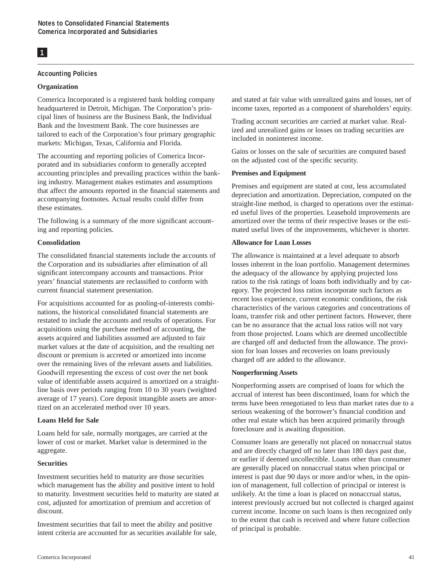# **1**

#### **Accounting Policies**

#### **Organization**

Comerica Incorporated is a registered bank holding company headquartered in Detroit, Michigan. The Corporation's principal lines of business are the Business Bank, the Individual Bank and the Investment Bank. The core businesses are tailored to each of the Corporation's four primary geographic markets: Michigan, Texas, California and Florida.

The accounting and reporting policies of Comerica Incorporated and its subsidiaries conform to generally accepted accounting principles and prevailing practices within the banking industry. Management makes estimates and assumptions that affect the amounts reported in the financial statements and accompanying footnotes. Actual results could differ from these estimates.

The following is a summary of the more significant accounting and reporting policies.

#### **Consolidation**

The consolidated financial statements include the accounts of the Corporation and its subsidiaries after elimination of all significant intercompany accounts and transactions. Prior years' financial statements are reclassified to conform with current financial statement presentation.

For acquisitions accounted for as pooling-of-interests combinations, the historical consolidated financial statements are restated to include the accounts and results of operations. For acquisitions using the purchase method of accounting, the assets acquired and liabilities assumed are adjusted to fair market values at the date of acquisition, and the resulting net discount or premium is accreted or amortized into income over the remaining lives of the relevant assets and liabilities. Goodwill representing the excess of cost over the net book value of identifiable assets acquired is amortized on a straightline basis over periods ranging from 10 to 30 years (weighted average of 17 years). Core deposit intangible assets are amortized on an accelerated method over 10 years.

#### **Loans Held for Sale**

Loans held for sale, normally mortgages, are carried at the lower of cost or market. Market value is determined in the aggregate.

#### **Securities**

Investment securities held to maturity are those securities which management has the ability and positive intent to hold to maturity. Investment securities held to maturity are stated at cost, adjusted for amortization of premium and accretion of discount.

Investment securities that fail to meet the ability and positive intent criteria are accounted for as securities available for sale, and stated at fair value with unrealized gains and losses, net of income taxes, reported as a component of shareholders' equity.

Trading account securities are carried at market value. Realized and unrealized gains or losses on trading securities are included in noninterest income.

Gains or losses on the sale of securities are computed based on the adjusted cost of the specific security.

### **Premises and Equipment**

Premises and equipment are stated at cost, less accumulated depreciation and amortization. Depreciation, computed on the straight-line method, is charged to operations over the estimated useful lives of the properties. Leasehold improvements are amortized over the terms of their respective leases or the estimated useful lives of the improvements, whichever is shorter.

#### **Allowance for Loan Losses**

The allowance is maintained at a level adequate to absorb losses inherent in the loan portfolio. Management determines the adequacy of the allowance by applying projected loss ratios to the risk ratings of loans both individually and by category. The projected loss ratios incorporate such factors as recent loss experience, current economic conditions, the risk characteristics of the various categories and concentrations of loans, transfer risk and other pertinent factors. However, there can be no assurance that the actual loss ratios will not vary from those projected. Loans which are deemed uncollectible are charged off and deducted from the allowance. The provision for loan losses and recoveries on loans previously charged off are added to the allowance.

#### **Nonperforming Assets**

Nonperforming assets are comprised of loans for which the accrual of interest has been discontinued, loans for which the terms have been renegotiated to less than market rates due to a serious weakening of the borrower's financial condition and other real estate which has been acquired primarily through foreclosure and is awaiting disposition.

Consumer loans are generally not placed on nonaccrual status and are directly charged off no later than 180 days past due, or earlier if deemed uncollectible. Loans other than consumer are generally placed on nonaccrual status when principal or interest is past due 90 days or more and/or when, in the opinion of management, full collection of principal or interest is unlikely. At the time a loan is placed on nonaccrual status, interest previously accrued but not collected is charged against current income. Income on such loans is then recognized only to the extent that cash is received and where future collection of principal is probable.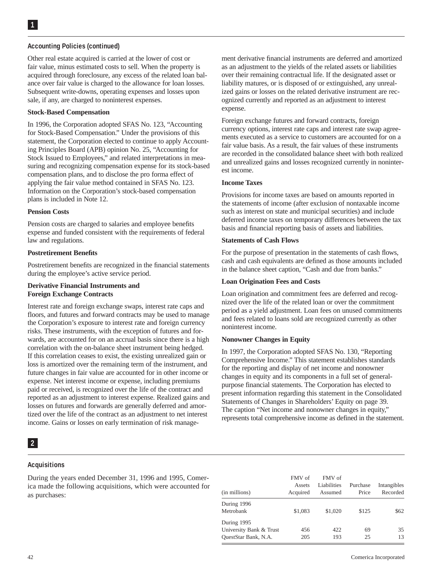#### **Accounting Policies (continued)**

Other real estate acquired is carried at the lower of cost or fair value, minus estimated costs to sell. When the property is acquired through foreclosure, any excess of the related loan balance over fair value is charged to the allowance for loan losses. Subsequent write-downs, operating expenses and losses upon sale, if any, are charged to noninterest expenses.

#### **Stock-Based Compensation**

In 1996, the Corporation adopted SFAS No. 123, "Accounting for Stock-Based Compensation." Under the provisions of this statement, the Corporation elected to continue to apply Accounting Principles Board (APB) opinion No. 25, "Accounting for Stock Issued to Employees," and related interpretations in measuring and recognizing compensation expense for its stock-based compensation plans, and to disclose the pro forma effect of applying the fair value method contained in SFAS No. 123. Information on the Corporation's stock-based compensation plans is included in Note 12.

#### **Pension Costs**

Pension costs are charged to salaries and employee benefits expense and funded consistent with the requirements of federal law and regulations.

#### **Postretirement Benefits**

Postretirement benefits are recognized in the financial statements during the employee's active service period.

### **Derivative Financial Instruments and Foreign Exchange Contracts**

Interest rate and foreign exchange swaps, interest rate caps and floors, and futures and forward contracts may be used to manage the Corporation's exposure to interest rate and foreign currency risks. These instruments, with the exception of futures and forwards, are accounted for on an accrual basis since there is a high correlation with the on-balance sheet instrument being hedged. If this correlation ceases to exist, the existing unrealized gain or loss is amortized over the remaining term of the instrument, and future changes in fair value are accounted for in other income or expense. Net interest income or expense, including premiums paid or received, is recognized over the life of the contract and reported as an adjustment to interest expense. Realized gains and losses on futures and forwards are generally deferred and amortized over the life of the contract as an adjustment to net interest income. Gains or losses on early termination of risk manage-

#### **2**

#### **Acquisitions**

During the years ended December 31, 1996 and 1995, Comerica made the following acquisitions, which were accounted for as purchases:

ment derivative financial instruments are deferred and amortized as an adjustment to the yields of the related assets or liabilities over their remaining contractual life. If the designated asset or liability matures, or is disposed of or extinguished, any unrealized gains or losses on the related derivative instrument are recognized currently and reported as an adjustment to interest expense.

Foreign exchange futures and forward contracts, foreign currency options, interest rate caps and interest rate swap agreements executed as a service to customers are accounted for on a fair value basis. As a result, the fair values of these instruments are recorded in the consolidated balance sheet with both realized and unrealized gains and losses recognized currently in noninterest income.

#### **Income Taxes**

Provisions for income taxes are based on amounts reported in the statements of income (after exclusion of nontaxable income such as interest on state and municipal securities) and include deferred income taxes on temporary differences between the tax basis and financial reporting basis of assets and liabilities.

#### **Statements of Cash Flows**

For the purpose of presentation in the statements of cash flows, cash and cash equivalents are defined as those amounts included in the balance sheet caption, "Cash and due from banks."

#### **Loan Origination Fees and Costs**

Loan origination and commitment fees are deferred and recognized over the life of the related loan or over the commitment period as a yield adjustment. Loan fees on unused commitments and fees related to loans sold are recognized currently as other noninterest income.

#### **Nonowner Changes in Equity**

In 1997, the Corporation adopted SFAS No. 130, "Reporting Comprehensive Income." This statement establishes standards for the reporting and display of net income and nonowner changes in equity and its components in a full set of generalpurpose financial statements. The Corporation has elected to present information regarding this statement in the Consolidated Statements of Changes in Shareholders' Equity on page 39. The caption "Net income and nonowner changes in equity," represents total comprehensive income as defined in the statement.

| (in millions)                                                  | FMV of<br>Assets<br>Acquired | FMV of<br>Liabilities<br>Assumed | Purchase<br>Price | Intangibles<br>Recorded |
|----------------------------------------------------------------|------------------------------|----------------------------------|-------------------|-------------------------|
| During 1996<br>Metrobank                                       | \$1,083                      | \$1,020                          | \$125             | \$62                    |
| During 1995<br>University Bank & Trust<br>QuestStar Bank, N.A. | 456<br>205                   | 422<br>193                       | 69<br>25          | 35<br>13                |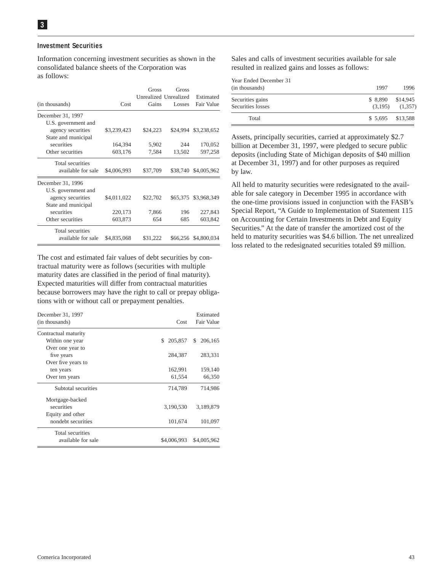#### **Investment Securities**

Information concerning investment securities as shown in the consolidated balance sheets of the Corporation was as follows:

| (in thousands)      | Cost        | Gross<br>Gains | Gross<br>Unrealized Unrealized<br>Losses | Estimated<br>Fair Value |
|---------------------|-------------|----------------|------------------------------------------|-------------------------|
| December 31, 1997   |             |                |                                          |                         |
| U.S. government and |             |                |                                          |                         |
| agency securities   | \$3,239,423 | \$24,223       | \$24,994                                 | \$3,238,652             |
| State and municipal |             |                |                                          |                         |
| securities          | 164,394     | 5,902          | 244                                      | 170,052                 |
| Other securities    | 603,176     | 7,584          | 13,502                                   | 597,258                 |
| Total securities    |             |                |                                          |                         |
| available for sale  | \$4,006,993 | \$37,709       | \$38,740                                 | \$4,005,962             |
| December 31, 1996   |             |                |                                          |                         |
| U.S. government and |             |                |                                          |                         |
| agency securities   | \$4,011,022 | \$22,702       | \$65,375                                 | \$3,968,349             |
| State and municipal |             |                |                                          |                         |
| securities          | 220,173     | 7,866          | 196                                      | 227,843                 |
| Other securities    | 603,873     | 654            | 685                                      | 603,842                 |
| Total securities    |             |                |                                          |                         |
| available for sale  | \$4,835,068 | \$31.222       |                                          | \$66,256 \$4,800,034    |

The cost and estimated fair values of debt securities by contractual maturity were as follows (securities with multiple maturity dates are classified in the period of final maturity). Expected maturities will differ from contractual maturities because borrowers may have the right to call or prepay obligations with or without call or prepayment penalties.

| December 31, 1997<br>(in thousands) | Cost          | Estimated<br><b>Fair Value</b> |
|-------------------------------------|---------------|--------------------------------|
| Contractual maturity                |               |                                |
| Within one year                     | 205,857<br>S. | 206,165<br>\$                  |
| Over one year to                    |               |                                |
| five years                          | 284,387       | 283,331                        |
| Over five years to                  |               |                                |
| ten years                           | 162,991       | 159,140                        |
| Over ten years                      | 61,554        | 66,350                         |
| Subtotal securities                 | 714,789       | 714,986                        |
| Mortgage-backed                     |               |                                |
| securities                          | 3,190,530     | 3.189.879                      |
| Equity and other                    |               |                                |
| nondebt securities                  | 101,674       | 101,097                        |
| Total securities                    |               |                                |
| available for sale                  | \$4,006,993   | \$4,005,962                    |

Sales and calls of investment securities available for sale resulted in realized gains and losses as follows:

| Year Ended December 31<br>(in thousands) | 1997               | 1996                |
|------------------------------------------|--------------------|---------------------|
| Securities gains<br>Securities losses    | \$ 8,890 \$14,945  | $(3,195)$ $(1,357)$ |
| Total                                    | $$5,695$ $$13,588$ |                     |

Assets, principally securities, carried at approximately \$2.7 billion at December 31, 1997, were pledged to secure public deposits (including State of Michigan deposits of \$40 million at December 31, 1997) and for other purposes as required by law.

All held to maturity securities were redesignated to the available for sale category in December 1995 in accordance with the one-time provisions issued in conjunction with the FASB's Special Report, "A Guide to Implementation of Statement 115 on Accounting for Certain Investments in Debt and Equity Securities." At the date of transfer the amortized cost of the held to maturity securities was \$4.6 billion. The net unrealized loss related to the redesignated securities totaled \$9 million.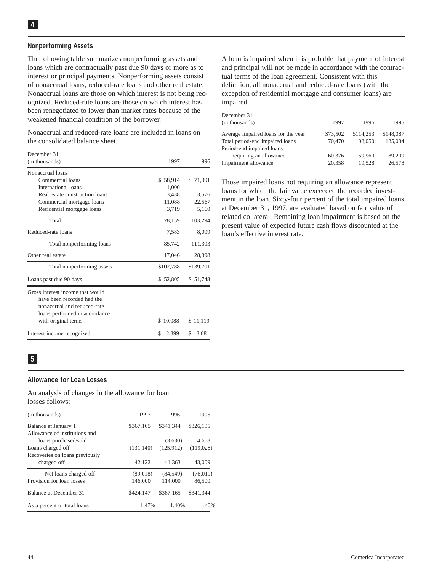#### **Nonperforming Assets**

The following table summarizes nonperforming assets and loans which are contractually past due 90 days or more as to interest or principal payments. Nonperforming assets consist of nonaccrual loans, reduced-rate loans and other real estate. Nonaccrual loans are those on which interest is not being recognized. Reduced-rate loans are those on which interest has been renegotiated to lower than market rates because of the weakened financial condition of the borrower.

Nonaccrual and reduced-rate loans are included in loans on the consolidated balance sheet.

| December 31                      |              |             |
|----------------------------------|--------------|-------------|
| (in thousands)                   | 1997         | 1996        |
| Nonaccrual loans                 |              |             |
| Commercial loans                 | 58,914<br>S. | \$71,991    |
| International loans              | 1,000        |             |
| Real estate construction loans   | 3,438        | 3,576       |
| Commercial mortgage loans        | 11,088       | 22,567      |
| Residential mortgage loans       | 3,719        | 5,160       |
| Total                            | 78,159       | 103,294     |
| Reduced-rate loans               | 7,583        | 8,009       |
| Total nonperforming loans        | 85,742       | 111,303     |
| Other real estate                | 17,046       | 28,398      |
| Total nonperforming assets       | \$102,788    | \$139,701   |
| Loans past due 90 days           | \$52,805     | \$51,748    |
| Gross interest income that would |              |             |
| have been recorded had the       |              |             |
| nonaccrual and reduced-rate      |              |             |
| loans performed in accordance    |              |             |
| with original terms              | \$10,088     | \$11,119    |
| Interest income recognized       | \$<br>2,399  | \$<br>2,681 |

A loan is impaired when it is probable that payment of interest and principal will not be made in accordance with the contractual terms of the loan agreement. Consistent with this definition, all nonaccrual and reduced-rate loans (with the exception of residential mortgage and consumer loans) are impaired.

| December 31                         |          |           |           |
|-------------------------------------|----------|-----------|-----------|
| (in thousands)                      | 1997     | 1996      | 1995      |
| Average impaired loans for the year | \$73,502 | \$114,253 | \$148,087 |
| Total period-end impaired loans     | 70.470   | 98,050    | 135,034   |
| Period-end impaired loans           |          |           |           |
| requiring an allowance              | 60,376   | 59,960    | 89,209    |
| Impairment allowance                | 20,358   | 19,528    | 26,578    |

Those impaired loans not requiring an allowance represent loans for which the fair value exceeded the recorded investment in the loan. Sixty-four percent of the total impaired loans at December 31, 1997, are evaluated based on fair value of related collateral. Remaining loan impairment is based on the present value of expected future cash flows discounted at the loan's effective interest rate.

# **5**

#### **Allowance for Loan Losses**

An analysis of changes in the allowance for loan losses follows:

| (in thousands)                 | 1997       | 1996       | 1995      |
|--------------------------------|------------|------------|-----------|
| Balance at January 1           | \$367,165  | \$341,344  | \$326,195 |
| Allowance of institutions and  |            |            |           |
| loans purchased/sold           |            | (3,630)    | 4,668     |
| Loans charged off              | (131, 140) | (125, 912) | (119,028) |
| Recoveries on loans previously |            |            |           |
| charged off                    | 42,122     | 41.363     | 43,009    |
| Net loans charged off          | (89,018)   | (84, 549)  | (76, 019) |
| Provision for loan losses      | 146,000    | 114,000    | 86,500    |
| Balance at December 31         | \$424,147  | \$367,165  | \$341.344 |
| As a percent of total loans    | 1.47%      | 1.40%      | 1.40%     |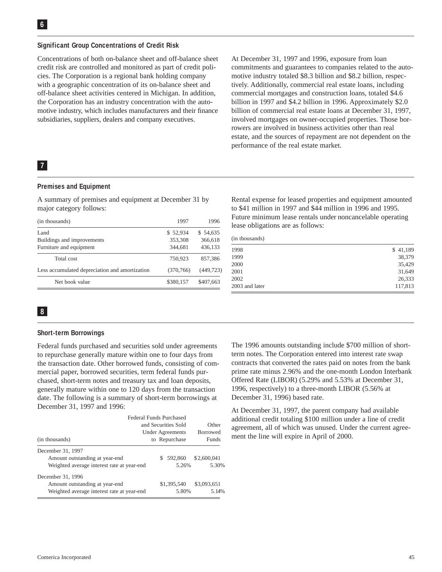#### **Significant Group Concentrations of Credit Risk**

Concentrations of both on-balance sheet and off-balance sheet credit risk are controlled and monitored as part of credit policies. The Corporation is a regional bank holding company with a geographic concentration of its on-balance sheet and off-balance sheet activities centered in Michigan. In addition, the Corporation has an industry concentration with the automotive industry, which includes manufacturers and their finance subsidiaries, suppliers, dealers and company executives.

# **7**

#### **Premises and Equipment**

A summary of premises and equipment at December 31 by major category follows:

| (in thousands)                                 | 1997       | 1996       |
|------------------------------------------------|------------|------------|
| Land                                           | \$52,934   | \$54,635   |
| Buildings and improvements                     | 353,308    | 366,618    |
| Furniture and equipment                        | 344,681    | 436,133    |
| Total cost                                     | 750,923    | 857,386    |
| Less accumulated depreciation and amortization | (370, 766) | (449, 723) |
| Net book value                                 | \$380,157  | \$407,663  |

involved mortgages on owner-occupied properties. Those borrowers are involved in business activities other than real estate, and the sources of repayment are not dependent on the performance of the real estate market.

At December 31, 1997 and 1996, exposure from loan

commitments and guarantees to companies related to the automotive industry totaled \$8.3 billion and \$8.2 billion, respectively. Additionally, commercial real estate loans, including commercial mortgages and construction loans, totaled \$4.6 billion in 1997 and \$4.2 billion in 1996. Approximately \$2.0 billion of commercial real estate loans at December 31, 1997,

Rental expense for leased properties and equipment amounted to \$41 million in 1997 and \$44 million in 1996 and 1995. Future minimum lease rentals under noncancelable operating lease obligations are as follows:

|  | (in thousands) |  |
|--|----------------|--|
|--|----------------|--|

| 1998           | \$41,189 |
|----------------|----------|
| 1999           | 38,379   |
| 2000           | 35,429   |
| 2001           | 31,649   |
| 2002           | 26,333   |
| 2003 and later | 117,813  |

# **8**

#### **Short-term Borrowings**

Federal funds purchased and securities sold under agreements to repurchase generally mature within one to four days from the transaction date. Other borrowed funds, consisting of commercial paper, borrowed securities, term federal funds purchased, short-term notes and treasury tax and loan deposits, generally mature within one to 120 days from the transaction date. The following is a summary of short-term borrowings at December 31, 1997 and 1996:

|                                            | <b>Federal Funds Purchased</b> |                         |                 |             |  |
|--------------------------------------------|--------------------------------|-------------------------|-----------------|-------------|--|
|                                            | and Securities Sold            | Other                   |                 |             |  |
|                                            |                                | <b>Under Agreements</b> | <b>Borrowed</b> |             |  |
| (in thousands)                             | to Repurchase                  |                         |                 | Funds       |  |
| December 31, 1997                          |                                |                         |                 |             |  |
| Amount outstanding at year-end             |                                |                         | \$592,860       | \$2,600,041 |  |
| Weighted average interest rate at year-end |                                |                         | 5.26%           | 5.30%       |  |
| December 31, 1996                          |                                |                         |                 |             |  |
| Amount outstanding at year-end             |                                |                         | \$1,395,540     | \$3,093,651 |  |
| Weighted average interest rate at year-end |                                |                         | 5.80%           | 5.14%       |  |

The 1996 amounts outstanding include \$700 million of shortterm notes. The Corporation entered into interest rate swap contracts that converted the rates paid on notes from the bank prime rate minus 2.96% and the one-month London Interbank Offered Rate (LIBOR) (5.29% and 5.53% at December 31, 1996, respectively) to a three-month LIBOR (5.56% at December 31, 1996) based rate.

At December 31, 1997, the parent company had available additional credit totaling \$100 million under a line of credit agreement, all of which was unused. Under the current agreement the line will expire in April of 2000.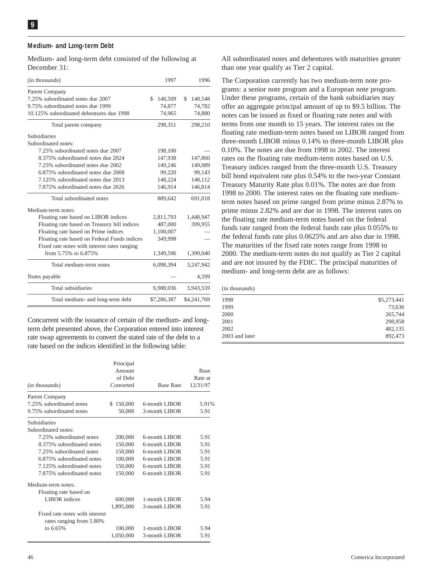#### **Medium- and Long-term Debt**

Medium- and long-term debt consisted of the following at December 31:

| (in thousands)                               | 1997          | 1996          |
|----------------------------------------------|---------------|---------------|
| Parent Company                               |               |               |
| 7.25% subordinated notes due 2007            | \$<br>148,509 | \$<br>148,548 |
| 9.75% subordinated notes due 1999            | 74,877        | 74,782        |
| 10.125% subordinated debentures due 1998     | 74,965        | 74,880        |
| Total parent company                         | 298,351       | 298,210       |
| <b>Subsidiaries</b>                          |               |               |
| Subordinated notes:                          |               |               |
| 7.25% subordinated notes due 2007            | 198,100       |               |
| 8.375% subordinated notes due 2024           | 147,938       | 147,860       |
| 7.25% subordinated notes due 2002            | 149.246       | 149,089       |
| 6.875% subordinated notes due 2008           | 99,220        | 99,143        |
| 7.125% subordinated notes due 2013           | 148,224       | 148,112       |
| 7.875% subordinated notes due 2026           | 146,914       | 146,814       |
| Total subordinated notes                     | 889,642       | 691,018       |
| Medium-term notes:                           |               |               |
| Floating rate based on LIBOR indices         | 2,811,793     | 1,448,947     |
| Floating rate based on Treasury bill indices | 487,000       | 399,955       |
| Floating rate based on Prime indices         | 1,100,007     |               |
| Floating rate based on Federal Funds indices | 349,998       |               |
| Fixed rate notes with interest rates ranging |               |               |
| from 5.75% to 6.875%                         | 1,349,596     | 1,399,040     |
| Total medium-term notes                      | 6,098,394     | 3,247,942     |
| Notes payable                                |               | 4.599         |
| Total subsidiaries                           | 6,988,036     | 3,943,559     |
| Total medium- and long-term debt             | \$7,286,387   | \$4,241,769   |
|                                              |               |               |

Concurrent with the issuance of certain of the medium- and longterm debt presented above, the Corporation entered into interest rate swap agreements to convert the stated rate of the debt to a rate based on the indices identified in the following table:

|                                                            | Principal      |                  |             |
|------------------------------------------------------------|----------------|------------------|-------------|
|                                                            | Amount         |                  | <b>Base</b> |
|                                                            | of Debt        |                  | Rate at     |
| (in thousands)                                             | Converted      | <b>Base Rate</b> | 12/31/97    |
| Parent Company                                             |                |                  |             |
| 7.25% subordinated notes                                   | 150,000<br>\$. | 6-month LIBOR    | 5.91%       |
| 9.75% subordinated notes                                   | 50,000         | 3-month LIBOR    | 5.91        |
| <b>Subsidiaries</b>                                        |                |                  |             |
| Subordinated notes:                                        |                |                  |             |
| 7.25% subordinated notes                                   | 200,000        | 6-month LIBOR    | 5.91        |
| 8.375% subordinated notes                                  | 150,000        | 6-month LIBOR    | 5.91        |
| 7.25% subordinated notes                                   | 150,000        | 6-month LIBOR    | 5.91        |
| 6.875% subordinated notes                                  | 100,000        | 6-month LIBOR    | 5.91        |
| 7.125% subordinated notes                                  | 150,000        | 6-month LIBOR    | 5.91        |
| 7.875% subordinated notes                                  | 150,000        | 6-month LIBOR    | 5.91        |
| Medium-term notes:                                         |                |                  |             |
| Floating rate based on                                     |                |                  |             |
| LIBOR indices                                              | 600,000        | 1-month LIBOR    | 5.94        |
|                                                            | 1,895,000      | 3-month LIBOR    | 5.91        |
| Fixed rate notes with interest<br>rates ranging from 5.80% |                |                  |             |
| to 6.65%                                                   | 100,000        | 1-month LIBOR    | 5.94        |
|                                                            | 1,050,000      | 3-month LIBOR    | 5.91        |
|                                                            |                |                  |             |

All subordinated notes and debentures with maturities greater than one year qualify as Tier 2 capital.

The Corporation currently has two medium-term note programs: a senior note program and a European note program. Under these programs, certain of the bank subsidiaries may offer an aggregate principal amount of up to \$9.5 billion. The notes can be issued as fixed or floating rate notes and with terms from one month to 15 years. The interest rates on the floating rate medium-term notes based on LIBOR ranged from three-month LIBOR minus 0.14% to three-month LIBOR plus 0.10%. The notes are due from 1998 to 2002. The interest rates on the floating rate medium-term notes based on U.S. Treasury indices ranged from the three-month U.S. Treasury bill bond equivalent rate plus 0.54% to the two-year Constant Treasury Maturity Rate plus 0.01%. The notes are due from 1998 to 2000. The interest rates on the floating rate mediumterm notes based on prime ranged from prime minus 2.87% to prime minus 2.82% and are due in 1998. The interest rates on the floating rate medium-term notes based on the federal funds rate ranged from the federal funds rate plus 0.055% to the federal funds rate plus 0.0625% and are also due in 1998. The maturities of the fixed rate notes range from 1998 to 2000. The medium-term notes do not qualify as Tier 2 capital and are not insured by the FDIC. The principal maturities of medium- and long-term debt are as follows:

|  |  | (in thousands) |
|--|--|----------------|
|--|--|----------------|

| 1998           | \$5,273,441 |
|----------------|-------------|
| 1999           | 73,636      |
| 2000           | 265,744     |
| 2001           | 298,958     |
| 2002           | 482,135     |
| 2003 and later | 892,473     |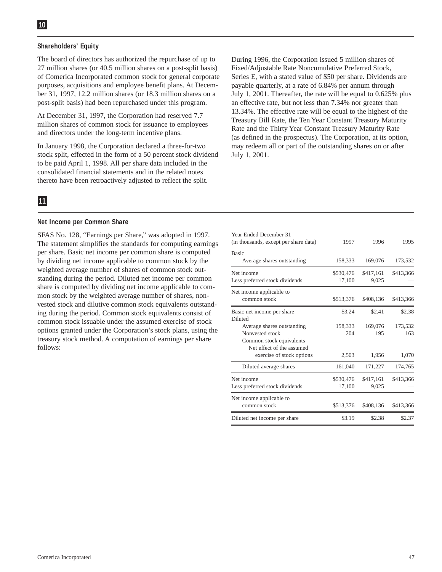#### **Shareholders' Equity**

The board of directors has authorized the repurchase of up to 27 million shares (or 40.5 million shares on a post-split basis) of Comerica Incorporated common stock for general corporate purposes, acquisitions and employee benefit plans. At December 31, 1997, 12.2 million shares (or 18.3 million shares on a post-split basis) had been repurchased under this program.

At December 31, 1997, the Corporation had reserved 7.7 million shares of common stock for issuance to employees and directors under the long-term incentive plans.

In January 1998, the Corporation declared a three-for-two stock split, effected in the form of a 50 percent stock dividend to be paid April 1, 1998. All per share data included in the consolidated financial statements and in the related notes thereto have been retroactively adjusted to reflect the split.

During 1996, the Corporation issued 5 million shares of Fixed/Adjustable Rate Noncumulative Preferred Stock, Series E, with a stated value of \$50 per share. Dividends are payable quarterly, at a rate of 6.84% per annum through July 1, 2001. Thereafter, the rate will be equal to 0.625% plus an effective rate, but not less than 7.34% nor greater than 13.34%. The effective rate will be equal to the highest of the Treasury Bill Rate, the Ten Year Constant Treasury Maturity Rate and the Thirty Year Constant Treasury Maturity Rate (as defined in the prospectus). The Corporation, at its option, may redeem all or part of the outstanding shares on or after July 1, 2001.

# **11**

#### **Net Income per Common Share**

SFAS No. 128, "Earnings per Share," was adopted in 1997. The statement simplifies the standards for computing earnings per share. Basic net income per common share is computed by dividing net income applicable to common stock by the weighted average number of shares of common stock outstanding during the period. Diluted net income per common share is computed by dividing net income applicable to common stock by the weighted average number of shares, nonvested stock and dilutive common stock equivalents outstanding during the period. Common stock equivalents consist of common stock issuable under the assumed exercise of stock options granted under the Corporation's stock plans, using the treasury stock method. A computation of earnings per share follows:

| Year Ended December 31<br>(in thousands, except per share data) | 1997      | 1996      | 1995      |
|-----------------------------------------------------------------|-----------|-----------|-----------|
| <b>Basic</b><br>Average shares outstanding                      | 158,333   | 169,076   | 173,532   |
|                                                                 |           |           |           |
| Net income                                                      | \$530,476 | \$417,161 | \$413,366 |
| Less preferred stock dividends                                  | 17,100    | 9,025     |           |
| Net income applicable to                                        |           |           |           |
| common stock                                                    | \$513,376 | \$408,136 | \$413,366 |
| Basic net income per share                                      | \$3.24    | \$2.41    | \$2.38    |
| Diluted                                                         |           |           |           |
| Average shares outstanding                                      | 158,333   | 169,076   | 173,532   |
| Nonvested stock                                                 | 204       | 195       | 163       |
| Common stock equivalents                                        |           |           |           |
| Net effect of the assumed                                       |           |           |           |
| exercise of stock options                                       | 2,503     | 1,956     | 1,070     |
| Diluted average shares                                          | 161,040   | 171,227   | 174,765   |
| Net income                                                      | \$530,476 | \$417,161 | \$413,366 |
| Less preferred stock dividends                                  | 17,100    | 9,025     |           |
| Net income applicable to                                        |           |           |           |
| common stock                                                    | \$513,376 | \$408,136 | \$413,366 |
| Diluted net income per share                                    | \$3.19    | \$2.38    | \$2.37    |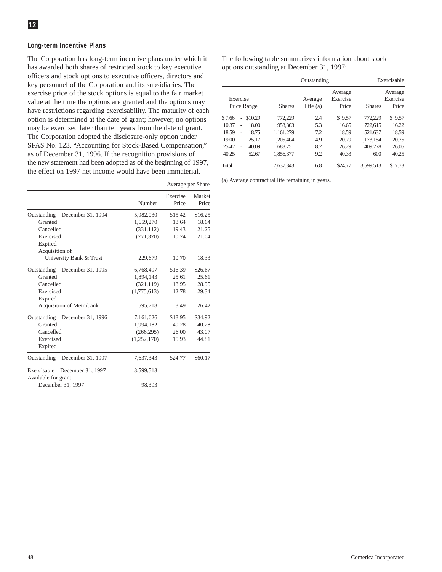#### **Long-term Incentive Plans**

The Corporation has long-term incentive plans under which it has awarded both shares of restricted stock to key executive officers and stock options to executive officers, directors and key personnel of the Corporation and its subsidiaries. The exercise price of the stock options is equal to the fair market value at the time the options are granted and the options may have restrictions regarding exercisability. The maturity of each option is determined at the date of grant; however, no options may be exercised later than ten years from the date of grant. The Corporation adopted the disclosure-only option under SFAS No. 123, "Accounting for Stock-Based Compensation," as of December 31, 1996. If the recognition provisions of the new statement had been adopted as of the beginning of 1997, the effect on 1997 net income would have been immaterial.

|                                           |             | Average per Share |                 |
|-------------------------------------------|-------------|-------------------|-----------------|
|                                           | Number      | Exercise<br>Price | Market<br>Price |
| Outstanding-December 31, 1994             | 5,982,030   | \$15.42           | \$16.25         |
| Granted                                   | 1,659,270   | 18.64             | 18.64           |
| Cancelled                                 | (331, 112)  | 19.43             | 21.25           |
| Exercised                                 | (771, 370)  | 10.74             | 21.04           |
| Expired                                   |             |                   |                 |
| Acquisition of                            |             |                   |                 |
| University Bank & Trust                   | 229,679     | 10.70             | 18.33           |
| Outstanding-December 31, 1995             | 6,768,497   | \$16.39           | \$26.67         |
| Granted                                   | 1,894,143   | 25.61             | 25.61           |
| Cancelled                                 | (321, 119)  | 18.95             | 28.95           |
| Exercised                                 | (1,775,613) | 12.78             | 29.34           |
| Expired                                   |             |                   |                 |
| <b>Acquisition of Metrobank</b>           | 595,718     | 8.49              | 26.42           |
| Outstanding-December 31, 1996             | 7,161,626   | \$18.95           | \$34.92         |
| Granted                                   | 1,994,182   | 40.28             | 40.28           |
| Cancelled                                 | (266, 295)  | 26.00             | 43.07           |
| Exercised                                 | (1,252,170) | 15.93             | 44.81           |
| Expired                                   |             |                   |                 |
| Outstanding-December 31, 1997             | 7,637,343   | \$24.77           | \$60.17         |
| Exercisable—December 31, 1997             | 3,599,513   |                   |                 |
| Available for grant—<br>December 31, 1997 | 98,393      |                   |                 |

The following table summarizes information about stock options outstanding at December 31, 1997:

|          |                |             |               | Outstanding           |                              |               | Exercisable                  |
|----------|----------------|-------------|---------------|-----------------------|------------------------------|---------------|------------------------------|
| Exercise |                | Price Range | <b>Shares</b> | Average<br>Life $(a)$ | Average<br>Exercise<br>Price | <b>Shares</b> | Average<br>Exercise<br>Price |
| \$7.66   | $\overline{a}$ | \$10.29     | 772,229       | 2.4                   | \$9.57                       | 772,229       | \$9.57                       |
| 10.37    | ٠              | 18.00       | 953,303       | 5.3                   | 16.65                        | 722.615       | 16.22                        |
| 18.59    | ٠              | 18.75       | 1.161.279     | 7.2                   | 18.59                        | 521,637       | 18.59                        |
| 19.00    | $\overline{a}$ | 25.17       | 1.205.404     | 4.9                   | 20.79                        | 1,173,154     | 20.75                        |
| 25.42    | ٠              | 40.09       | 1.688.751     | 8.2                   | 26.29                        | 409,278       | 26.05                        |
| 40.25    |                | 52.67       | 1,856,377     | 9.2                   | 40.33                        | 600           | 40.25                        |
| Total    |                |             | 7.637.343     | 6.8                   | \$24.77                      | 3.599.513     | \$17.73                      |

(a) Average contractual life remaining in years.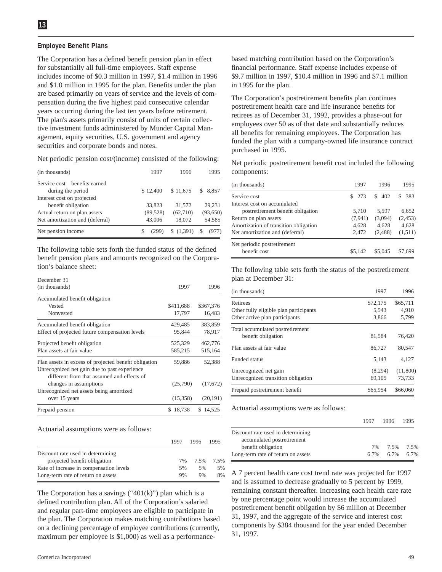#### **Employee Benefit Plans**

The Corporation has a defined benefit pension plan in effect for substantially all full-time employees. Staff expense includes income of \$0.3 million in 1997, \$1.4 million in 1996 and \$1.0 million in 1995 for the plan. Benefits under the plan are based primarily on years of service and the levels of compensation during the five highest paid consecutive calendar years occurring during the last ten years before retirement. The plan's assets primarily consist of units of certain collective investment funds administered by Munder Capital Management, equity securities, U.S. government and agency securities and corporate bonds and notes.

Net periodic pension cost/(income) consisted of the following:

| (in thousands)                                    | 1997      | 1996      | 1995       |
|---------------------------------------------------|-----------|-----------|------------|
| Service cost—benefits earned<br>during the period | \$12,400  | \$11,675  | 8.857<br>S |
| Interest cost on projected<br>benefit obligation  | 33.823    | 31.572    | 29.231     |
| Actual return on plan assets                      | (89, 528) | (62,710)  | (93,650)   |
| Net amortization and (deferral)                   | 43,006    | 18,072    | 54,585     |
| Net pension income                                | (299)     | \$(1,391) |            |

The following table sets forth the funded status of the defined benefit pension plans and amounts recognized on the Corporation's balance sheet:

| December 31                                                                                                                                         |             |           |
|-----------------------------------------------------------------------------------------------------------------------------------------------------|-------------|-----------|
| (in thousands)                                                                                                                                      | 1997        | 1996      |
| Accumulated benefit obligation                                                                                                                      |             |           |
| Vested                                                                                                                                              | \$411,688   | \$367,376 |
| Nonvested                                                                                                                                           | 17,797      | 16,483    |
| Accumulated benefit obligation                                                                                                                      | 429,485     | 383,859   |
| Effect of projected future compensation levels                                                                                                      | 95,844      | 78,917    |
| Projected benefit obligation                                                                                                                        | 525,329     | 462,776   |
| Plan assets at fair value                                                                                                                           | 585,215     | 515,164   |
| Plan assets in excess of projected benefit obligation<br>Unrecognized net gain due to past experience<br>different from that assumed and effects of | 59,886      | 52,388    |
| changes in assumptions                                                                                                                              | (25,790)    | (17,672)  |
| Unrecognized net assets being amortized                                                                                                             |             |           |
| over 15 years                                                                                                                                       | (15,358)    | (20, 191) |
| Prepaid pension                                                                                                                                     | 18,738<br>S | \$14,525  |

Actuarial assumptions were as follows:

|                                         | 1997 | 1996         | 1995 |
|-----------------------------------------|------|--------------|------|
| Discount rate used in determining       |      |              |      |
| projected benefit obligation            |      | 7% 7.5% 7.5% |      |
| Rate of increase in compensation levels | 5%   | 5%           | .5%  |
| Long-term rate of return on assets      | 9%   | 9%           | 8%   |

The Corporation has a savings  $("401(k)")$  plan which is a defined contribution plan. All of the Corporation's salaried and regular part-time employees are eligible to participate in the plan. The Corporation makes matching contributions based on a declining percentage of employee contributions (currently, maximum per employee is \$1,000) as well as a performancebased matching contribution based on the Corporation's financial performance. Staff expense includes expense of \$9.7 million in 1997, \$10.4 million in 1996 and \$7.1 million in 1995 for the plan.

The Corporation's postretirement benefits plan continues postretirement health care and life insurance benefits for retirees as of December 31, 1992, provides a phase-out for employees over 50 as of that date and substantially reduces all benefits for remaining employees. The Corporation has funded the plan with a company-owned life insurance contract purchased in 1995.

Net periodic postretirement benefit cost included the following components:

| (in thousands)                        | 1997     | 1996      | 1995     |
|---------------------------------------|----------|-----------|----------|
| Service cost                          | \$273    | 402<br>S. | 383<br>S |
| Interest cost on accumulated          |          |           |          |
| postretirement benefit obligation     | 5,710    | 5.597     | 6.652    |
| Return on plan assets                 | (7, 941) | (3,094)   | (2, 453) |
| Amortization of transition obligation | 4,628    | 4.628     | 4.628    |
| Net amortization and (deferral)       | 2.472    | (2, 488)  | (1,511)  |
| Net periodic postretirement           |          |           |          |
| benefit cost                          | \$5.142  | \$5.045   | \$7.699  |

The following table sets forth the status of the postretirement plan at December 31:

| (in thousands)                         | 1997     | 1996     |
|----------------------------------------|----------|----------|
| Retirees                               | \$72,175 | \$65,711 |
| Other fully eligible plan participants | 5,543    | 4,910    |
| Other active plan participants         | 3,866    | 5,799    |
| Total accumulated postretirement       |          |          |
| benefit obligation                     | 81,584   | 76,420   |
| Plan assets at fair value              | 86,727   | 80.547   |
| Funded status                          | 5.143    | 4.127    |
| Unrecognized net gain                  | (8,294)  | (11,800) |
| Unrecognized transition obligation     | 69.105   | 73,733   |
| Prepaid postretirement benefit         | \$65,954 | \$66,060 |

Actuarial assumptions were as follows:

|                                    | 1997 1996 1995 |  |
|------------------------------------|----------------|--|
| Discount rate used in determining  |                |  |
| accumulated postretirement         |                |  |
| benefit obligation                 | 7% 7.5% 7.5%   |  |
| Long-term rate of return on assets | 6.7% 6.7% 6.7% |  |

A 7 percent health care cost trend rate was projected for 1997 and is assumed to decrease gradually to 5 percent by 1999, remaining constant thereafter. Increasing each health care rate by one percentage point would increase the accumulated postretirement benefit obligation by \$6 million at December 31, 1997, and the aggregate of the service and interest cost components by \$384 thousand for the year ended December 31, 1997.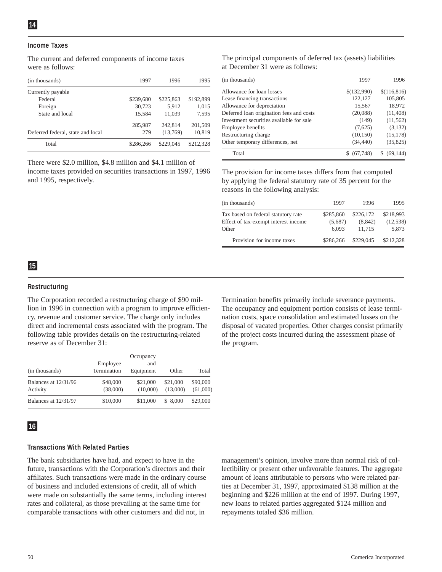#### **Income Taxes**

The current and deferred components of income taxes were as follows:

| (in thousands)                    | 1997      | 1996      | 1995      |
|-----------------------------------|-----------|-----------|-----------|
| Currently payable                 |           |           |           |
| Federal                           | \$239,680 | \$225,863 | \$192,899 |
| Foreign                           | 30,723    | 5.912     | 1.015     |
| State and local                   | 15.584    | 11.039    | 7,595     |
|                                   | 285,987   | 242,814   | 201.509   |
| Deferred federal, state and local | 279       | (13,769)  | 10,819    |
| Total                             | \$286,266 | \$229,045 | \$212,328 |

There were \$2.0 million, \$4.8 million and \$4.1 million of income taxes provided on securities transactions in 1997, 1996 and 1995, respectively.

The principal components of deferred tax (assets) liabilities at December 31 were as follows:

| (in thousands)                           | 1997        | 1996         |
|------------------------------------------|-------------|--------------|
| Allowance for loan losses                | \$(132,990) | \$(116, 816) |
| Lease financing transactions             | 122,127     | 105,805      |
| Allowance for depreciation               | 15,567      | 18,972       |
| Deferred loan origination fees and costs | (20,088)    | (11, 408)    |
| Investment securities available for sale | (149)       | (11, 562)    |
| Employee benefits                        | (7,625)     | (3, 132)     |
| Restructuring charge                     | (10, 150)   | (15, 178)    |
| Other temporary differences, net         | (34, 440)   | (35, 825)    |
| Total                                    | \$ (67,748) | \$ (69, 144) |
|                                          |             |              |

The provision for income taxes differs from that computed by applying the federal statutory rate of 35 percent for the reasons in the following analysis:

| (in thousands)                       | 1997      | 1996      | 1995      |
|--------------------------------------|-----------|-----------|-----------|
| Tax based on federal statutory rate  | \$285,860 | \$226,172 | \$218,993 |
| Effect of tax-exempt interest income | (5,687)   | (8, 842)  | (12, 538) |
| Other                                | 6.093     | 11.715    | 5.873     |
| Provision for income taxes           | \$286,266 | \$229,045 | \$212,328 |

### **15**

#### **Restructuring**

The Corporation recorded a restructuring charge of \$90 million in 1996 in connection with a program to improve efficiency, revenue and customer service. The charge only includes direct and incremental costs associated with the program. The following table provides details on the restructuring-related reserve as of December 31:

|                                  |                         | Occupancy            |                      |                      |
|----------------------------------|-------------------------|----------------------|----------------------|----------------------|
| (in thousands)                   | Employee<br>Termination | and<br>Equipment     | Other                | Total                |
| Balances at 12/31/96<br>Activity | \$48,000<br>(38,000)    | \$21,000<br>(10,000) | \$21,000<br>(13,000) | \$90,000<br>(61,000) |
| Balances at 12/31/97             | \$10,000                | \$11,000             | \$8,000              | \$29,000             |

# Termination benefits primarily include severance payments. The occupancy and equipment portion consists of lease termination costs, space consolidation and estimated losses on the disposal of vacated properties. Other charges consist primarily of the project costs incurred during the assessment phase of the program.

#### **16**

#### **Transactions With Related Parties**

The bank subsidiaries have had, and expect to have in the future, transactions with the Corporation's directors and their affiliates. Such transactions were made in the ordinary course of business and included extensions of credit, all of which were made on substantially the same terms, including interest rates and collateral, as those prevailing at the same time for comparable transactions with other customers and did not, in

management's opinion, involve more than normal risk of collectibility or present other unfavorable features. The aggregate amount of loans attributable to persons who were related parties at December 31, 1997, approximated \$138 million at the beginning and \$226 million at the end of 1997. During 1997, new loans to related parties aggregated \$124 million and repayments totaled \$36 million.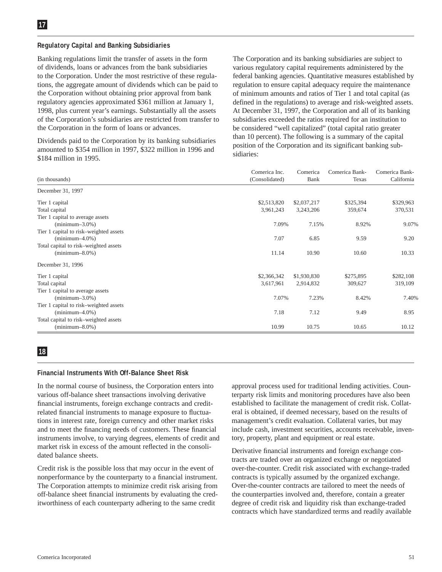#### **Regulatory Capital and Banking Subsidiaries**

Banking regulations limit the transfer of assets in the form of dividends, loans or advances from the bank subsidiaries to the Corporation. Under the most restrictive of these regulations, the aggregate amount of dividends which can be paid to the Corporation without obtaining prior approval from bank regulatory agencies approximated \$361 million at January 1, 1998, plus current year's earnings. Substantially all the assets of the Corporation's subsidiaries are restricted from transfer to the Corporation in the form of loans or advances.

Dividends paid to the Corporation by its banking subsidiaries amounted to \$354 million in 1997, \$322 million in 1996 and \$184 million in 1995.

The Corporation and its banking subsidiaries are subject to various regulatory capital requirements administered by the federal banking agencies. Quantitative measures established by regulation to ensure capital adequacy require the maintenance of minimum amounts and ratios of Tier 1 and total capital (as defined in the regulations) to average and risk-weighted assets. At December 31, 1997, the Corporation and all of its banking subsidiaries exceeded the ratios required for an institution to be considered "well capitalized" (total capital ratio greater than 10 percent). The following is a summary of the capital position of the Corporation and its significant banking subsidiaries:

|                                        | Comerica Inc.  | Comerica    | Comerica Bank- | Comerica Bank- |
|----------------------------------------|----------------|-------------|----------------|----------------|
| (in thousands)                         | (Consolidated) | Bank        | Texas          | California     |
| December 31, 1997                      |                |             |                |                |
| Tier 1 capital                         | \$2,513,820    | \$2,037,217 | \$325,394      | \$329,963      |
| Total capital                          | 3,961,243      | 3,243,206   | 359,674        | 370,531        |
| Tier 1 capital to average assets       |                |             |                |                |
| $(\text{minimum} - 3.0\%)$             | 7.09%          | 7.15%       | 8.92%          | 9.07%          |
| Tier 1 capital to risk–weighted assets |                |             |                |                |
| $(\text{minimum} - 4.0\%)$             | 7.07           | 6.85        | 9.59           | 9.20           |
| Total capital to risk-weighted assets  |                |             |                |                |
| $(\text{minimum} - 8.0\%)$             | 11.14          | 10.90       | 10.60          | 10.33          |
| December 31, 1996                      |                |             |                |                |
| Tier 1 capital                         | \$2,366,342    | \$1,930,830 | \$275,895      | \$282,108      |
| Total capital                          | 3,617,961      | 2,914,832   | 309,627        | 319,109        |
| Tier 1 capital to average assets       |                |             |                |                |
| $(\text{minimum} - 3.0\%)$             | 7.07%          | 7.23%       | 8.42%          | 7.40%          |
| Tier 1 capital to risk–weighted assets |                |             |                |                |
| $(\text{minimum} - 4.0\%)$             | 7.18           | 7.12        | 9.49           | 8.95           |
| Total capital to risk-weighted assets  |                |             |                |                |
| $(\text{minimum} - 8.0\%)$             | 10.99          | 10.75       | 10.65          | 10.12          |

# **18**

#### **Financial Instruments With Off-Balance Sheet Risk**

In the normal course of business, the Corporation enters into various off-balance sheet transactions involving derivative financial instruments, foreign exchange contracts and creditrelated financial instruments to manage exposure to fluctuations in interest rate, foreign currency and other market risks and to meet the financing needs of customers. These financial instruments involve, to varying degrees, elements of credit and market risk in excess of the amount reflected in the consolidated balance sheets.

Credit risk is the possible loss that may occur in the event of nonperformance by the counterparty to a financial instrument. The Corporation attempts to minimize credit risk arising from off-balance sheet financial instruments by evaluating the creditworthiness of each counterparty adhering to the same credit

approval process used for traditional lending activities. Counterparty risk limits and monitoring procedures have also been established to facilitate the management of credit risk. Collateral is obtained, if deemed necessary, based on the results of management's credit evaluation. Collateral varies, but may include cash, investment securities, accounts receivable, inventory, property, plant and equipment or real estate.

Derivative financial instruments and foreign exchange contracts are traded over an organized exchange or negotiated over-the-counter. Credit risk associated with exchange-traded contracts is typically assumed by the organized exchange. Over-the-counter contracts are tailored to meet the needs of the counterparties involved and, therefore, contain a greater degree of credit risk and liquidity risk than exchange-traded contracts which have standardized terms and readily available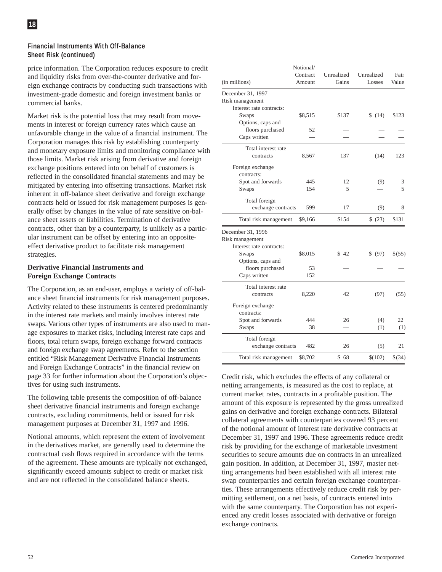#### **Financial Instruments With Off-Balance Sheet Risk (continued)**

price information. The Corporation reduces exposure to credit and liquidity risks from over-the-counter derivative and foreign exchange contracts by conducting such transactions with investment-grade domestic and foreign investment banks or commercial banks.

Market risk is the potential loss that may result from movements in interest or foreign currency rates which cause an unfavorable change in the value of a financial instrument. The Corporation manages this risk by establishing counterparty and monetary exposure limits and monitoring compliance with those limits. Market risk arising from derivative and foreign exchange positions entered into on behalf of customers is reflected in the consolidated financial statements and may be mitigated by entering into offsetting transactions. Market risk inherent in off-balance sheet derivative and foreign exchange contracts held or issued for risk management purposes is generally offset by changes in the value of rate sensitive on-balance sheet assets or liabilities. Termination of derivative contracts, other than by a counterparty, is unlikely as a particular instrument can be offset by entering into an oppositeeffect derivative product to facilitate risk management strategies.

#### **Derivative Financial Instruments and Foreign Exchange Contracts**

The Corporation, as an end-user, employs a variety of off-balance sheet financial instruments for risk management purposes. Activity related to these instruments is centered predominantly in the interest rate markets and mainly involves interest rate swaps. Various other types of instruments are also used to manage exposures to market risks, including interest rate caps and floors, total return swaps, foreign exchange forward contracts and foreign exchange swap agreements. Refer to the section entitled "Risk Management Derivative Financial Instruments and Foreign Exchange Contracts" in the financial review on page 33 for further information about the Corporation's objectives for using such instruments.

The following table presents the composition of off-balance sheet derivative financial instruments and foreign exchange contracts, excluding commitments, held or issued for risk management purposes at December 31, 1997 and 1996.

Notional amounts, which represent the extent of involvement in the derivatives market, are generally used to determine the contractual cash flows required in accordance with the terms of the agreement. These amounts are typically not exchanged, significantly exceed amounts subject to credit or market risk and are not reflected in the consolidated balance sheets.

| (in millions)                                                    | Notional/<br>Contract<br>Amount | Unrealized<br>Gains | Unrealized<br>Losses | Fair<br>Value |
|------------------------------------------------------------------|---------------------------------|---------------------|----------------------|---------------|
| December 31, 1997<br>Risk management                             |                                 |                     |                      |               |
| Interest rate contracts:<br>Swaps<br>Options, caps and           | \$8,515                         | \$137               | \$(14)               | \$123         |
| floors purchased<br>Caps written                                 | 52                              |                     |                      |               |
| Total interest rate<br>contracts                                 | 8,567                           | 137                 | (14)                 | 123           |
| Foreign exchange<br>contracts:                                   |                                 |                     |                      |               |
| Spot and forwards<br>Swaps                                       | 445<br>154                      | 12<br>5             | (9)                  | 3<br>5        |
| Total foreign<br>exchange contracts                              | 599                             | 17                  | (9)                  | 8             |
| Total risk management                                            | \$9,166                         | \$154               | \$ (23)              | \$131         |
| December 31, 1996<br>Risk management<br>Interest rate contracts: |                                 |                     |                      |               |
| Swaps<br>Options, caps and                                       | \$8,015                         | \$42                | \$ (97)              | \$(55)        |
| floors purchased<br>Caps written                                 | 53<br>152                       |                     |                      |               |
| Total interest rate<br>contracts                                 | 8,220                           | 42                  | (97)                 | (55)          |
| Foreign exchange<br>contracts:                                   |                                 |                     |                      |               |
| Spot and forwards<br>Swaps                                       | 444<br>38                       | 26                  | (4)<br>(1)           | 22<br>(1)     |
| Total foreign<br>exchange contracts                              | 482                             | 26                  | (5)                  | 21            |
| Total risk management                                            | \$8,702                         | \$68                | \$(102)              | \$(34)        |

Credit risk, which excludes the effects of any collateral or netting arrangements, is measured as the cost to replace, at current market rates, contracts in a profitable position. The amount of this exposure is represented by the gross unrealized gains on derivative and foreign exchange contracts. Bilateral collateral agreements with counterparties covered 93 percent of the notional amount of interest rate derivative contracts at December 31, 1997 and 1996. These agreements reduce credit risk by providing for the exchange of marketable investment securities to secure amounts due on contracts in an unrealized gain position. In addition, at December 31, 1997, master netting arrangements had been established with all interest rate swap counterparties and certain foreign exchange counterparties. These arrangements effectively reduce credit risk by permitting settlement, on a net basis, of contracts entered into with the same counterparty. The Corporation has not experienced any credit losses associated with derivative or foreign exchange contracts.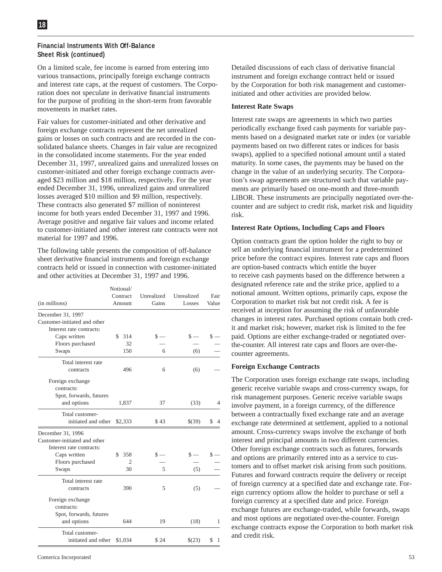#### **Financial Instruments With Off-Balance Sheet Risk (continued)**

On a limited scale, fee income is earned from entering into various transactions, principally foreign exchange contracts and interest rate caps, at the request of customers. The Corporation does not speculate in derivative financial instruments for the purpose of profiting in the short-term from favorable movements in market rates.

Fair values for customer-initiated and other derivative and foreign exchange contracts represent the net unrealized gains or losses on such contracts and are recorded in the consolidated balance sheets. Changes in fair value are recognized in the consolidated income statements. For the year ended December 31, 1997, unrealized gains and unrealized losses on customer-initiated and other foreign exchange contracts averaged \$23 million and \$18 million, respectively. For the year ended December 31, 1996, unrealized gains and unrealized losses averaged \$10 million and \$9 million, respectively. These contracts also generated \$7 million of noninterest income for both years ended December 31, 1997 and 1996. Average positive and negative fair values and income related to customer-initiated and other interest rate contracts were not material for 1997 and 1996.

The following table presents the composition of off-balance sheet derivative financial instruments and foreign exchange contracts held or issued in connection with customer-initiated and other activities at December 31, 1997 and 1996.

|                                                                               | Notional/<br>Contract | Unrealized | Unrealized | Fair      |
|-------------------------------------------------------------------------------|-----------------------|------------|------------|-----------|
| (in millions)                                                                 | Amount                | Gains      | Losses     | Value     |
| December 31, 1997                                                             |                       |            |            |           |
| Customer-initiated and other                                                  |                       |            |            |           |
| Interest rate contracts:                                                      |                       |            |            |           |
| Caps written                                                                  | \$<br>314             | $S -$      | \$ -       | S         |
| Floors purchased                                                              | 32                    |            |            |           |
| Swaps                                                                         | 150                   | 6          | (6)        |           |
| Total interest rate                                                           |                       |            |            |           |
| contracts                                                                     | 496                   | 6          | (6)        |           |
| Foreign exchange<br>contracts:<br>Spot, forwards, futures                     |                       |            |            |           |
| and options                                                                   | 1,837                 | 37         | (33)       | 4         |
| Total customer-                                                               |                       |            |            |           |
| initiated and other                                                           | \$2,333               | \$43       | \$(39)     | \$        |
| December 31, 1996<br>Customer-initiated and other<br>Interest rate contracts: |                       |            |            |           |
| Caps written                                                                  | 358<br>S.             | \$ -       | \$ -       |           |
| Floors purchased                                                              | $\overline{2}$        |            |            |           |
| Swaps                                                                         | 30                    | 5          | (5)        |           |
| Total interest rate<br>contracts                                              | 390                   | 5          | (5)        |           |
| Foreign exchange<br>contracts:<br>Spot, forwards, futures                     |                       |            |            |           |
| and options                                                                   | 644                   | 19         | (18)       | 1         |
| Total customer-<br>initiated and other                                        | \$1,034               | \$24       | \$(23)     | \$<br>- 1 |

Detailed discussions of each class of derivative financial instrument and foreign exchange contract held or issued by the Corporation for both risk management and customerinitiated and other activities are provided below.

#### **Interest Rate Swaps**

Interest rate swaps are agreements in which two parties periodically exchange fixed cash payments for variable payments based on a designated market rate or index (or variable payments based on two different rates or indices for basis swaps), applied to a specified notional amount until a stated maturity. In some cases, the payments may be based on the change in the value of an underlying security. The Corporation's swap agreements are structured such that variable payments are primarily based on one-month and three-month LIBOR. These instruments are principally negotiated over-thecounter and are subject to credit risk, market risk and liquidity risk.

#### **Interest Rate Options, Including Caps and Floors**

Option contracts grant the option holder the right to buy or sell an underlying financial instrument for a predetermined price before the contract expires. Interest rate caps and floors are option-based contracts which entitle the buyer to receive cash payments based on the difference between a designated reference rate and the strike price, applied to a notional amount. Written options, primarily caps, expose the Corporation to market risk but not credit risk. A fee is received at inception for assuming the risk of unfavorable changes in interest rates. Purchased options contain both credit and market risk; however, market risk is limited to the fee paid. Options are either exchange-traded or negotiated overthe-counter. All interest rate caps and floors are over-thecounter agreements.

#### **Foreign Exchange Contracts**

The Corporation uses foreign exchange rate swaps, including generic receive variable swaps and cross-currency swaps, for risk management purposes. Generic receive variable swaps involve payment, in a foreign currency, of the difference between a contractually fixed exchange rate and an average exchange rate determined at settlement, applied to a notional amount. Cross-currency swaps involve the exchange of both interest and principal amounts in two different currencies. Other foreign exchange contracts such as futures, forwards and options are primarily entered into as a service to customers and to offset market risk arising from such positions. Futures and forward contracts require the delivery or receipt of foreign currency at a specified date and exchange rate. Foreign currency options allow the holder to purchase or sell a foreign currency at a specified date and price. Foreign exchange futures are exchange-traded, while forwards, swaps and most options are negotiated over-the-counter. Foreign exchange contracts expose the Corporation to both market risk and credit risk.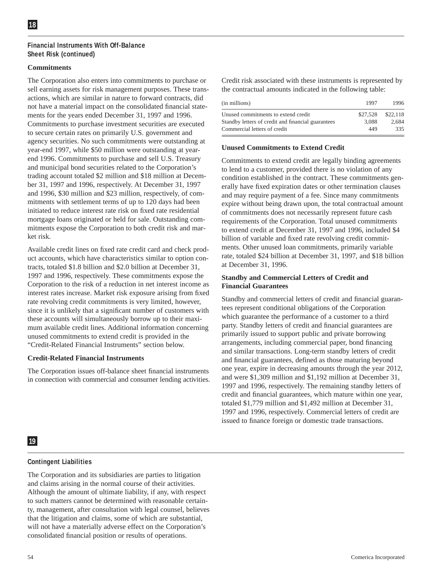#### **Financial Instruments With Off-Balance Sheet Risk (continued)**

#### **Commitments**

The Corporation also enters into commitments to purchase or sell earning assets for risk management purposes. These transactions, which are similar in nature to forward contracts, did not have a material impact on the consolidated financial statements for the years ended December 31, 1997 and 1996. Commitments to purchase investment securities are executed to secure certain rates on primarily U.S. government and agency securities. No such commitments were outstanding at year-end 1997, while \$50 million were outstanding at yearend 1996. Commitments to purchase and sell U.S. Treasury and municipal bond securities related to the Corporation's trading account totaled \$2 million and \$18 million at December 31, 1997 and 1996, respectively. At December 31, 1997 and 1996, \$30 million and \$23 million, respectively, of commitments with settlement terms of up to 120 days had been initiated to reduce interest rate risk on fixed rate residential mortgage loans originated or held for sale. Outstanding commitments expose the Corporation to both credit risk and market risk.

Available credit lines on fixed rate credit card and check product accounts, which have characteristics similar to option contracts, totaled \$1.8 billion and \$2.0 billion at December 31, 1997 and 1996, respectively. These commitments expose the Corporation to the risk of a reduction in net interest income as interest rates increase. Market risk exposure arising from fixed rate revolving credit commitments is very limited, however, since it is unlikely that a significant number of customers with these accounts will simultaneously borrow up to their maximum available credit lines. Additional information concerning unused commitments to extend credit is provided in the "Credit-Related Financial Instruments" section below.

#### **Credit-Related Financial Instruments**

The Corporation issues off-balance sheet financial instruments in connection with commercial and consumer lending activities. Credit risk associated with these instruments is represented by the contractual amounts indicated in the following table:

| (in millions)                                      | 1997     | 1996     |
|----------------------------------------------------|----------|----------|
| Unused commitments to extend credit                | \$27,528 | \$22,118 |
| Standby letters of credit and financial guarantees | 3.088    | 2.684    |
| Commercial letters of credit                       | 449      | 335      |

#### **Unused Commitments to Extend Credit**

Commitments to extend credit are legally binding agreements to lend to a customer, provided there is no violation of any condition established in the contract. These commitments generally have fixed expiration dates or other termination clauses and may require payment of a fee. Since many commitments expire without being drawn upon, the total contractual amount of commitments does not necessarily represent future cash requirements of the Corporation. Total unused commitments to extend credit at December 31, 1997 and 1996, included \$4 billion of variable and fixed rate revolving credit commitments. Other unused loan commitments, primarily variable rate, totaled \$24 billion at December 31, 1997, and \$18 billion at December 31, 1996.

#### **Standby and Commercial Letters of Credit and Financial Guarantees**

Standby and commercial letters of credit and financial guarantees represent conditional obligations of the Corporation which guarantee the performance of a customer to a third party. Standby letters of credit and financial guarantees are primarily issued to support public and private borrowing arrangements, including commercial paper, bond financing and similar transactions. Long-term standby letters of credit and financial guarantees, defined as those maturing beyond one year, expire in decreasing amounts through the year 2012, and were \$1,309 million and \$1,192 million at December 31, 1997 and 1996, respectively. The remaining standby letters of credit and financial guarantees, which mature within one year, totaled \$1,779 million and \$1,492 million at December 31, 1997 and 1996, respectively. Commercial letters of credit are issued to finance foreign or domestic trade transactions.

# **19**

# **Contingent Liabilities**

The Corporation and its subsidiaries are parties to litigation and claims arising in the normal course of their activities. Although the amount of ultimate liability, if any, with respect to such matters cannot be determined with reasonable certainty, management, after consultation with legal counsel, believes that the litigation and claims, some of which are substantial, will not have a materially adverse effect on the Corporation's consolidated financial position or results of operations.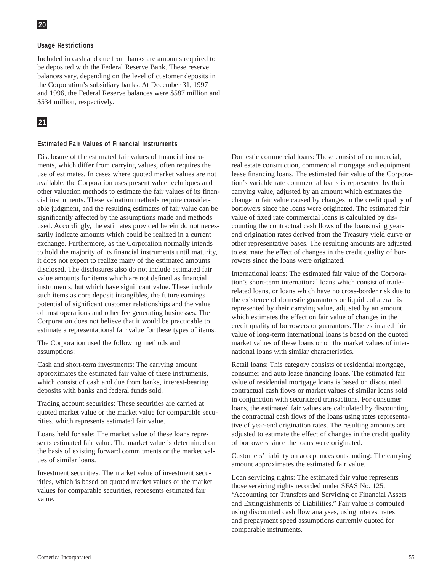#### **Usage Restrictions**

Included in cash and due from banks are amounts required to be deposited with the Federal Reserve Bank. These reserve balances vary, depending on the level of customer deposits in the Corporation's subsidiary banks. At December 31, 1997 and 1996, the Federal Reserve balances were \$587 million and \$534 million, respectively.

# **21**

#### **Estimated Fair Values of Financial Instruments**

Disclosure of the estimated fair values of financial instruments, which differ from carrying values, often requires the use of estimates. In cases where quoted market values are not available, the Corporation uses present value techniques and other valuation methods to estimate the fair values of its financial instruments. These valuation methods require considerable judgment, and the resulting estimates of fair value can be significantly affected by the assumptions made and methods used. Accordingly, the estimates provided herein do not necessarily indicate amounts which could be realized in a current exchange. Furthermore, as the Corporation normally intends to hold the majority of its financial instruments until maturity, it does not expect to realize many of the estimated amounts disclosed. The disclosures also do not include estimated fair value amounts for items which are not defined as financial instruments, but which have significant value. These include such items as core deposit intangibles, the future earnings potential of significant customer relationships and the value of trust operations and other fee generating businesses. The Corporation does not believe that it would be practicable to estimate a representational fair value for these types of items.

The Corporation used the following methods and assumptions:

Cash and short-term investments: The carrying amount approximates the estimated fair value of these instruments, which consist of cash and due from banks, interest-bearing deposits with banks and federal funds sold.

Trading account securities: These securities are carried at quoted market value or the market value for comparable securities, which represents estimated fair value.

Loans held for sale: The market value of these loans represents estimated fair value. The market value is determined on the basis of existing forward commitments or the market values of similar loans.

Investment securities: The market value of investment securities, which is based on quoted market values or the market values for comparable securities, represents estimated fair value.

Domestic commercial loans: These consist of commercial, real estate construction, commercial mortgage and equipment lease financing loans. The estimated fair value of the Corporation's variable rate commercial loans is represented by their carrying value, adjusted by an amount which estimates the change in fair value caused by changes in the credit quality of borrowers since the loans were originated. The estimated fair value of fixed rate commercial loans is calculated by discounting the contractual cash flows of the loans using yearend origination rates derived from the Treasury yield curve or other representative bases. The resulting amounts are adjusted to estimate the effect of changes in the credit quality of borrowers since the loans were originated.

International loans: The estimated fair value of the Corporation's short-term international loans which consist of traderelated loans, or loans which have no cross-border risk due to the existence of domestic guarantors or liquid collateral, is represented by their carrying value, adjusted by an amount which estimates the effect on fair value of changes in the credit quality of borrowers or guarantors. The estimated fair value of long-term international loans is based on the quoted market values of these loans or on the market values of international loans with similar characteristics.

Retail loans: This category consists of residential mortgage, consumer and auto lease financing loans. The estimated fair value of residential mortgage loans is based on discounted contractual cash flows or market values of similar loans sold in conjunction with securitized transactions. For consumer loans, the estimated fair values are calculated by discounting the contractual cash flows of the loans using rates representative of year-end origination rates. The resulting amounts are adjusted to estimate the effect of changes in the credit quality of borrowers since the loans were originated.

Customers' liability on acceptances outstanding: The carrying amount approximates the estimated fair value.

Loan servicing rights: The estimated fair value represents those servicing rights recorded under SFAS No. 125, "Accounting for Transfers and Servicing of Financial Assets and Extinguishments of Liabilities." Fair value is computed using discounted cash flow analyses, using interest rates and prepayment speed assumptions currently quoted for comparable instruments.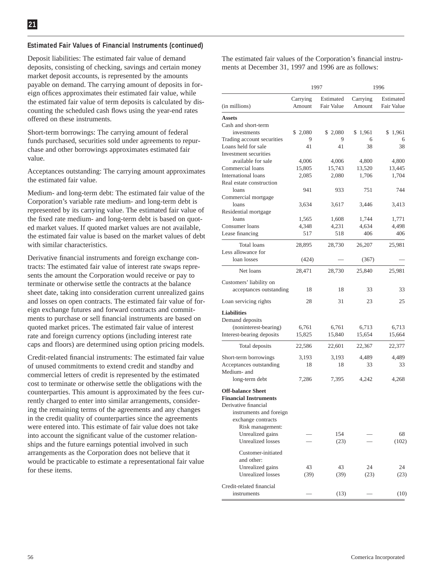#### **Estimated Fair Values of Financial Instruments (continued)**

Deposit liabilities: The estimated fair value of demand deposits, consisting of checking, savings and certain money market deposit accounts, is represented by the amounts payable on demand. The carrying amount of deposits in foreign offices approximates their estimated fair value, while the estimated fair value of term deposits is calculated by discounting the scheduled cash flows using the year-end rates offered on these instruments.

Short-term borrowings: The carrying amount of federal funds purchased, securities sold under agreements to repurchase and other borrowings approximates estimated fair value.

Acceptances outstanding: The carrying amount approximates the estimated fair value.

Medium- and long-term debt: The estimated fair value of the Corporation's variable rate medium- and long-term debt is represented by its carrying value. The estimated fair value of the fixed rate medium- and long-term debt is based on quoted market values. If quoted market values are not available, the estimated fair value is based on the market values of debt with similar characteristics.

Derivative financial instruments and foreign exchange contracts: The estimated fair value of interest rate swaps represents the amount the Corporation would receive or pay to terminate or otherwise settle the contracts at the balance sheet date, taking into consideration current unrealized gains and losses on open contracts. The estimated fair value of foreign exchange futures and forward contracts and commitments to purchase or sell financial instruments are based on quoted market prices. The estimated fair value of interest rate and foreign currency options (including interest rate caps and floors) are determined using option pricing models.

Credit-related financial instruments: The estimated fair value of unused commitments to extend credit and standby and commercial letters of credit is represented by the estimated cost to terminate or otherwise settle the obligations with the counterparties. This amount is approximated by the fees currently charged to enter into similar arrangements, considering the remaining terms of the agreements and any changes in the credit quality of counterparties since the agreements were entered into. This estimate of fair value does not take into account the significant value of the customer relationships and the future earnings potential involved in such arrangements as the Corporation does not believe that it would be practicable to estimate a representational fair value for these items.

The estimated fair values of the Corporation's financial instruments at December 31, 1997 and 1996 are as follows:

|                                                                                                                                   | 1997               |                         |                    | 1996                    |
|-----------------------------------------------------------------------------------------------------------------------------------|--------------------|-------------------------|--------------------|-------------------------|
| (in millions)                                                                                                                     | Carrying<br>Amount | Estimated<br>Fair Value | Carrying<br>Amount | Estimated<br>Fair Value |
| Assets                                                                                                                            |                    |                         |                    |                         |
| Cash and short-term                                                                                                               |                    |                         |                    |                         |
| investments                                                                                                                       | \$2,080            | \$2,080                 | \$1,961            | \$1,961                 |
| Trading account securities                                                                                                        | 9                  | 9                       | 6                  | 6                       |
| Loans held for sale                                                                                                               | 41                 | 41                      | 38                 | 38                      |
| Investment securities                                                                                                             |                    |                         |                    |                         |
| available for sale                                                                                                                | 4,006              | 4,006                   | 4,800              | 4,800                   |
| Commercial loans                                                                                                                  | 15,805             | 15,743                  | 13,520             | 13,445                  |
| <b>International loans</b>                                                                                                        | 2,085              | 2,080                   | 1,706              | 1,704                   |
| Real estate construction                                                                                                          |                    |                         |                    |                         |
| loans                                                                                                                             | 941                | 933                     | 751                | 744                     |
| Commercial mortgage                                                                                                               |                    |                         |                    |                         |
| loans                                                                                                                             | 3,634              | 3,617                   | 3,446              | 3,413                   |
| Residential mortgage                                                                                                              |                    |                         |                    |                         |
| loans                                                                                                                             | 1,565              | 1,608                   | 1,744              | 1,771                   |
| Consumer loans                                                                                                                    | 4,348              | 4,231                   | 4,634              | 4,498                   |
| Lease financing                                                                                                                   | 517                | 518                     | 406                | 406                     |
| <b>Total loans</b><br>Less allowance for                                                                                          | 28,895             | 28,730                  | 26,207             | 25,981                  |
| loan losses                                                                                                                       | (424)              |                         | (367)              |                         |
| Net loans                                                                                                                         | 28,471             | 28,730                  | 25,840             | 25,981                  |
| Customers' liability on                                                                                                           |                    |                         |                    |                         |
| acceptances outstanding                                                                                                           | 18                 | 18                      | 33                 | 33                      |
| Loan servicing rights                                                                                                             | 28                 | 31                      | 23                 | 25                      |
| <b>Liabilities</b><br>Demand deposits<br>(noninterest-bearing)<br>Interest-bearing deposits                                       | 6,761<br>15,825    | 6,761<br>15,840         | 6,713<br>15,654    | 6,713<br>15,664         |
|                                                                                                                                   |                    |                         |                    |                         |
| Total deposits                                                                                                                    | 22,586             | 22,601                  | 22,367             | 22,377                  |
| Short-term borrowings                                                                                                             | 3,193              | 3,193                   | 4,489              | 4,489                   |
| Acceptances outstanding<br>Medium- and                                                                                            | 18                 | 18                      | 33                 | 33                      |
| long-term debt                                                                                                                    | 7,286              | 7,395                   | 4,242              | 4,268                   |
| <b>Off-balance Sheet</b><br><b>Financial Instruments</b><br>Derivative financial<br>instruments and foreign<br>exchange contracts |                    |                         |                    |                         |
| Risk management:                                                                                                                  |                    |                         |                    |                         |
| Unrealized gains<br>Unrealized losses                                                                                             |                    | 154<br>(23)             |                    | 68<br>(102)             |
| Customer-initiated<br>and other:<br>Unrealized gains<br><b>Unrealized</b> losses                                                  | 43<br>(39)         | 43<br>(39)              | 24<br>(23)         | 24<br>(23)              |
| Credit-related financial                                                                                                          |                    |                         |                    |                         |
| instruments                                                                                                                       |                    | (13)                    |                    | (10)                    |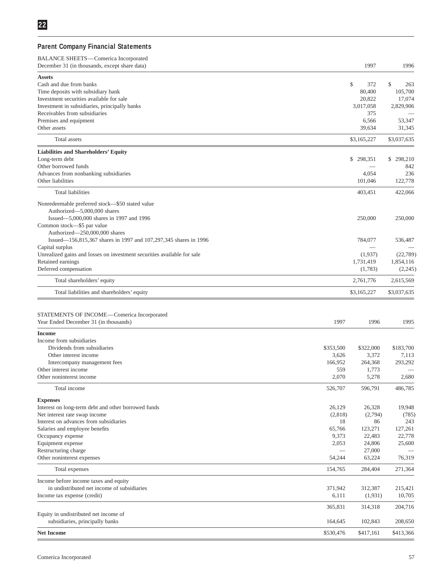# **Parent Company Financial Statements**

| BALANCE SHEETS-Comerica Incorporated<br>December 31 (in thousands, except share data)             |                  | 1997               | 1996              |
|---------------------------------------------------------------------------------------------------|------------------|--------------------|-------------------|
| <b>Assets</b>                                                                                     |                  |                    |                   |
| Cash and due from banks                                                                           |                  | \$<br>372          | \$<br>263         |
| Time deposits with subsidiary bank                                                                |                  | 80,400             | 105,700           |
| Investment securities available for sale                                                          |                  | 20,822             | 17,074            |
| Investment in subsidiaries, principally banks                                                     |                  | 3,017,058          | 2,829,906         |
| Receivables from subsidiaries                                                                     |                  | 375                |                   |
| Premises and equipment                                                                            |                  | 6,566              | 53,347            |
| Other assets                                                                                      |                  | 39,634             | 31,345            |
| Total assets                                                                                      |                  | \$3,165,227        | \$3,037,635       |
| <b>Liabilities and Shareholders' Equity</b><br>Long-term debt                                     |                  | \$298,351          | 298,210<br>\$     |
| Other borrowed funds                                                                              |                  |                    | 842               |
| Advances from nonbanking subsidiaries                                                             |                  | 4,054              | 236               |
| Other liabilities                                                                                 |                  | 101,046            | 122,778           |
| Total liabilities                                                                                 |                  | 403,451            | 422,066           |
| Nonredeemable preferred stock-\$50 stated value                                                   |                  |                    |                   |
| Authorized-5,000,000 shares                                                                       |                  |                    |                   |
| Issued-5,000,000 shares in 1997 and 1996                                                          |                  | 250,000            | 250,000           |
| Common stock-\$5 par value                                                                        |                  |                    |                   |
| Authorized-250,000,000 shares<br>Issued-156,815,367 shares in 1997 and 107,297,345 shares in 1996 |                  | 784,077            | 536,487           |
| Capital surplus                                                                                   |                  |                    |                   |
| Unrealized gains and losses on investment securities available for sale                           |                  | (1,937)            | (22, 789)         |
| Retained earnings                                                                                 |                  | 1,731,419          | 1,854,116         |
| Deferred compensation                                                                             |                  | (1,783)            | (2,245)           |
| Total shareholders' equity                                                                        |                  | 2,761,776          | 2,615,569         |
| Total liabilities and shareholders' equity                                                        |                  | \$3,165,227        | \$3,037,635       |
|                                                                                                   |                  |                    |                   |
| STATEMENTS OF INCOME-Comerica Incorporated                                                        |                  |                    |                   |
| Year Ended December 31 (in thousands)                                                             | 1997             | 1996               | 1995              |
| <b>Income</b>                                                                                     |                  |                    |                   |
| Income from subsidiaries                                                                          |                  |                    |                   |
| Dividends from subsidiaries                                                                       | \$353,500        | \$322,000          | \$183,700         |
| Other interest income<br>Intercompany management fees                                             | 3,626<br>166,952 | 3,372<br>264,368   | 7,113<br>293,292  |
| Other interest income                                                                             | 559              | 1,773              |                   |
| Other noninterest income                                                                          | 2,070            | 5,278              | 2,680             |
| Total income                                                                                      | 526,707          | 596,791            | 486,785           |
| <b>Expenses</b>                                                                                   |                  |                    |                   |
| Interest on long-term debt and other borrowed funds                                               | 26,129           | 26,328             | 19,948            |
| Net interest rate swap income                                                                     | (2,818)          | (2,794)            | (785)             |
| Interest on advances from subsidiaries                                                            | 18               | 86                 | 243               |
| Salaries and employee benefits                                                                    | 65,766           | 123,271            | 127,261           |
| Occupancy expense                                                                                 | 9,373            | 22,483             | 22,778            |
| Equipment expense                                                                                 | 2,053            | 24,806             | 25,600            |
| Restructuring charge                                                                              | 54,244           | 27,000             |                   |
| Other noninterest expenses                                                                        |                  | 63,224             | 76,319            |
| Total expenses                                                                                    | 154,765          | 284,404            | 271,364           |
| Income before income taxes and equity                                                             |                  |                    |                   |
| in undistributed net income of subsidiaries<br>Income tax expense (credit)                        | 371,942<br>6,111 | 312,387<br>(1,931) | 215,421<br>10,705 |
|                                                                                                   |                  |                    |                   |
| Equity in undistributed net income of                                                             | 365,831          | 314,318            | 204,716           |
| subsidiaries, principally banks                                                                   | 164,645          | 102,843            | 208,650           |
| <b>Net Income</b>                                                                                 | \$530,476        | \$417,161          | \$413,366         |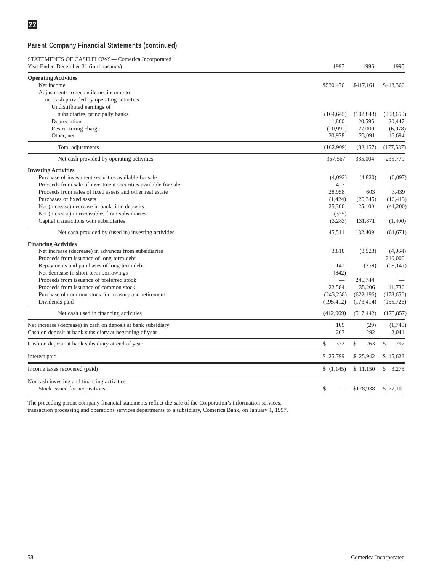# **Parent Company Financial Statements (continued)**

| STATEMENTS OF CASH FLOWS-Comerica Incorporated                 |                          |                          |                     |
|----------------------------------------------------------------|--------------------------|--------------------------|---------------------|
| Year Ended December 31 (in thousands)                          | 1997                     | 1996                     | 1995                |
| <b>Operating Activities</b>                                    |                          |                          |                     |
| Net income                                                     | \$530,476                | \$417.161                | \$413,366           |
| Adjustments to reconcile net income to                         |                          |                          |                     |
| net cash provided by operating activities                      |                          |                          |                     |
| Undistributed earnings of                                      |                          |                          |                     |
| subsidiaries, principally banks                                | (164, 645)               | (102, 843)               | (208, 650)          |
| Depreciation                                                   | 1,800                    | 20,595                   | 20,447              |
| Restructuring charge                                           | (20,992)                 | 27,000                   | (6,078)             |
| Other, net                                                     | 20,928                   | 23,091                   | 16,694              |
| Total adjustments                                              | (162,909)                | (32, 157)                | (177, 587)          |
| Net cash provided by operating activities                      | 367,567                  | 385,004                  | 235,779             |
| <b>Investing Activities</b>                                    |                          |                          |                     |
| Purchase of investment securities available for sale           | (4,092)                  | (4,820)                  | (6,097)             |
| Proceeds from sale of investment securities available for sale | 427                      |                          |                     |
| Proceeds from sales of fixed assets and other real estate      | 28,958                   | 603                      | 3,439               |
| Purchases of fixed assets                                      | (1,424)                  | (20, 345)                | (16, 413)           |
| Net (increase) decrease in bank time deposits                  | 25,300                   | 25,100                   | (41,200)            |
| Net (increase) in receivables from subsidiaries                | (375)                    |                          |                     |
| Capital transactions with subsidiaries                         | (3,283)                  | 131,871                  | (1,400)             |
| Net cash provided by (used in) investing activities            | 45,511                   | 132,409                  | (61, 671)           |
| <b>Financing Activities</b>                                    |                          |                          |                     |
| Net increase (decrease) in advances from subsidiaries          | 3.818                    | (3,523)                  | (4,064)             |
| Proceeds from issuance of long-term debt                       |                          |                          | 210,000             |
| Repayments and purchases of long-term debt                     | 141                      | (259)                    | (59, 147)           |
| Net decrease in short-term borrowings                          | (842)                    | $\overline{\phantom{0}}$ |                     |
| Proceeds from issuance of preferred stock                      | $\overline{\phantom{0}}$ | 246,744                  |                     |
| Proceeds from issuance of common stock                         | 22,584                   | 35,206                   | 11,736              |
| Purchase of common stock for treasury and retirement           | (243, 258)               | (622, 196)               | (178, 656)          |
| Dividends paid                                                 | (195, 412)               | (173, 414)               | (155, 726)          |
| Net cash used in financing activities                          | (412,969)                | (517, 442)               | (175, 857)          |
| Net increase (decrease) in cash on deposit at bank subsidiary  | 109                      | (29)                     | (1,749)             |
| Cash on deposit at bank subsidiary at beginning of year        | 263                      | 292                      | 2,041               |
| Cash on deposit at bank subsidiary at end of year              | \$<br>372                | $\mathcal{S}$<br>263     | $\mathbb{S}$<br>292 |
| Interest paid                                                  | \$25,799                 | \$25,942                 | \$15,623            |
| Income taxes recovered (paid)                                  | (1,145)                  | \$11,150                 | \$3,275             |
| Noncash investing and financing activities                     |                          |                          |                     |
| Stock issued for acquisitions                                  | \$                       | \$128,938                | \$77,100            |

The preceding parent company financial statements reflect the sale of the Corporation's information services,

transaction processing and operations services departments to a subsidiary, Comerica Bank, on January 1, 1997.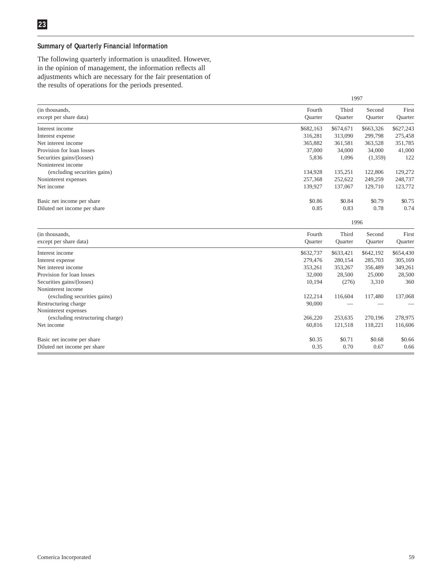### **Summary of Quarterly Financial Information**

The following quarterly information is unaudited. However, in the opinion of management, the information reflects all adjustments which are necessary for the fair presentation of the results of operations for the periods presented.

|                                          |                          | 1997                    |                   |                  |
|------------------------------------------|--------------------------|-------------------------|-------------------|------------------|
| (in thousands,<br>except per share data) | Fourth<br><b>Ouarter</b> | Third<br><b>Ouarter</b> | Second<br>Quarter | First<br>Quarter |
| Interest income                          | \$682,163                | \$674,671               | \$663,326         | \$627,243        |
| Interest expense                         | 316,281                  | 313,090                 | 299,798           | 275,458          |
| Net interest income                      | 365,882                  | 361,581                 | 363,528           | 351,785          |
| Provision for loan losses                | 37,000                   | 34,000                  | 34,000            | 41,000           |
| Securities gains/(losses)                | 5,836                    | 1,096                   | (1,359)           | 122              |
| Noninterest income                       |                          |                         |                   |                  |
| (excluding securities gains)             | 134,928                  | 135,251                 | 122,806           | 129,272          |
| Noninterest expenses                     | 257,368                  | 252,622                 | 249,259           | 248,737          |
| Net income                               | 139,927                  | 137,067                 | 129,710           | 123,772          |
| Basic net income per share               | \$0.86                   | \$0.84                  | \$0.79            | \$0.75           |
| Diluted net income per share             | 0.85                     | 0.83                    | 0.78              | 0.74             |
|                                          |                          | 1996                    |                   |                  |
| (in thousands,                           | Fourth                   | Third                   | Second            | First            |
| except per share data)                   | Quarter                  | Quarter                 | Quarter           | Quarter          |
| Interest income                          | \$632,737                | \$633,421               | \$642,192         | \$654,430        |
| Interest expense                         | 279,476                  | 280,154                 | 285,703           | 305,169          |
| Net interest income                      | 353,261                  | 353,267                 | 356,489           | 349,261          |
| Provision for loan losses                | 32,000                   | 28,500                  | 25,000            | 28,500           |
| Securities gains/(losses)                | 10,194                   | (276)                   | 3,310             | 360              |
| Noninterest income                       |                          |                         |                   |                  |
| (excluding securities gains)             | 122,214                  | 116,604                 | 117,480           | 137,068          |
| Restructuring charge                     | 90,000                   |                         |                   |                  |
| Noninterest expenses                     |                          |                         |                   |                  |
| (excluding restructuring charge)         | 266,220                  | 253,635                 | 270,196           | 278,975          |

| Net income                   | 60.816 | 121.518 | 118.221 | 116,606 |
|------------------------------|--------|---------|---------|---------|
| Basic net income per share   | \$0.35 | \$0.71  | \$0.68  | \$0.66  |
| Diluted net income per share | 0.35   | 0.70    | 0.67    | 0.66    |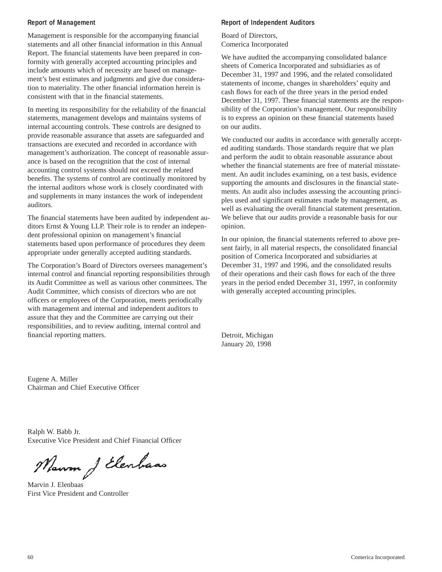#### **Report of Management**

Management is responsible for the accompanying financial statements and all other financial information in this Annual Report. The financial statements have been prepared in conformity with generally accepted accounting principles and include amounts which of necessity are based on management's best estimates and judgments and give due consideration to materiality. The other financial information herein is consistent with that in the financial statements.

In meeting its responsibility for the reliability of the financial statements, management develops and maintains systems of internal accounting controls. These controls are designed to provide reasonable assurance that assets are safeguarded and transactions are executed and recorded in accordance with management's authorization. The concept of reasonable assurance is based on the recognition that the cost of internal accounting control systems should not exceed the related benefits. The systems of control are continually monitored by the internal auditors whose work is closely coordinated with and supplements in many instances the work of independent auditors.

The financial statements have been audited by independent auditors Ernst & Young LLP. Their role is to render an independent professional opinion on management's financial statements based upon performance of procedures they deem appropriate under generally accepted auditing standards.

The Corporation's Board of Directors oversees management's internal control and financial reporting responsibilities through its Audit Committee as well as various other committees. The Audit Committee, which consists of directors who are not officers or employees of the Corporation, meets periodically with management and internal and independent auditors to assure that they and the Committee are carrying out their responsibilities, and to review auditing, internal control and financial reporting matters.

# **Report of Independent Auditors**

Board of Directors, Comerica Incorporated

We have audited the accompanying consolidated balance sheets of Comerica Incorporated and subsidiaries as of December 31, 1997 and 1996, and the related consolidated statements of income, changes in shareholders' equity and cash flows for each of the three years in the period ended December 31, 1997. These financial statements are the responsibility of the Corporation's management. Our responsibility is to express an opinion on these financial statements based on our audits.

We conducted our audits in accordance with generally accepted auditing standards. Those standards require that we plan and perform the audit to obtain reasonable assurance about whether the financial statements are free of material misstatement. An audit includes examining, on a test basis, evidence supporting the amounts and disclosures in the financial statements. An audit also includes assessing the accounting principles used and significant estimates made by management, as well as evaluating the overall financial statement presentation. We believe that our audits provide a reasonable basis for our opinion.

In our opinion, the financial statements referred to above present fairly, in all material respects, the consolidated financial position of Comerica Incorporated and subsidiaries at December 31, 1997 and 1996, and the consolidated results of their operations and their cash flows for each of the three years in the period ended December 31, 1997, in conformity with generally accepted accounting principles.

Detroit, Michigan January 20, 1998

Eugene A. Miller Chairman and Chief Executive Officer

Ralph W. Babb Jr. Executive Vice President and Chief Financial Officer

Mauron J Elenhaas

Marvin J. Elenbaas First Vice President and Controller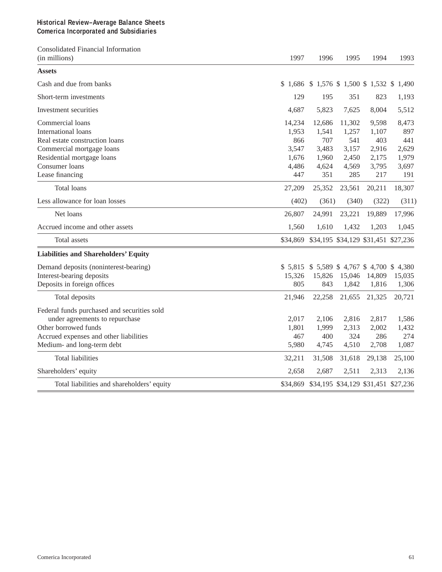### **Historical Review–Average Balance Sheets Comerica Incorporated and Subsidiaries**

Consolidated Financial Information

| (in millions)                               | 1997   | 1996                                         | 1995   | 1994   | 1993   |
|---------------------------------------------|--------|----------------------------------------------|--------|--------|--------|
| <b>Assets</b>                               |        |                                              |        |        |        |
| Cash and due from banks                     |        | \$1,686 \$1,576 \$1,500 \$1,532 \$1,490      |        |        |        |
| Short-term investments                      | 129    | 195                                          | 351    | 823    | 1,193  |
| Investment securities                       | 4,687  | 5,823                                        | 7,625  | 8,004  | 5,512  |
| Commercial loans                            | 14,234 | 12,686                                       | 11,302 | 9,598  | 8,473  |
| International loans                         | 1,953  | 1,541                                        | 1,257  | 1,107  | 897    |
| Real estate construction loans              | 866    | 707                                          | 541    | 403    | 441    |
| Commercial mortgage loans                   | 3,547  | 3,483                                        | 3,157  | 2,916  | 2,629  |
| Residential mortgage loans                  | 1,676  | 1,960                                        | 2,450  | 2,175  | 1,979  |
| Consumer loans                              | 4,486  | 4,624                                        | 4,569  | 3,795  | 3,697  |
| Lease financing                             | 447    | 351                                          | 285    | 217    | 191    |
| <b>Total loans</b>                          | 27,209 | 25,352                                       | 23,561 | 20,211 | 18,307 |
| Less allowance for loan losses              | (402)  | (361)                                        | (340)  | (322)  | (311)  |
| Net loans                                   | 26,807 | 24,991                                       | 23,221 | 19,889 | 17,996 |
| Accrued income and other assets             | 1,560  | 1,610                                        | 1,432  | 1,203  | 1,045  |
| Total assets                                |        | \$34,869 \$34,195 \$34,129 \$31,451 \$27,236 |        |        |        |
| <b>Liabilities and Shareholders' Equity</b> |        |                                              |        |        |        |
| Demand deposits (noninterest-bearing)       |        | \$5,815 \$5,589 \$4,767 \$4,700 \$4,380      |        |        |        |
| Interest-bearing deposits                   | 15,326 | 15,826                                       | 15,046 | 14,809 | 15,035 |
| Deposits in foreign offices                 | 805    | 843                                          | 1,842  | 1,816  | 1,306  |
| Total deposits                              | 21,946 | 22,258                                       | 21,655 | 21,325 | 20,721 |
| Federal funds purchased and securities sold |        |                                              |        |        |        |
| under agreements to repurchase              | 2,017  | 2,106                                        | 2,816  | 2,817  | 1,586  |
| Other borrowed funds                        | 1,801  | 1,999                                        | 2,313  | 2,002  | 1,432  |
| Accrued expenses and other liabilities      | 467    | 400                                          | 324    | 286    | 274    |
| Medium- and long-term debt                  | 5,980  | 4,745                                        | 4,510  | 2,708  | 1,087  |
| <b>Total liabilities</b>                    | 32,211 | 31,508                                       | 31,618 | 29,138 | 25,100 |
| Shareholders' equity                        | 2,658  | 2,687                                        | 2,511  | 2,313  | 2,136  |
| Total liabilities and shareholders' equity  |        | \$34,869 \$34,195 \$34,129 \$31,451 \$27,236 |        |        |        |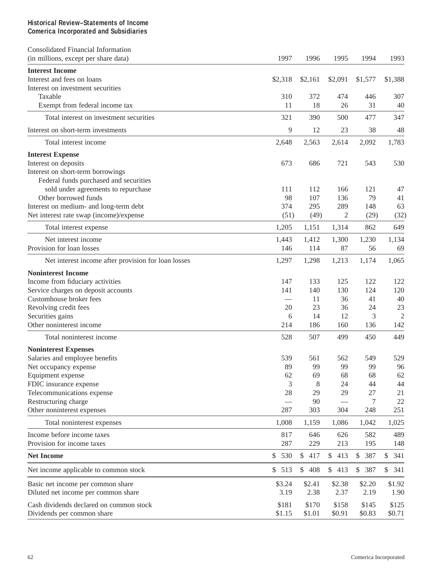# **Historical Review–Statements of Income Comerica Incorporated and Subsidiaries**

| <b>Consolidated Financial Information</b>                     |                      |            |                     |           |                |
|---------------------------------------------------------------|----------------------|------------|---------------------|-----------|----------------|
| (in millions, except per share data)                          | 1997                 | 1996       | 1995                | 1994      | 1993           |
| <b>Interest Income</b>                                        |                      |            |                     |           |                |
| Interest and fees on loans                                    | \$2,318              | \$2,161    | \$2,091             | \$1,577   | \$1,388        |
| Interest on investment securities                             |                      |            |                     |           |                |
| Taxable                                                       | 310                  | 372        | 474                 | 446       | 307            |
| Exempt from federal income tax                                | 11                   | 18         | 26                  | 31        | 40             |
| Total interest on investment securities                       | 321                  | 390        | 500                 | 477       | 347            |
| Interest on short-term investments                            | 9                    | 12         | 23                  | 38        | 48             |
| Total interest income                                         | 2,648                | 2,563      | 2,614               | 2,092     | 1,783          |
| <b>Interest Expense</b>                                       |                      |            |                     |           |                |
| Interest on deposits                                          | 673                  | 686        | 721                 | 543       | 530            |
| Interest on short-term borrowings                             |                      |            |                     |           |                |
| Federal funds purchased and securities                        |                      |            |                     |           |                |
| sold under agreements to repurchase                           | 111                  | 112        | 166                 | 121       | 47             |
| Other borrowed funds                                          | 98                   | 107        | 136                 | 79        | 41             |
| Interest on medium- and long-term debt                        | 374                  | 295        | 289                 | 148       | 63             |
| Net interest rate swap (income)/expense                       | (51)                 | (49)       | 2                   | (29)      | (32)           |
| Total interest expense                                        | 1,205                | 1,151      | 1,314               | 862       | 649            |
| Net interest income                                           | 1,443                | 1,412      | 1,300               | 1,230     | 1,134          |
| Provision for loan losses                                     | 146                  | 114        | 87                  | 56        | 69             |
| Net interest income after provision for loan losses           | 1,297                | 1,298      | 1,213               | 1,174     | 1,065          |
| <b>Noninterest Income</b>                                     |                      |            |                     |           |                |
| Income from fiduciary activities                              | 147                  | 133        | 125                 | 122       | 122            |
| Service charges on deposit accounts                           | 141                  | 140        | 130                 | 124       | 120            |
| Customhouse broker fees                                       |                      | 11         | 36                  | 41        | 40             |
| Revolving credit fees                                         | 20                   | 23         | 36                  | 24        | 23             |
| Securities gains                                              | 6                    | 14         | 12                  | 3         | $\overline{2}$ |
| Other noninterest income                                      | 214                  | 186        | 160                 | 136       | 142            |
| Total noninterest income                                      | 528                  | 507        | 499                 | 450       | 449            |
|                                                               |                      |            |                     |           |                |
| <b>Noninterest Expenses</b><br>Salaries and employee benefits | 539                  | 561        | 562                 | 549       | 529            |
| Net occupancy expense                                         | 89                   | 99         | 99                  | 99        | 96             |
|                                                               | 62                   | 69         | 68                  | 68        | 62             |
| Equipment expense<br>FDIC insurance expense                   | 3                    |            | 24                  | 44        | 44             |
|                                                               | 28                   | 8<br>29    | 29                  | 27        |                |
| Telecommunications expense                                    |                      |            |                     |           | 21             |
| Restructuring charge<br>Other noninterest expenses            | 287                  | 90<br>303  | 304                 | 7<br>248  | $22\,$<br>251  |
| Total noninterest expenses                                    | 1,008                | 1,159      | 1,086               | 1,042     | 1,025          |
| Income before income taxes                                    | 817                  |            | 626                 | 582       | 489            |
| Provision for income taxes                                    | 287                  | 646<br>229 | 213                 | 195       | 148            |
| <b>Net Income</b>                                             | $\mathcal{S}$<br>530 | \$417      | \$<br>413           | \$<br>387 | \$<br>341      |
| Net income applicable to common stock                         | \$513                | \$408      | 413<br>$\mathbb{S}$ | \$<br>387 | \$341          |
|                                                               |                      |            |                     |           |                |
| Basic net income per common share                             | \$3.24               | \$2.41     | \$2.38              | \$2.20    | \$1.92         |
| Diluted net income per common share                           | 3.19                 | 2.38       | 2.37                | 2.19      | 1.90           |
| Cash dividends declared on common stock                       | \$181                | \$170      | \$158               | \$145     | \$125          |
| Dividends per common share                                    | \$1.15               | \$1.01     | \$0.91              | \$0.83    | \$0.71         |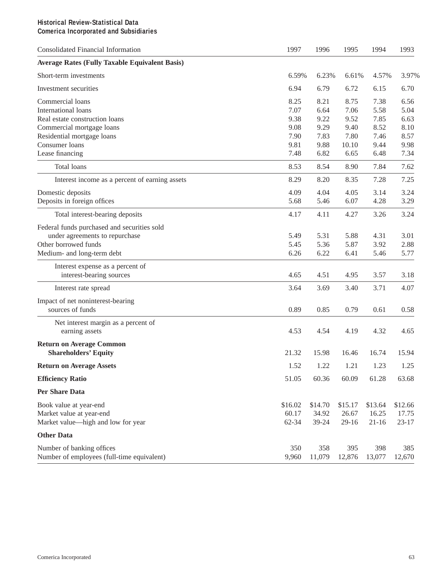# **Historical Review-Statistical Data Comerica Incorporated and Subsidiaries**

| <b>Consolidated Financial Information</b>             | 1997    | 1996    | 1995      | 1994      | 1993      |
|-------------------------------------------------------|---------|---------|-----------|-----------|-----------|
| <b>Average Rates (Fully Taxable Equivalent Basis)</b> |         |         |           |           |           |
| Short-term investments                                | 6.59%   | 6.23%   | 6.61%     | 4.57%     | 3.97%     |
| Investment securities                                 | 6.94    | 6.79    | 6.72      | 6.15      | 6.70      |
| Commercial loans                                      | 8.25    | 8.21    | 8.75      | 7.38      | 6.56      |
| International loans                                   | 7.07    | 6.64    | 7.06      | 5.58      | 5.04      |
| Real estate construction loans                        | 9.38    | 9.22    | 9.52      | 7.85      | 6.63      |
| Commercial mortgage loans                             | 9.08    | 9.29    | 9.40      | 8.52      | 8.10      |
| Residential mortgage loans                            | 7.90    | 7.83    | 7.80      | 7.46      | 8.57      |
| Consumer loans                                        | 9.81    | 9.88    | 10.10     | 9.44      | 9.98      |
| Lease financing                                       | 7.48    | 6.82    | 6.65      | 6.48      | 7.34      |
| Total loans                                           | 8.53    | 8.54    | 8.90      | 7.84      | 7.62      |
| Interest income as a percent of earning assets        | 8.29    | 8.20    | 8.35      | 7.28      | 7.25      |
| Domestic deposits                                     | 4.09    | 4.04    | 4.05      | 3.14      | 3.24      |
| Deposits in foreign offices                           | 5.68    | 5.46    | 6.07      | 4.28      | 3.29      |
| Total interest-bearing deposits                       | 4.17    | 4.11    | 4.27      | 3.26      | 3.24      |
| Federal funds purchased and securities sold           |         |         |           |           |           |
| under agreements to repurchase                        | 5.49    | 5.31    | 5.88      | 4.31      | 3.01      |
| Other borrowed funds                                  | 5.45    | 5.36    | 5.87      | 3.92      | 2.88      |
| Medium- and long-term debt                            | 6.26    | 6.22    | 6.41      | 5.46      | 5.77      |
| Interest expense as a percent of                      |         |         |           |           |           |
| interest-bearing sources                              | 4.65    | 4.51    | 4.95      | 3.57      | 3.18      |
| Interest rate spread                                  | 3.64    | 3.69    | 3.40      | 3.71      | 4.07      |
| Impact of net noninterest-bearing                     |         |         |           |           |           |
| sources of funds                                      | 0.89    | 0.85    | 0.79      | 0.61      | 0.58      |
| Net interest margin as a percent of                   |         |         |           |           |           |
| earning assets                                        | 4.53    | 4.54    | 4.19      | 4.32      | 4.65      |
| <b>Return on Average Common</b>                       |         |         |           |           |           |
| <b>Shareholders' Equity</b>                           | 21.32   | 15.98   | 16.46     | 16.74     | 15.94     |
| <b>Return on Average Assets</b>                       | 1.52    | 1.22    | 1.21      | 1.23      | 1.25      |
| <b>Efficiency Ratio</b>                               | 51.05   | 60.36   | 60.09     | 61.28     | 63.68     |
| <b>Per Share Data</b>                                 |         |         |           |           |           |
| Book value at year-end                                | \$16.02 | \$14.70 | \$15.17   | \$13.64   | \$12.66   |
| Market value at year-end                              | 60.17   | 34.92   | 26.67     | 16.25     | 17.75     |
| Market value—high and low for year                    | 62-34   | 39-24   | $29 - 16$ | $21 - 16$ | $23 - 17$ |
| <b>Other Data</b>                                     |         |         |           |           |           |
| Number of banking offices                             | 350     | 358     | 395       | 398       | 385       |
| Number of employees (full-time equivalent)            | 9,960   | 11,079  | 12,876    | 13,077    | 12,670    |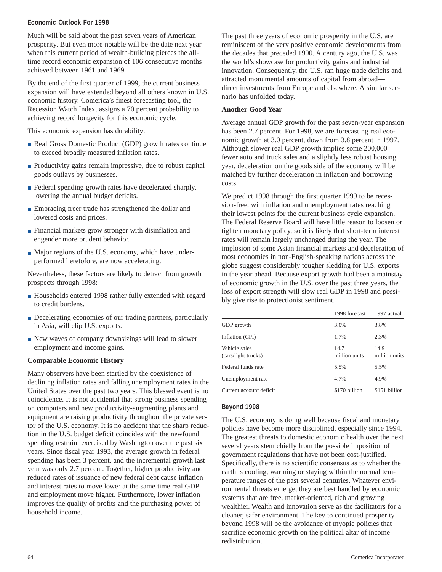### **Economic Outlook For 1998**

Much will be said about the past seven years of American prosperity. But even more notable will be the date next year when this current period of wealth-building pierces the alltime record economic expansion of 106 consecutive months achieved between 1961 and 1969.

By the end of the first quarter of 1999, the current business expansion will have extended beyond all others known in U.S. economic history. Comerica's finest forecasting tool, the Recession Watch Index, assigns a 70 percent probability to achieving record longevity for this economic cycle.

This economic expansion has durability:

- Real Gross Domestic Product (GDP) growth rates continue to exceed broadly measured inflation rates.
- **Productivity gains remain impressive, due to robust capital** goods outlays by businesses.
- Federal spending growth rates have decelerated sharply, lowering the annual budget deficits.
- **Embracing freer trade has strengthened the dollar and** lowered costs and prices.
- **Financial markets grow stronger with disinflation and** engender more prudent behavior.
- Major regions of the U.S. economy, which have underperformed heretofore, are now accelerating.

Nevertheless, these factors are likely to detract from growth prospects through 1998:

- Households entered 1998 rather fully extended with regard to credit burdens.
- Decelerating economies of our trading partners, particularly in Asia, will clip U.S. exports.
- New waves of company downsizings will lead to slower employment and income gains.

# **Comparable Economic History**

Many observers have been startled by the coexistence of declining inflation rates and falling unemployment rates in the United States over the past two years. This blessed event is no coincidence. It is not accidental that strong business spending on computers and new productivity-augmenting plants and equipment are raising productivity throughout the private sector of the U.S. economy. It is no accident that the sharp reduction in the U.S. budget deficit coincides with the newfound spending restraint exercised by Washington over the past six years. Since fiscal year 1993, the average growth in federal spending has been 3 percent, and the incremental growth last year was only 2.7 percent. Together, higher productivity and reduced rates of issuance of new federal debt cause inflation and interest rates to move lower at the same time real GDP and employment move higher. Furthermore, lower inflation improves the quality of profits and the purchasing power of household income.

The past three years of economic prosperity in the U.S. are reminiscent of the very positive economic developments from the decades that preceded 1900. A century ago, the U.S. was the world's showcase for productivity gains and industrial innovation. Consequently, the U.S. ran huge trade deficits and attracted monumental amounts of capital from abroad direct investments from Europe and elsewhere. A similar scenario has unfolded today.

### **Another Good Year**

Average annual GDP growth for the past seven-year expansion has been 2.7 percent. For 1998, we are forecasting real economic growth at 3.0 percent, down from 3.8 percent in 1997. Although slower real GDP growth implies some 200,000 fewer auto and truck sales and a slightly less robust housing year, deceleration on the goods side of the economy will be matched by further deceleration in inflation and borrowing costs.

We predict 1998 through the first quarter 1999 to be recession-free, with inflation and unemployment rates reaching their lowest points for the current business cycle expansion. The Federal Reserve Board will have little reason to loosen or tighten monetary policy, so it is likely that short-term interest rates will remain largely unchanged during the year. The implosion of some Asian financial markets and deceleration of most economies in non-English-speaking nations across the globe suggest considerably tougher sledding for U.S. exports in the year ahead. Because export growth had been a mainstay of economic growth in the U.S. over the past three years, the loss of export strength will slow real GDP in 1998 and possibly give rise to protectionist sentiment.

|                                      | 1998 forecast         | 1997 actual           |
|--------------------------------------|-----------------------|-----------------------|
| GDP growth                           | 3.0%                  | 3.8%                  |
| Inflation (CPI)                      | 1.7%                  | 2.3%                  |
| Vehicle sales<br>(cars/light trucks) | 14.7<br>million units | 14.9<br>million units |
| Federal funds rate                   | 5.5%                  | 5.5%                  |
| Unemployment rate                    | 4.7%                  | 4.9%                  |
| Current account deficit              | \$170 billion         | \$151 billion         |

# **Beyond 1998**

The U.S. economy is doing well because fiscal and monetary policies have become more disciplined, especially since 1994. The greatest threats to domestic economic health over the next several years stem chiefly from the possible imposition of government regulations that have not been cost-justified. Specifically, there is no scientific consensus as to whether the earth is cooling, warming or staying within the normal temperature ranges of the past several centuries. Whatever environmental threats emerge, they are best handled by economic systems that are free, market-oriented, rich and growing wealthier. Wealth and innovation serve as the facilitators for a cleaner, safer environment. The key to continued prosperity beyond 1998 will be the avoidance of myopic policies that sacrifice economic growth on the political altar of income redistribution.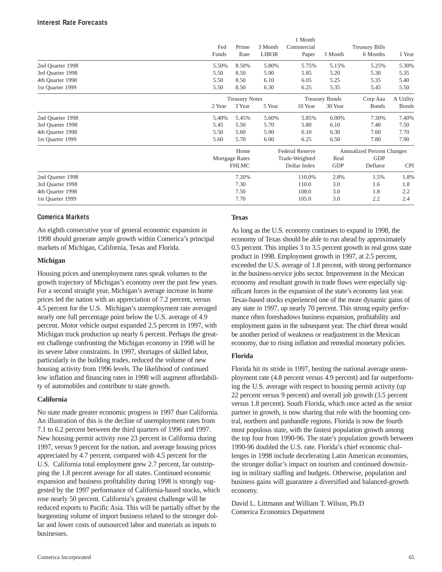|                  | Fed<br>Funds | Prime<br>Rate         | 3 Month<br><b>LIBOR</b> | 1 Month<br>Commercial<br>Paper | 3 Month               | <b>Treasury Bills</b><br>6 Months | 1 Year        |
|------------------|--------------|-----------------------|-------------------------|--------------------------------|-----------------------|-----------------------------------|---------------|
| 2nd Quarter 1998 | 5.50%        | 8.50%                 | 5.80%                   | 5.75%                          | 5.15%                 | 5.25%                             | 5.30%         |
| 3rd Quarter 1998 | 5.50         | 8.50                  | 5.90                    | 5.85                           | 5.20                  | 5.30                              | 5.35          |
| 4th Quarter 1998 | 5.50         | 8.50                  | 6.10                    | 6.05                           | 5.25                  | 5.35                              | 5.40          |
| 1st Quarter 1999 | 5.50         | 8.50                  | 6.30                    | 6.25                           | 5.35                  | 5.45                              | 5.50          |
|                  |              | <b>Treasury Notes</b> |                         |                                | <b>Treasury Bonds</b> | Corp Aaa                          | A Utility     |
|                  | 2 Year       | 3 Year                | 5 Year                  | 10 Year                        | 30 Year               | <b>Bonds</b>                      | <b>B</b> onds |
| 2nd Quarter 1998 | 5.40%        | 5.45%                 | 5.60%                   | 5.85%                          | 6.00%                 | 7.30%                             | 7.40%         |
| 3rd Quarter 1998 | 5.45         | 5.50                  | 5.70                    | 5.80                           | 6.10                  | 7.40                              | 7.50          |
| 4th Quarter 1998 | 5.50         | 5.60                  | 5.90                    | 6.10                           | 6.30                  | 7.60                              | 7.70          |
| 1st Quarter 1999 | 5.60         | 5.70                  | 6.00                    | 6.25                           | 6.50                  | 7.80                              | 7.90          |
|                  |              | Home                  |                         | <b>Federal Reserve</b>         |                       | <b>Annualized Percent Changes</b> |               |
|                  |              | Mortgage Rates        |                         | Trade-Weighted                 | Real                  | <b>GDP</b>                        |               |
|                  |              | <b>FHLMC</b>          |                         | Dollar Index                   | <b>GDP</b>            | Deflator                          | <b>CPI</b>    |
| 2nd Quarter 1998 |              | 7.20%                 |                         | 110.0%                         | 2.8%                  | 1.5%                              | 1.8%          |
| 3rd Quarter 1998 |              | 7.30                  |                         | 110.0                          | 3.0                   | 1.6                               | 1.8           |
| 4th Quarter 1998 |              | 7.50                  |                         | 108.0                          | 3.0                   | 1.8                               | 2.2           |
| 1st Quarter 1999 |              | 7.70                  |                         | 105.0                          | 3.0                   | 2.2                               | 2.4           |

#### **Comerica Markets**

An eighth consecutive year of general economic expansion in 1998 should generate ample growth within Comerica's principal markets of Michigan, California, Texas and Florida.

#### **Michigan**

Housing prices and unemployment rates speak volumes to the growth trajectory of Michigan's economy over the past few years. For a second straight year, Michigan's average increase in home prices led the nation with an appreciation of 7.2 percent, versus 4.5 percent for the U.S. Michigan's unemployment rate averaged nearly one full percentage point below the U.S. average of 4.9 percent. Motor vehicle output expanded 2.5 percent in 1997, with Michigan truck production up nearly 6 percent. Perhaps the greatest challenge confronting the Michigan economy in 1998 will be its severe labor constraints. In 1997, shortages of skilled labor, particularly in the building trades, reduced the volume of new housing activity from 1996 levels. The likelihood of continued low inflation and financing rates in 1998 will augment affordability of automobiles and contribute to state growth.

#### **California**

No state made greater economic progress in 1997 than California. An illustration of this is the decline of unemployment rates from 7.1 to 6.2 percent between the third quarters of 1996 and 1997. New housing permit activity rose 23 percent in California during 1997, versus 9 percent for the nation, and average housing prices appreciated by 4.7 percent, compared with 4.5 percent for the U.S. California total employment grew 2.7 percent, far outstripping the 1.8 percent average for all states. Continued economic expansion and business profitability during 1998 is strongly suggested by the 1997 performance of California-based stocks, which rose nearly 50 percent. California's greatest challenge will be reduced exports to Pacific Asia. This will be partially offset by the burgeoning volume of import business related to the stronger dollar and lower costs of outsourced labor and materials as inputs to businesses.

#### **Texas**

As long as the U.S. economy continues to expand in 1998, the economy of Texas should be able to run ahead by approximately 0.5 percent. This implies 3 to 3.5 percent growth in real gross state product in 1998. Employment growth in 1997, at 2.5 percent, exceeded the U.S. average of 1.8 percent, with strong performance in the business-service jobs sector. Improvement in the Mexican economy and resultant growth in trade flows were especially significant forces in the expansion of the state's economy last year. Texas-based stocks experienced one of the more dynamic gains of any state in 1997, up nearly 70 percent. This strong equity performance often foreshadows business expansion, profitability and employment gains in the subsequent year. The chief threat would be another period of weakness or readjustment in the Mexican economy, due to rising inflation and remedial monetary policies.

#### **Florida**

Florida hit its stride in 1997, besting the national average unemployment rate (4.8 percent versus 4.9 percent) and far outperforming the U.S. average with respect to housing permit activity (up 22 percent versus 9 percent) and overall job growth (3.5 percent versus 1.8 percent). South Florida, which once acted as the senior partner in growth, is now sharing that role with the booming central, northern and panhandle regions. Florida is now the fourth most populous state, with the fastest population growth among the top four from 1990-96. The state's population growth between 1990-96 doubled the U.S. rate. Florida's chief economic challenges in 1998 include decelerating Latin American economies, the stronger dollar's impact on tourism and continued downsizing in military staffing and budgets. Otherwise, population and business gains will guarantee a diversified and balanced-growth economy.

David L. Littmann and William T. Wilson, Ph.D Comerica Economics Department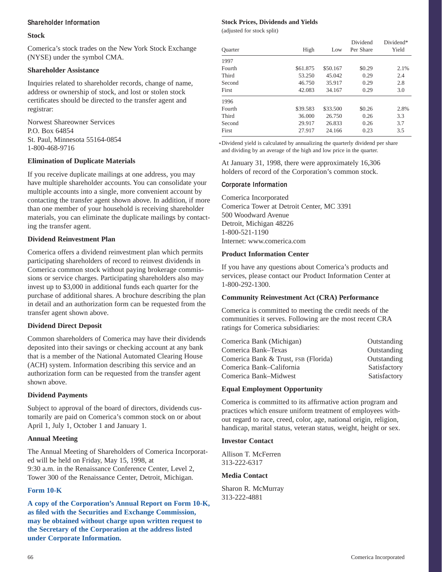#### **Shareholder Information**

#### **Stock**

Comerica's stock trades on the New York Stock Exchange (NYSE) under the symbol CMA.

#### **Shareholder Assistance**

Inquiries related to shareholder records, change of name, address or ownership of stock, and lost or stolen stock certificates should be directed to the transfer agent and registrar:

Norwest Shareowner Services P.O. Box 64854 St. Paul, Minnesota 55164-0854 1-800-468-9716

#### **Elimination of Duplicate Materials**

If you receive duplicate mailings at one address, you may have multiple shareholder accounts. You can consolidate your multiple accounts into a single, more convenient account by contacting the transfer agent shown above. In addition, if more than one member of your household is receiving shareholder materials, you can eliminate the duplicate mailings by contacting the transfer agent.

#### **Dividend Reinvestment Plan**

Comerica offers a dividend reinvestment plan which permits participating shareholders of record to reinvest dividends in Comerica common stock without paying brokerage commissions or service charges. Participating shareholders also may invest up to \$3,000 in additional funds each quarter for the purchase of additional shares. A brochure describing the plan in detail and an authorization form can be requested from the transfer agent shown above.

#### **Dividend Direct Deposit**

Common shareholders of Comerica may have their dividends deposited into their savings or checking account at any bank that is a member of the National Automated Clearing House (ACH) system. Information describing this service and an authorization form can be requested from the transfer agent shown above.

#### **Dividend Payments**

Subject to approval of the board of directors, dividends customarily are paid on Comerica's common stock on or about April 1, July 1, October 1 and January 1.

#### **Annual Meeting**

The Annual Meeting of Shareholders of Comerica Incorporated will be held on Friday, May 15, 1998, at 9:30 a.m. in the Renaissance Conference Center, Level 2, Tower 300 of the Renaissance Center, Detroit, Michigan.

#### **Form 10-K**

**A copy of the Corporation's Annual Report on Form 10-K, as filed with the Securities and Exchange Commission, may be obtained without charge upon written request to the Secretary of the Corporation at the address listed under Corporate Information.**

#### **Stock Prices, Dividends and Yields**

(adjusted for stock split)

|                |          |          | Dividend  | Dividend* |
|----------------|----------|----------|-----------|-----------|
| <b>Ouarter</b> | High     | Low      | Per Share | Yield     |
| 1997           |          |          |           |           |
| Fourth         | \$61.875 | \$50.167 | \$0.29    | 2.1%      |
| Third          | 53.250   | 45.042   | 0.29      | 2.4       |
| Second         | 46.750   | 35.917   | 0.29      | 2.8       |
| First          | 42.083   | 34.167   | 0.29      | 3.0       |
| 1996           |          |          |           |           |
| Fourth         | \$39.583 | \$33.500 | \$0.26    | 2.8%      |
| Third          | 36.000   | 26.750   | 0.26      | 3.3       |
| Second         | 29.917   | 26.833   | 0.26      | 3.7       |
| First          | 27.917   | 24.166   | 0.23      | 3.5       |

Dividend yield is calculated by annualizing the quarterly dividend per share \* and dividing by an average of the high and low price in the quarter.

At January 31, 1998, there were approximately 16,306 holders of record of the Corporation's common stock.

#### **Corporate Information**

Comerica Incorporated Comerica Tower at Detroit Center, MC 3391 500 Woodward Avenue Detroit, Michigan 48226 1-800-521-1190 Internet: www.comerica.com

#### **Product Information Center**

If you have any questions about Comerica's products and services, please contact our Product Information Center at 1-800-292-1300.

#### **Community Reinvestment Act (CRA) Performance**

Comerica is committed to meeting the credit needs of the communities it serves. Following are the most recent CRA ratings for Comerica subsidiaries:

| Comerica Bank (Michigan)             | Outstanding  |
|--------------------------------------|--------------|
| Comerica Bank–Texas                  | Outstanding  |
| Comerica Bank & Trust, FSB (Florida) | Outstanding  |
| Comerica Bank–California             | Satisfactory |
| Comerica Bank–Midwest                | Satisfactory |

#### **Equal Employment Opportunity**

Comerica is committed to its affirmative action program and practices which ensure uniform treatment of employees without regard to race, creed, color, age, national origin, religion, handicap, marital status, veteran status, weight, height or sex.

#### **Investor Contact**

Allison T. McFerren 313-222-6317

#### **Media Contact**

Sharon R. McMurray 313-222-4881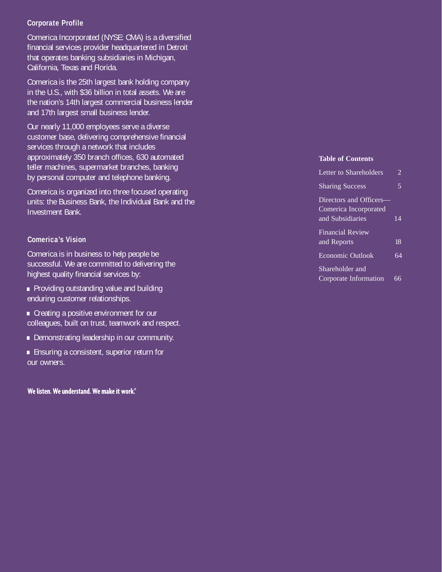# **Corporate Profile**

Comerica Incorporated (NYSE: CMA) is a diversified financial services provider headquartered in Detroit that operates banking subsidiaries in Michigan, California, Texas and Florida.

Comerica is the 25th largest bank holding company in the U.S., with \$36 billion in total assets. We are the nation's 14th largest commercial business lender and 17th largest small business lender.

Our nearly 11,000 employees serve a diverse customer base, delivering comprehensive financial services through a network that includes approximately 350 branch offices, 630 automated teller machines, supermarket branches, banking by personal computer and telephone banking.

Comerica is organized into three focused operating units: the Business Bank, the Individual Bank and the Investment Bank.

# **Comerica's Vision**

Comerica is in business to help people be successful. We are committed to delivering the

- highest quality financial services by:<br>• Providing outstanding value and building<br>enduring customer relationships.
- **•** Creating a positive environment for our colleaques, built on trust, teamwork and respect.
- **Demonstrating leadership in our community. .**<br>**.** Ensuring a consistent, superior return for
- our owners.

We listen. We understand. We make it work.

# **Table of Contents**

| Letter to Shareholders  | $\overline{\mathcal{L}}$ |
|-------------------------|--------------------------|
| <b>Sharing Success</b>  | $\overline{5}$           |
| Directors and Officers— |                          |
| Comerica Incorporated   |                          |
| and Subsidiaries        | $\overline{14}$          |
| <b>Financial Review</b> |                          |
| and Reports             | 18                       |
| Economic Outlook        | 64                       |
| Shareholder and         |                          |
| Corporate Information   | 66                       |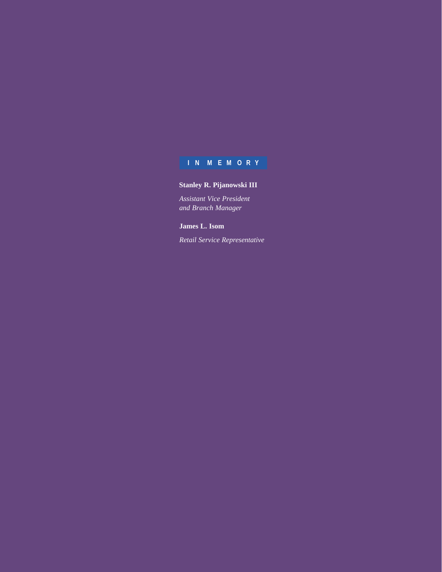### **IN MEMORY**

# **Stanley R. Pijanowski III**

*Assistant Vice President and Branch Manager*

**James L. Isom**

*Retail Service Representative*